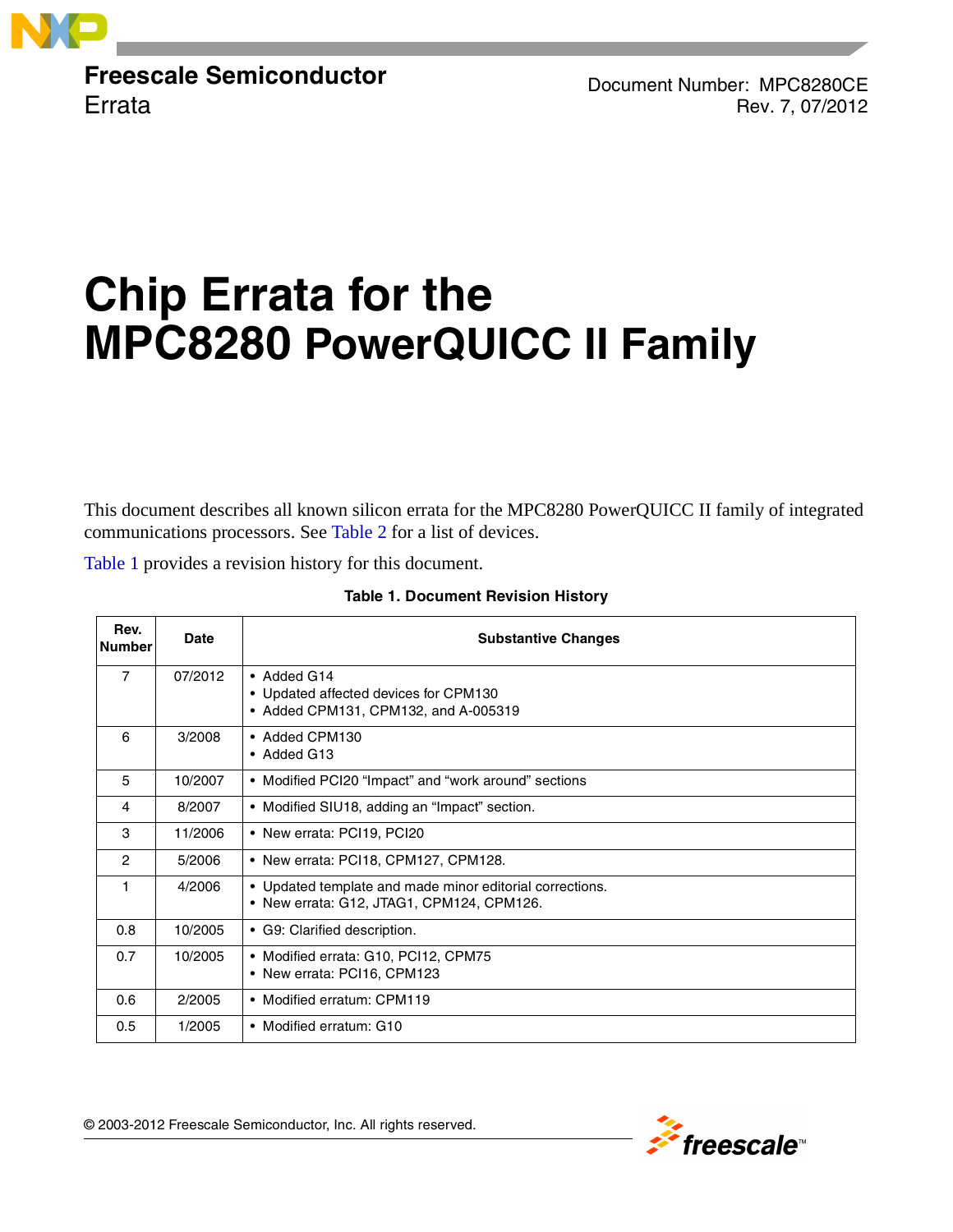

**Freescale Semiconductor Errata** 

Document Number: MPC8280CE Rev. 7, 07/2012

# **Chip Errata for the MPC8280 PowerQUICC II Family**

This document describes all known silicon errata for the MPC8280 PowerQUICC II family of integrated communications processors. See [Table 2](#page-1-0) for a list of devices.

<span id="page-0-0"></span>[Table 1](#page-0-0) provides a revision history for this document.

| Rev.<br><b>Number</b> | Date    | <b>Substantive Changes</b>                                                                            |
|-----------------------|---------|-------------------------------------------------------------------------------------------------------|
| $\overline{7}$        | 07/2012 | • Added G14<br>• Updated affected devices for CPM130<br>• Added CPM131, CPM132, and A-005319          |
| 6                     | 3/2008  | • Added CPM130<br>• Added G13                                                                         |
| 5                     | 10/2007 | • Modified PCI20 "Impact" and "work around" sections                                                  |
| 4                     | 8/2007  | • Modified SIU18, adding an "Impact" section.                                                         |
| 3                     | 11/2006 | • New errata: PCI19, PCI20                                                                            |
| $\overline{c}$        | 5/2006  | • New errata: PCI18, CPM127, CPM128.                                                                  |
|                       | 4/2006  | • Updated template and made minor editorial corrections.<br>• New errata: G12, JTAG1, CPM124, CPM126. |
| 0.8                   | 10/2005 | • G9: Clarified description.                                                                          |
| 0.7                   | 10/2005 | • Modified errata: G10, PCI12, CPM75<br>• New errata: PCI16, CPM123                                   |
| 0.6                   | 2/2005  | • Modified erratum: CPM119                                                                            |
| 0.5                   | 1/2005  | • Modified erratum: G10                                                                               |

#### **Table 1. Document Revision History**

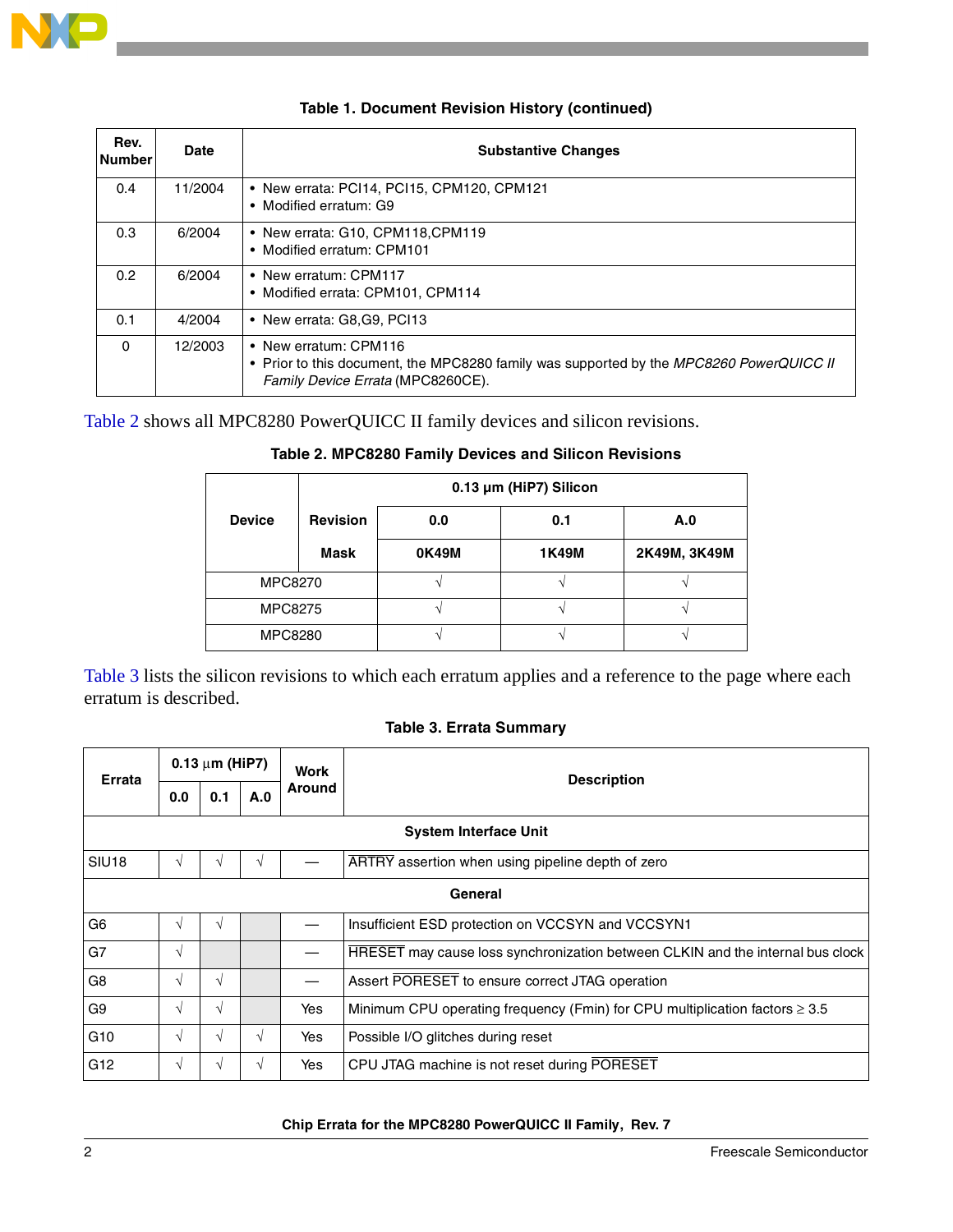

| Rev.<br><b>Number</b> | <b>Date</b> | <b>Substantive Changes</b>                                                                                                                            |
|-----------------------|-------------|-------------------------------------------------------------------------------------------------------------------------------------------------------|
| 0.4                   | 11/2004     | • New errata: PCI14, PCI15, CPM120, CPM121<br>• Modified erratum: G9                                                                                  |
| 0.3                   | 6/2004      | • New errata: G10, CPM118, CPM119<br>• Modified erratum: CPM101                                                                                       |
| 0.2                   | 6/2004      | • New erratum: CPM117<br>• Modified errata: CPM101, CPM114                                                                                            |
| 0.1                   | 4/2004      | • New errata: G8,G9, PCI13                                                                                                                            |
| $\Omega$              | 12/2003     | • New erratum: CPM116<br>• Prior to this document, the MPC8280 family was supported by the MPC8260 PowerQUICC II<br>Family Device Errata (MPC8260CE). |

#### **Table 1. Document Revision History (continued)**

<span id="page-1-0"></span>[Table 2](#page-1-0) shows all MPC8280 PowerQUICC II family devices and silicon revisions.

|                |                 |       | 0.13 µm (HiP7) Silicon |                     |  |  |
|----------------|-----------------|-------|------------------------|---------------------|--|--|
| <b>Device</b>  | <b>Revision</b> | 0.0   | 0.1                    | A.0<br>2K49M, 3K49M |  |  |
|                | <b>Mask</b>     | 0K49M | <b>1K49M</b>           |                     |  |  |
| <b>MPC8270</b> |                 |       |                        |                     |  |  |
| <b>MPC8275</b> |                 |       |                        |                     |  |  |
| <b>MPC8280</b> |                 |       |                        |                     |  |  |

### **Table 2. MPC8280 Family Devices and Silicon Revisions**

[Table 3](#page-1-1) lists the silicon revisions to which each erratum applies and a reference to the page where each erratum is described.

#### **Table 3. Errata Summary**

<span id="page-1-1"></span>

| Errata                       | $0.13 \mu m$ (HiP7) |               |            | Work          | <b>Description</b>                                                               |  |  |  |  |  |  |  |
|------------------------------|---------------------|---------------|------------|---------------|----------------------------------------------------------------------------------|--|--|--|--|--|--|--|
|                              | 0.0                 | 0.1           | A.0        | <b>Around</b> |                                                                                  |  |  |  |  |  |  |  |
| <b>System Interface Unit</b> |                     |               |            |               |                                                                                  |  |  |  |  |  |  |  |
| SIU <sub>18</sub>            | V                   |               | $\sqrt{ }$ |               | ARTRY assertion when using pipeline depth of zero                                |  |  |  |  |  |  |  |
|                              | General             |               |            |               |                                                                                  |  |  |  |  |  |  |  |
| G <sub>6</sub>               | $\sqrt{ }$          | $\mathcal{N}$ |            |               | Insufficient ESD protection on VCCSYN and VCCSYN1                                |  |  |  |  |  |  |  |
| G7                           | $\sqrt{ }$          |               |            |               | HRESET may cause loss synchronization between CLKIN and the internal bus clock   |  |  |  |  |  |  |  |
| G <sub>8</sub>               | $\sqrt{ }$          | $\mathcal{N}$ |            |               | Assert PORESET to ensure correct JTAG operation                                  |  |  |  |  |  |  |  |
| G <sub>9</sub>               | $\sqrt{ }$          | V             |            | Yes           | Minimum CPU operating frequency (Fmin) for CPU multiplication factors $\geq 3.5$ |  |  |  |  |  |  |  |
| G <sub>10</sub>              | $\sqrt{ }$          | $\mathcal{N}$ | $\sqrt{ }$ | Yes           | Possible I/O glitches during reset                                               |  |  |  |  |  |  |  |
| G <sub>12</sub>              | V                   |               | V          | Yes           | CPU JTAG machine is not reset during PORESET                                     |  |  |  |  |  |  |  |

#### **Chip Errata for the MPC8280 PowerQUICC II Family, Rev. 7**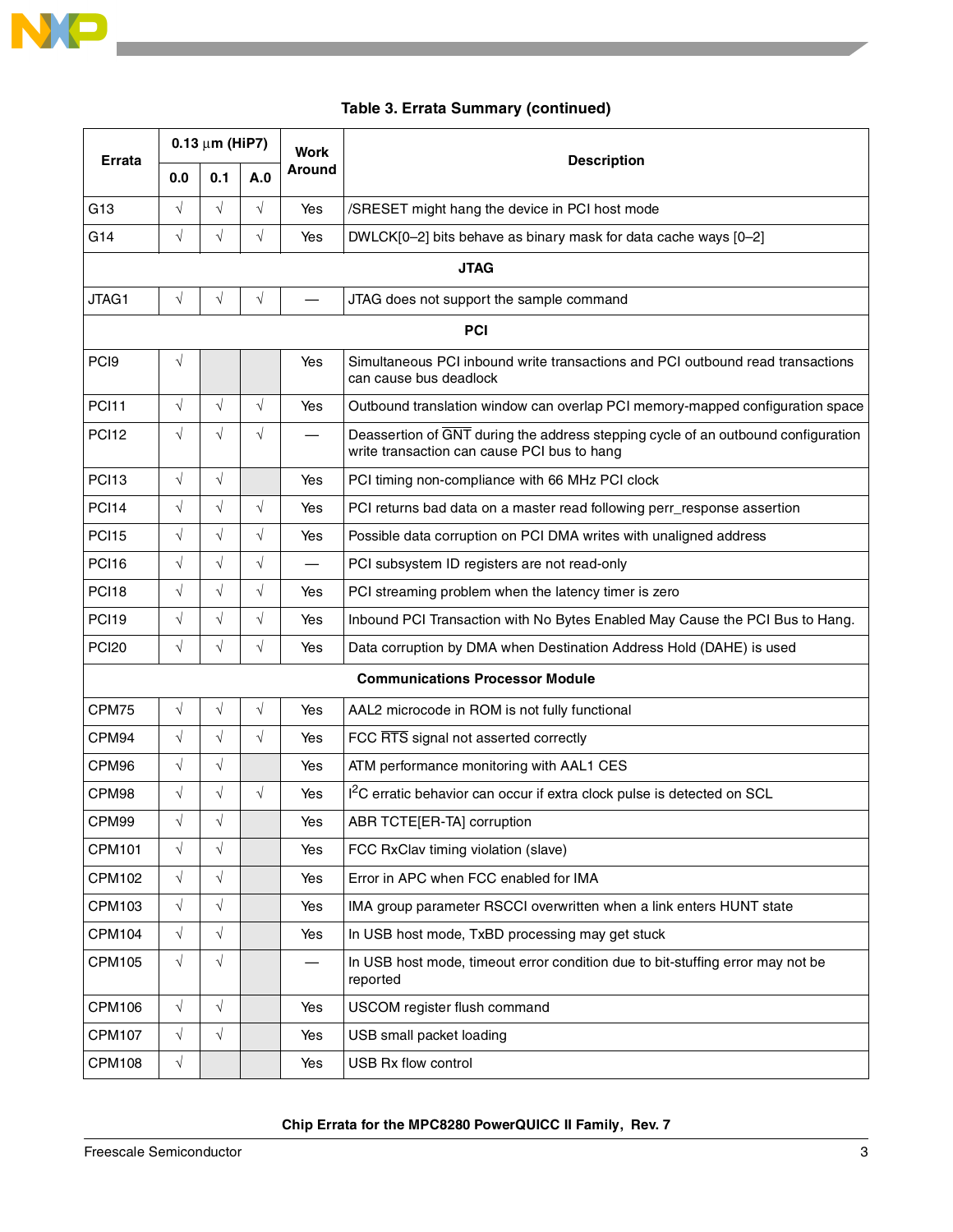

### **Table 3. Errata Summary (continued)**

|                   | $0.13 \mu m$ (HiP7) |            |            | Work                     |                                                                                                                                  |  |  |  |  |  |  |  |
|-------------------|---------------------|------------|------------|--------------------------|----------------------------------------------------------------------------------------------------------------------------------|--|--|--|--|--|--|--|
| Errata            | 0.0                 | 0.1        | A.0        | <b>Around</b>            | <b>Description</b>                                                                                                               |  |  |  |  |  |  |  |
| G <sub>13</sub>   | $\sqrt{}$           | $\sqrt{}$  | $\sqrt{ }$ | Yes                      | /SRESET might hang the device in PCI host mode                                                                                   |  |  |  |  |  |  |  |
| G14               | $\sqrt{}$           | $\sqrt{}$  | $\sqrt{}$  | Yes                      | DWLCK[0-2] bits behave as binary mask for data cache ways [0-2]                                                                  |  |  |  |  |  |  |  |
| <b>JTAG</b>       |                     |            |            |                          |                                                                                                                                  |  |  |  |  |  |  |  |
| JTAG1             | $\sqrt{}$           | $\sqrt{}$  | $\sqrt{}$  |                          | JTAG does not support the sample command                                                                                         |  |  |  |  |  |  |  |
|                   | <b>PCI</b>          |            |            |                          |                                                                                                                                  |  |  |  |  |  |  |  |
| PC <sub>19</sub>  | $\sqrt{}$           |            |            | Yes                      | Simultaneous PCI inbound write transactions and PCI outbound read transactions<br>can cause bus deadlock                         |  |  |  |  |  |  |  |
| PCI11             | $\sqrt{}$           | $\sqrt{}$  | $\sqrt{ }$ | Yes                      | Outbound translation window can overlap PCI memory-mapped configuration space                                                    |  |  |  |  |  |  |  |
| <b>PCI12</b>      | $\sqrt{}$           | $\sqrt{}$  | $\sqrt{}$  |                          | Deassertion of GNT during the address stepping cycle of an outbound configuration<br>write transaction can cause PCI bus to hang |  |  |  |  |  |  |  |
| PCI <sub>13</sub> | $\sqrt{}$           | $\sqrt{}$  |            | Yes                      | PCI timing non-compliance with 66 MHz PCI clock                                                                                  |  |  |  |  |  |  |  |
| <b>PCI14</b>      | $\sqrt{}$           | $\sqrt{}$  | $\sqrt{2}$ | Yes                      | PCI returns bad data on a master read following perr_response assertion                                                          |  |  |  |  |  |  |  |
| <b>PCI15</b>      | $\sqrt{}$           | $\sqrt{}$  | $\sqrt{}$  | Yes                      | Possible data corruption on PCI DMA writes with unaligned address                                                                |  |  |  |  |  |  |  |
| <b>PCI16</b>      | $\sqrt{}$           | $\sqrt{ }$ | $\sqrt{}$  | $\overline{\phantom{0}}$ | PCI subsystem ID registers are not read-only                                                                                     |  |  |  |  |  |  |  |
| PCI <sub>18</sub> | $\sqrt{}$           | $\sqrt{}$  | $\sqrt{2}$ | Yes                      | PCI streaming problem when the latency timer is zero                                                                             |  |  |  |  |  |  |  |
| PCI <sub>19</sub> | $\sqrt{}$           | $\sqrt{ }$ | $\sqrt{}$  | Yes                      | Inbound PCI Transaction with No Bytes Enabled May Cause the PCI Bus to Hang.                                                     |  |  |  |  |  |  |  |
| <b>PCI20</b>      | $\sqrt{}$           | $\sqrt{}$  | $\sqrt{}$  | Yes                      | Data corruption by DMA when Destination Address Hold (DAHE) is used                                                              |  |  |  |  |  |  |  |
|                   |                     |            |            |                          | <b>Communications Processor Module</b>                                                                                           |  |  |  |  |  |  |  |
| CPM75             | $\sqrt{}$           | $\sqrt{}$  | $\sqrt{}$  | Yes                      | AAL2 microcode in ROM is not fully functional                                                                                    |  |  |  |  |  |  |  |
| CPM94             | $\sqrt{}$           | $\sqrt{}$  | $\sqrt{}$  | Yes                      | FCC RTS signal not asserted correctly                                                                                            |  |  |  |  |  |  |  |
| CPM96             | $\sqrt{}$           | $\sqrt{}$  |            | Yes                      | ATM performance monitoring with AAL1 CES                                                                                         |  |  |  |  |  |  |  |
| CPM98             | $\sqrt{}$           | $\sqrt{}$  | $\sqrt{}$  | Yes                      | I <sup>2</sup> C erratic behavior can occur if extra clock pulse is detected on SCL                                              |  |  |  |  |  |  |  |
| CPM99             | $\sqrt{}$           | $\sqrt{}$  |            | Yes                      | ABR TCTE[ER-TA] corruption                                                                                                       |  |  |  |  |  |  |  |
| <b>CPM101</b>     | $\sqrt{}$           | $\sqrt{}$  |            | Yes                      | FCC RxClav timing violation (slave)                                                                                              |  |  |  |  |  |  |  |
| <b>CPM102</b>     | $\sqrt{}$           | $\sqrt{}$  |            | Yes                      | Error in APC when FCC enabled for IMA                                                                                            |  |  |  |  |  |  |  |
| <b>CPM103</b>     | $\sqrt{}$           | $\sqrt{}$  |            | Yes                      | IMA group parameter RSCCI overwritten when a link enters HUNT state                                                              |  |  |  |  |  |  |  |
| <b>CPM104</b>     | $\sqrt{}$           | $\sqrt{}$  |            | Yes                      | In USB host mode, TxBD processing may get stuck                                                                                  |  |  |  |  |  |  |  |
| <b>CPM105</b>     | $\sqrt{}$           | $\sqrt{}$  |            |                          | In USB host mode, timeout error condition due to bit-stuffing error may not be<br>reported                                       |  |  |  |  |  |  |  |
| <b>CPM106</b>     | $\sqrt{}$           | $\sqrt{ }$ |            | Yes                      | USCOM register flush command                                                                                                     |  |  |  |  |  |  |  |
| <b>CPM107</b>     | $\sqrt{}$           | $\sqrt{}$  |            | Yes                      | USB small packet loading                                                                                                         |  |  |  |  |  |  |  |
| <b>CPM108</b>     | $\sqrt{}$           |            |            | Yes                      | USB Rx flow control                                                                                                              |  |  |  |  |  |  |  |

#### **Chip Errata for the MPC8280 PowerQUICC II Family, Rev. 7**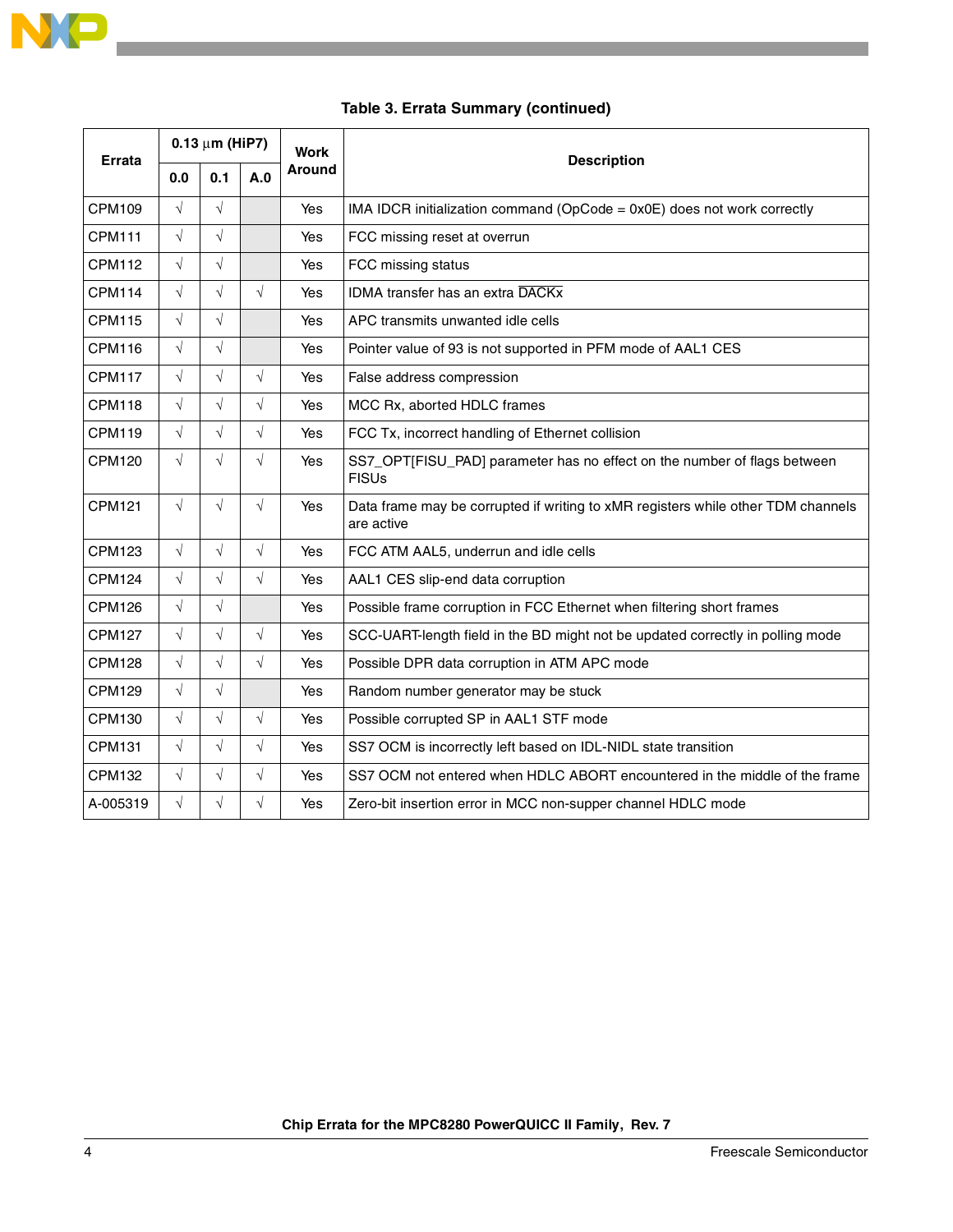

| Errata        | $0.13 \mu m$ (HiP7) |            |               | Work | <b>Description</b>                                                                             |  |  |  |  |  |  |
|---------------|---------------------|------------|---------------|------|------------------------------------------------------------------------------------------------|--|--|--|--|--|--|
|               | 0.1<br>A.0<br>0.0   |            | <b>Around</b> |      |                                                                                                |  |  |  |  |  |  |
| <b>CPM109</b> | $\sqrt{ }$          | $\sqrt{ }$ |               | Yes  | IMA IDCR initialization command (OpCode = 0x0E) does not work correctly                        |  |  |  |  |  |  |
| <b>CPM111</b> | $\sqrt{ }$          | $\sqrt{}$  |               | Yes  | FCC missing reset at overrun                                                                   |  |  |  |  |  |  |
| <b>CPM112</b> | $\sqrt{}$           | $\sqrt{}$  |               | Yes  | FCC missing status                                                                             |  |  |  |  |  |  |
| <b>CPM114</b> | $\sqrt{ }$          | $\sqrt{}$  | $\sqrt{}$     | Yes  | IDMA transfer has an extra DACKx                                                               |  |  |  |  |  |  |
| <b>CPM115</b> | $\sqrt{ }$          | $\sqrt{}$  |               | Yes  | APC transmits unwanted idle cells                                                              |  |  |  |  |  |  |
| <b>CPM116</b> | $\sqrt{ }$          | $\sqrt{}$  |               | Yes  | Pointer value of 93 is not supported in PFM mode of AAL1 CES                                   |  |  |  |  |  |  |
| <b>CPM117</b> | $\sqrt{ }$          | $\sqrt{}$  | $\sqrt{}$     | Yes  | False address compression                                                                      |  |  |  |  |  |  |
| CPM118        | $\sqrt{ }$          | $\sqrt{}$  | $\sqrt{}$     | Yes  | MCC Rx, aborted HDLC frames                                                                    |  |  |  |  |  |  |
| <b>CPM119</b> | $\sqrt{ }$          | $\sqrt{}$  | $\sqrt{}$     | Yes  | FCC Tx, incorrect handling of Ethernet collision                                               |  |  |  |  |  |  |
| <b>CPM120</b> | $\sqrt{}$           | $\sqrt{}$  | $\sqrt{}$     | Yes  | SS7_OPT[FISU_PAD] parameter has no effect on the number of flags between<br><b>FISUs</b>       |  |  |  |  |  |  |
| <b>CPM121</b> | $\sqrt{ }$          | $\sqrt{}$  | $\sqrt{}$     | Yes  | Data frame may be corrupted if writing to xMR registers while other TDM channels<br>are active |  |  |  |  |  |  |
| <b>CPM123</b> | $\sqrt{ }$          | $\sqrt{}$  | $\sqrt{ }$    | Yes  | FCC ATM AAL5, underrun and idle cells                                                          |  |  |  |  |  |  |
| <b>CPM124</b> | $\sqrt{ }$          | $\sqrt{}$  | $\sqrt{}$     | Yes  | AAL1 CES slip-end data corruption                                                              |  |  |  |  |  |  |
| <b>CPM126</b> | $\sqrt{}$           | $\sqrt{}$  |               | Yes  | Possible frame corruption in FCC Ethernet when filtering short frames                          |  |  |  |  |  |  |
| <b>CPM127</b> | $\sqrt{}$           | $\sqrt{}$  | $\sqrt{}$     | Yes  | SCC-UART-length field in the BD might not be updated correctly in polling mode                 |  |  |  |  |  |  |
| <b>CPM128</b> | $\sqrt{ }$          | $\sqrt{}$  | $\sqrt{}$     | Yes  | Possible DPR data corruption in ATM APC mode                                                   |  |  |  |  |  |  |
| <b>CPM129</b> | $\sqrt{}$           | $\sqrt{}$  |               | Yes  | Random number generator may be stuck                                                           |  |  |  |  |  |  |
| <b>CPM130</b> | $\sqrt{ }$          | $\sqrt{}$  | $\sqrt{}$     | Yes  | Possible corrupted SP in AAL1 STF mode                                                         |  |  |  |  |  |  |
| <b>CPM131</b> | $\sqrt{ }$          | $\sqrt{}$  | $\sqrt{}$     | Yes  | SS7 OCM is incorrectly left based on IDL-NIDL state transition                                 |  |  |  |  |  |  |
| <b>CPM132</b> | $\sqrt{ }$          | $\sqrt{}$  | $\sqrt{}$     | Yes  | SS7 OCM not entered when HDLC ABORT encountered in the middle of the frame                     |  |  |  |  |  |  |
| A-005319      | $\sqrt{}$           | $\sqrt{}$  | $\sqrt{}$     | Yes  | Zero-bit insertion error in MCC non-supper channel HDLC mode                                   |  |  |  |  |  |  |

### **Table 3. Errata Summary (continued)**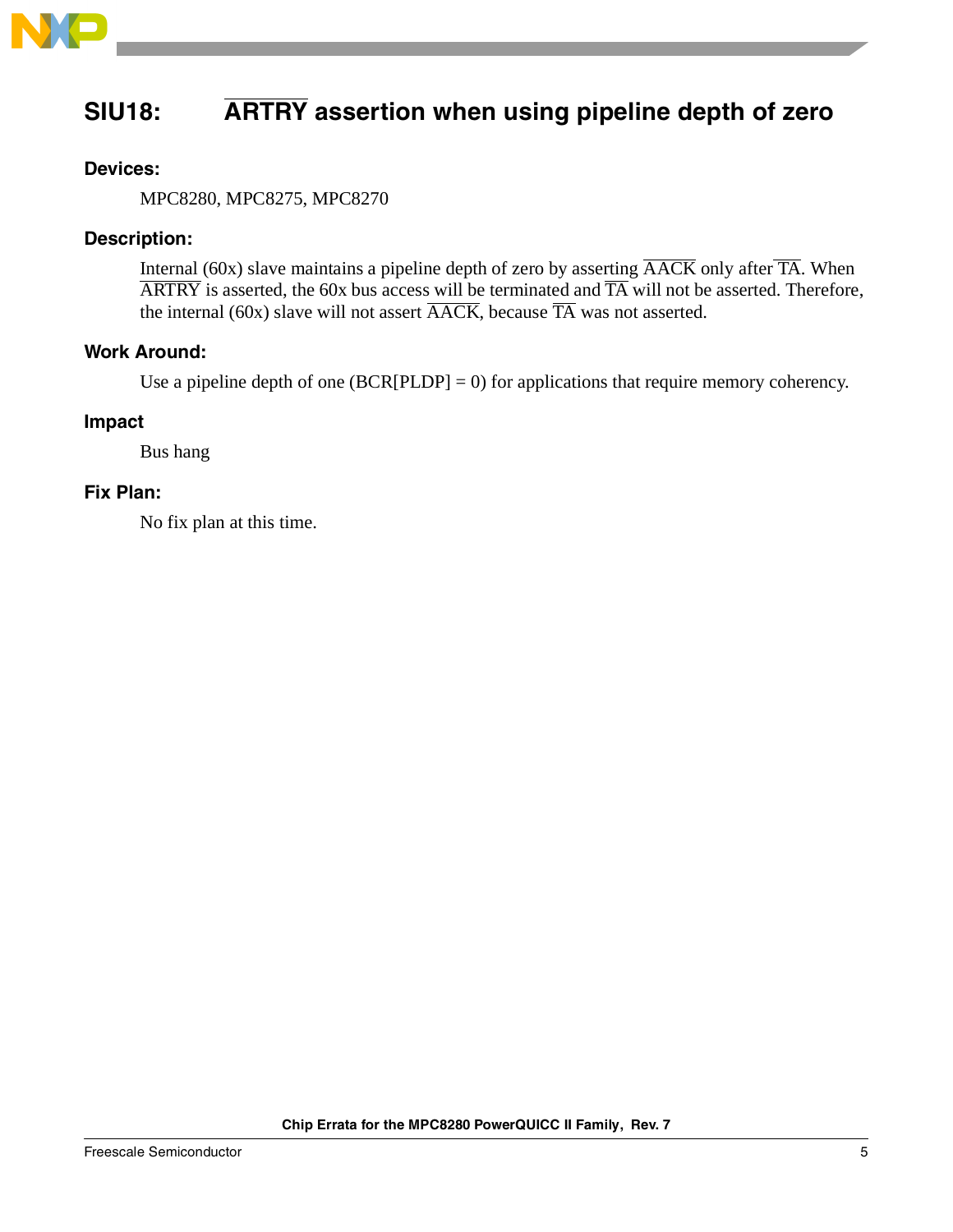

# <span id="page-4-0"></span>**SIU18: ARTRY assertion when using pipeline depth of zero**

### **Devices:**

MPC8280, MPC8275, MPC8270

### **Description:**

Internal (60x) slave maintains a pipeline depth of zero by asserting  $\overline{\text{AACK}}$  only after  $\overline{\text{TA}}$ . When  $\overline{\text{ARTRY}}$  is asserted, the 60x bus access will be terminated and  $\overline{\text{TA}}$  will not be asserted. Therefore, the internal (60x) slave will not assert  $\overline{\text{AACK}}$ , because  $\overline{\text{TA}}$  was not asserted.

### **Work Around:**

Use a pipeline depth of one  $(BCR[PLDP] = 0)$  for applications that require memory coherency.

### **Impact**

Bus hang

### **Fix Plan:**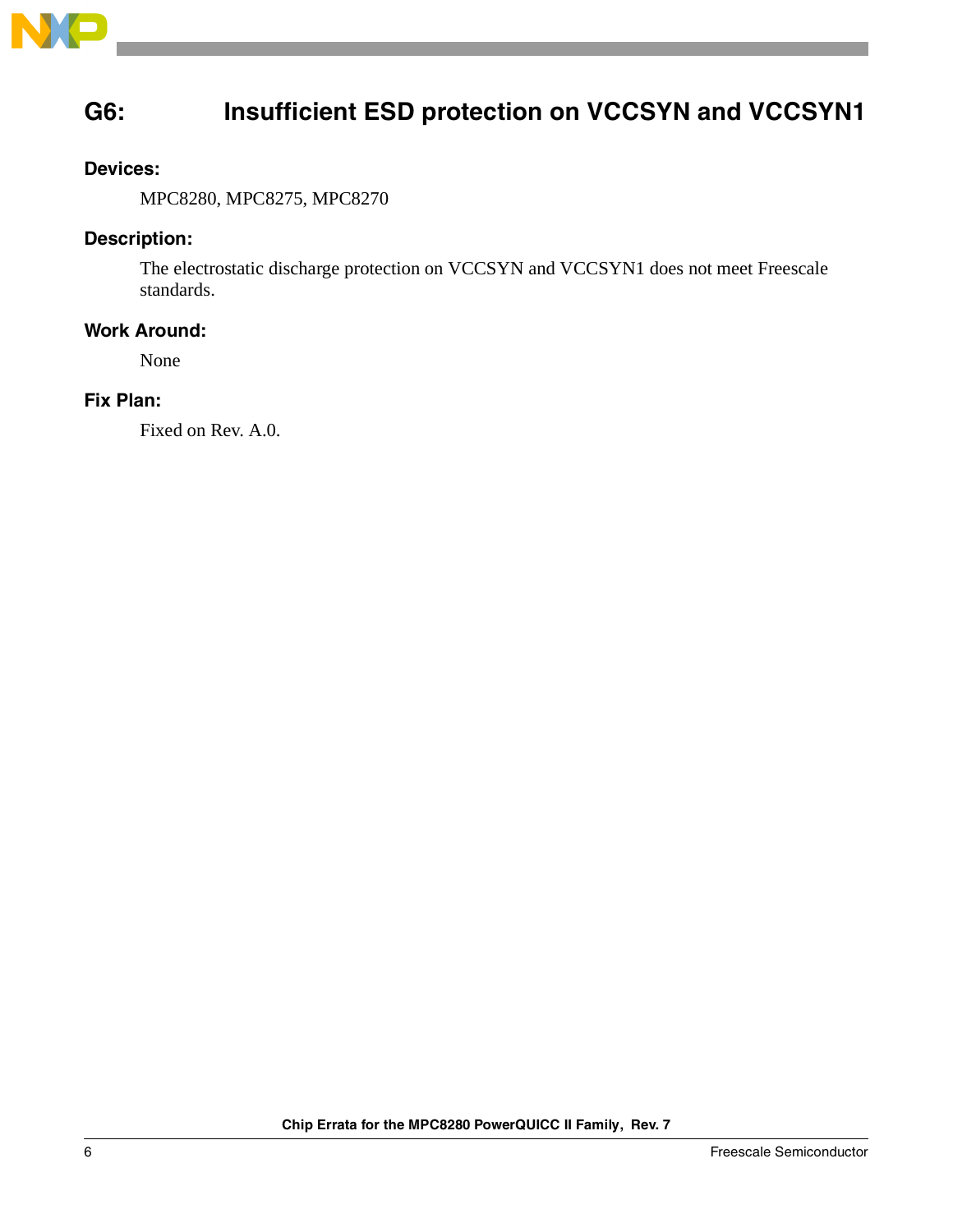

# <span id="page-5-0"></span>**G6: Insufficient ESD protection on VCCSYN and VCCSYN1**

### **Devices:**

MPC8280, MPC8275, MPC8270

### **Description:**

The electrostatic discharge protection on VCCSYN and VCCSYN1 does not meet Freescale standards.

### **Work Around:**

None

### **Fix Plan:**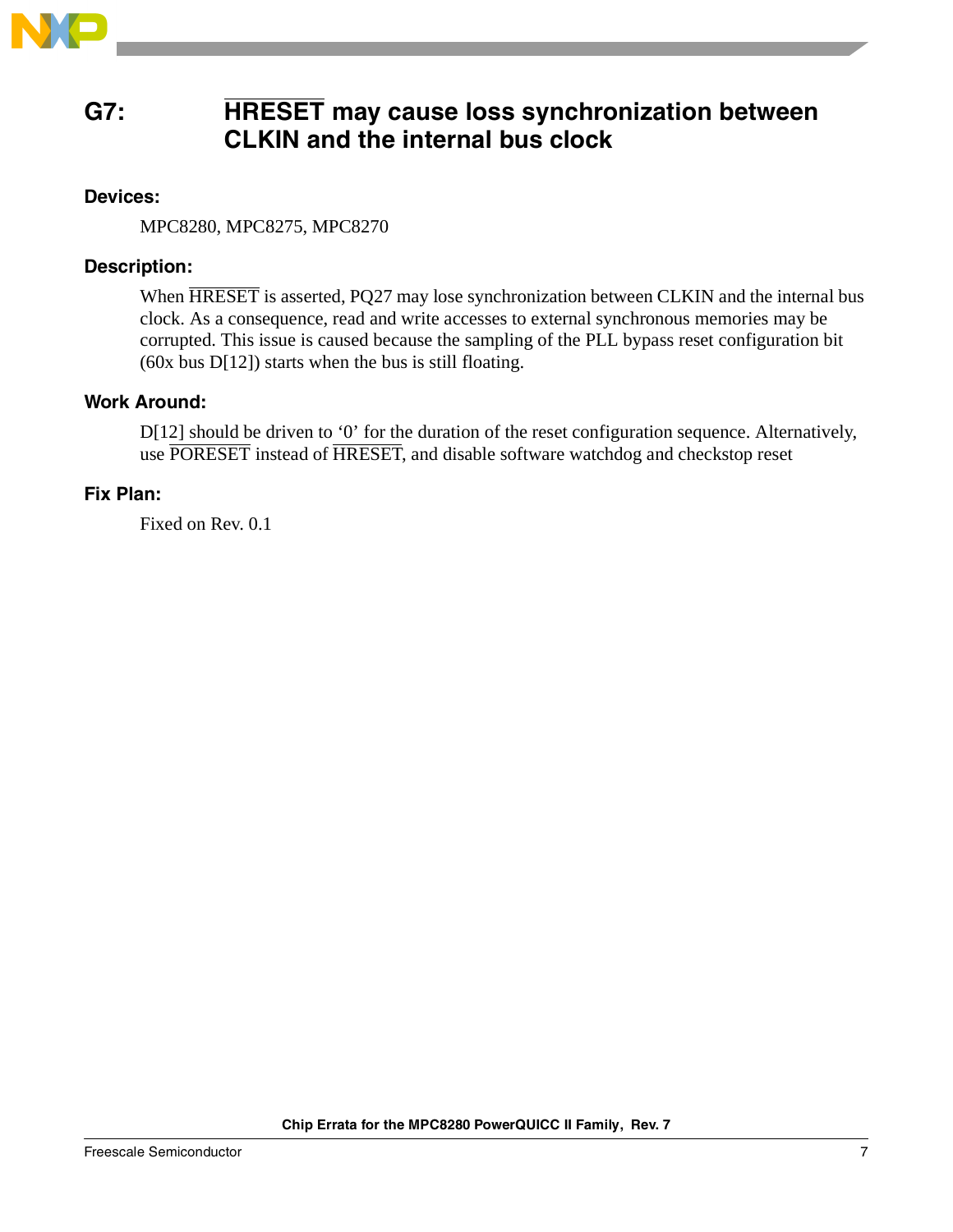

### <span id="page-6-0"></span>**G7: HRESET may cause loss synchronization between CLKIN and the internal bus clock**

### **Devices:**

MPC8280, MPC8275, MPC8270

### **Description:**

When HRESET is asserted, PQ27 may lose synchronization between CLKIN and the internal bus clock. As a consequence, read and write accesses to external synchronous memories may be corrupted. This issue is caused because the sampling of the PLL bypass reset configuration bit (60x bus D[12]) starts when the bus is still floating.

### **Work Around:**

D[12] should be driven to '0' for the duration of the reset configuration sequence. Alternatively, use PORESET instead of HRESET, and disable software watchdog and checkstop reset

### **Fix Plan:**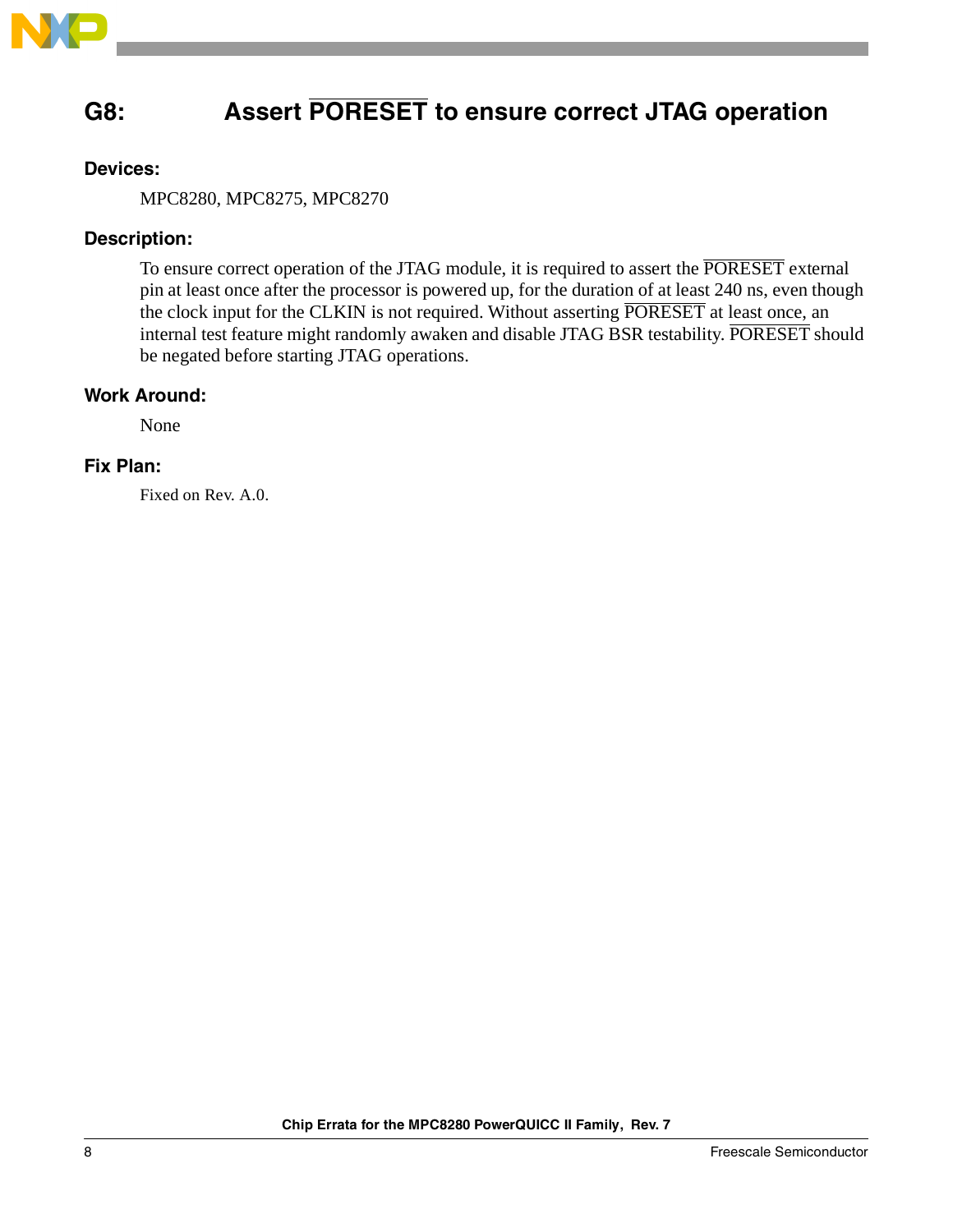

# <span id="page-7-0"></span>**G8: Assert PORESET to ensure correct JTAG operation**

### **Devices:**

MPC8280, MPC8275, MPC8270

### **Description:**

To ensure correct operation of the JTAG module, it is required to assert the PORESET external pin at least once after the processor is powered up, for the duration of at least 240 ns, even though the clock input for the CLKIN is not required. Without asserting PORESET at least once, an internal test feature might randomly awaken and disable JTAG BSR testability. PORESET should be negated before starting JTAG operations.

### **Work Around:**

None

### **Fix Plan:**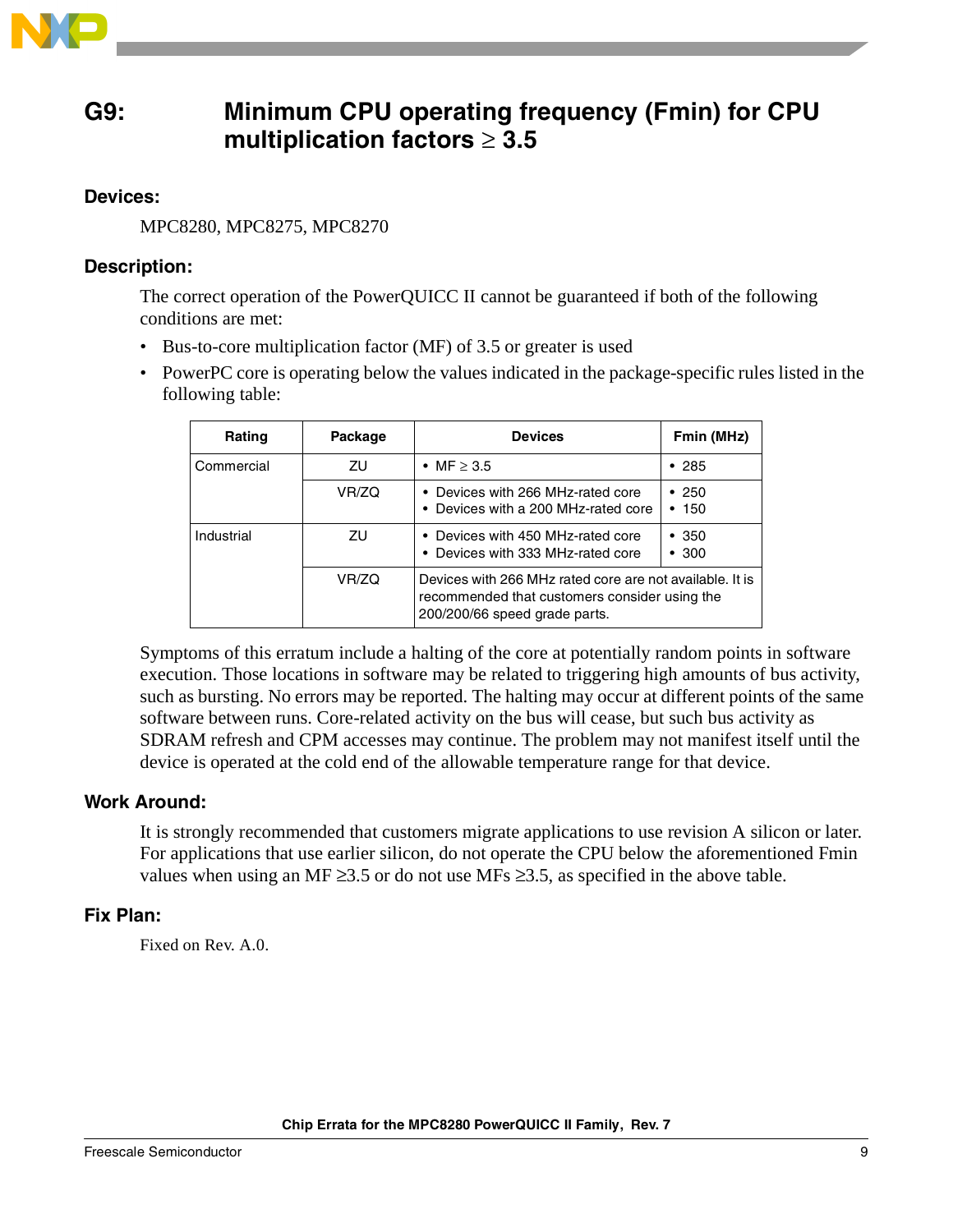

### <span id="page-8-0"></span>**G9: Minimum CPU operating frequency (Fmin) for CPU multiplication factors** ≥ **3.5**

### **Devices:**

MPC8280, MPC8275, MPC8270

### **Description:**

The correct operation of the PowerQUICC II cannot be guaranteed if both of the following conditions are met:

- Bus-to-core multiplication factor (MF) of 3.5 or greater is used
- PowerPC core is operating below the values indicated in the package-specific rules listed in the following table:

| Rating     | Package | <b>Devices</b>                                                                                                                             | Fmin (MHz)       |
|------------|---------|--------------------------------------------------------------------------------------------------------------------------------------------|------------------|
| Commercial | ΖU      | • MF $\geq$ 3.5                                                                                                                            | •285             |
|            | VR/ZQ   | • Devices with 266 MHz-rated core<br>• Devices with a 200 MHz-rated core                                                                   | •250<br>150<br>٠ |
| Industrial | ΖU      | • Devices with 450 MHz-rated core<br>• Devices with 333 MHz-rated core                                                                     | •350<br>•300     |
|            | VR/ZQ   | Devices with 266 MHz rated core are not available. It is<br>recommended that customers consider using the<br>200/200/66 speed grade parts. |                  |

Symptoms of this erratum include a halting of the core at potentially random points in software execution. Those locations in software may be related to triggering high amounts of bus activity, such as bursting. No errors may be reported. The halting may occur at different points of the same software between runs. Core-related activity on the bus will cease, but such bus activity as SDRAM refresh and CPM accesses may continue. The problem may not manifest itself until the device is operated at the cold end of the allowable temperature range for that device.

### **Work Around:**

It is strongly recommended that customers migrate applications to use revision A silicon or later. For applications that use earlier silicon, do not operate the CPU below the aforementioned Fmin values when using an MF  $\geq$ 3.5 or do not use MFs  $\geq$ 3.5, as specified in the above table.

### **Fix Plan:**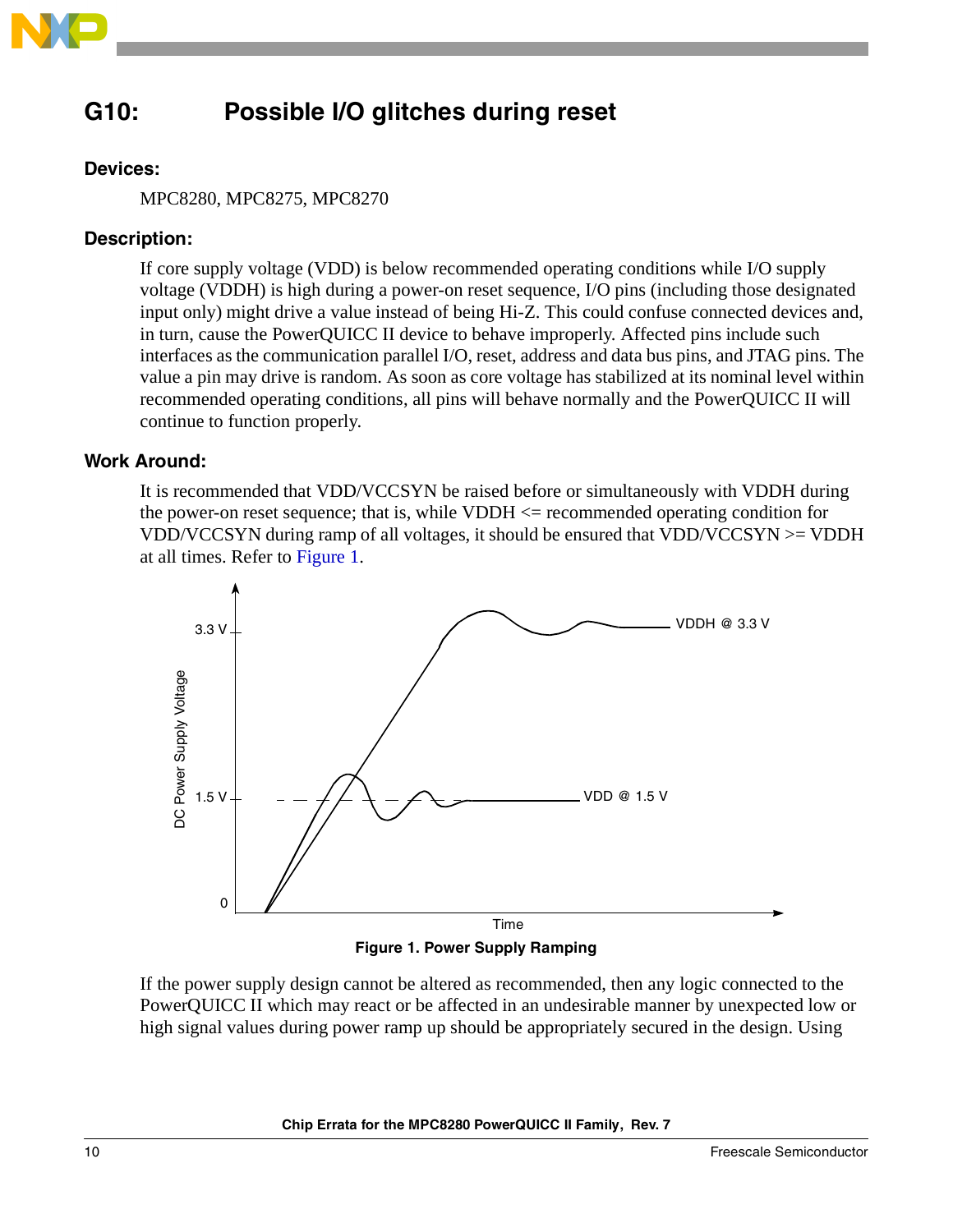

# <span id="page-9-0"></span>**G10: Possible I/O glitches during reset**

### **Devices:**

MPC8280, MPC8275, MPC8270

### **Description:**

If core supply voltage (VDD) is below recommended operating conditions while I/O supply voltage (VDDH) is high during a power-on reset sequence, I/O pins (including those designated input only) might drive a value instead of being Hi-Z. This could confuse connected devices and, in turn, cause the PowerQUICC II device to behave improperly. Affected pins include such interfaces as the communication parallel I/O, reset, address and data bus pins, and JTAG pins. The value a pin may drive is random. As soon as core voltage has stabilized at its nominal level within recommended operating conditions, all pins will behave normally and the PowerQUICC II will continue to function properly.

### **Work Around:**

It is recommended that VDD/VCCSYN be raised before or simultaneously with VDDH during the power-on reset sequence; that is, while  $VDDH \le$  recommended operating condition for VDD/VCCSYN during ramp of all voltages, it should be ensured that VDD/VCCSYN >= VDDH at all times. Refer to [Figure 1.](#page-9-1)



**Figure 1. Power Supply Ramping**

<span id="page-9-1"></span>If the power supply design cannot be altered as recommended, then any logic connected to the PowerQUICC II which may react or be affected in an undesirable manner by unexpected low or high signal values during power ramp up should be appropriately secured in the design. Using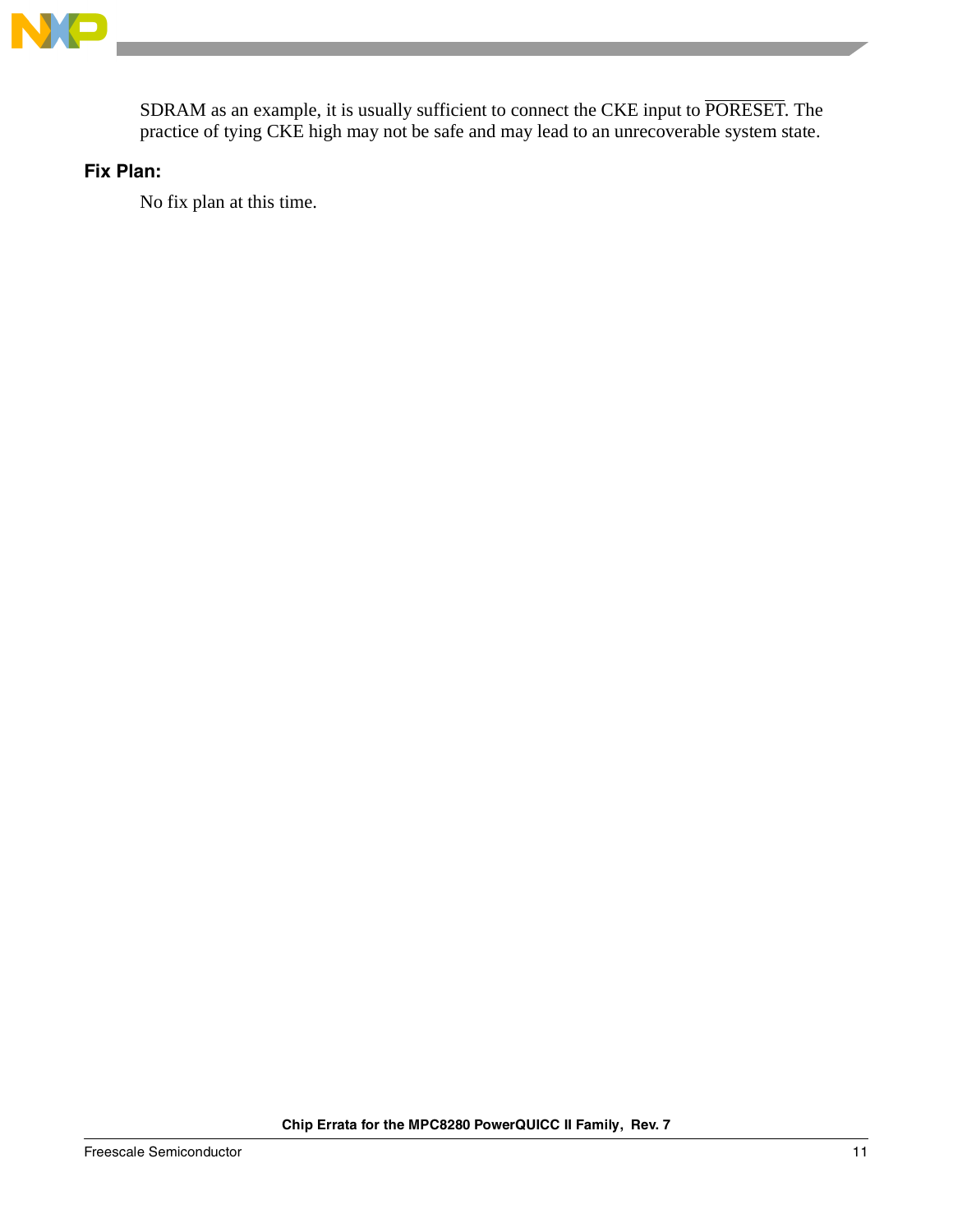

SDRAM as an example, it is usually sufficient to connect the CKE input to PORESET. The practice of tying CKE high may not be safe and may lead to an unrecoverable system state.

### **Fix Plan:**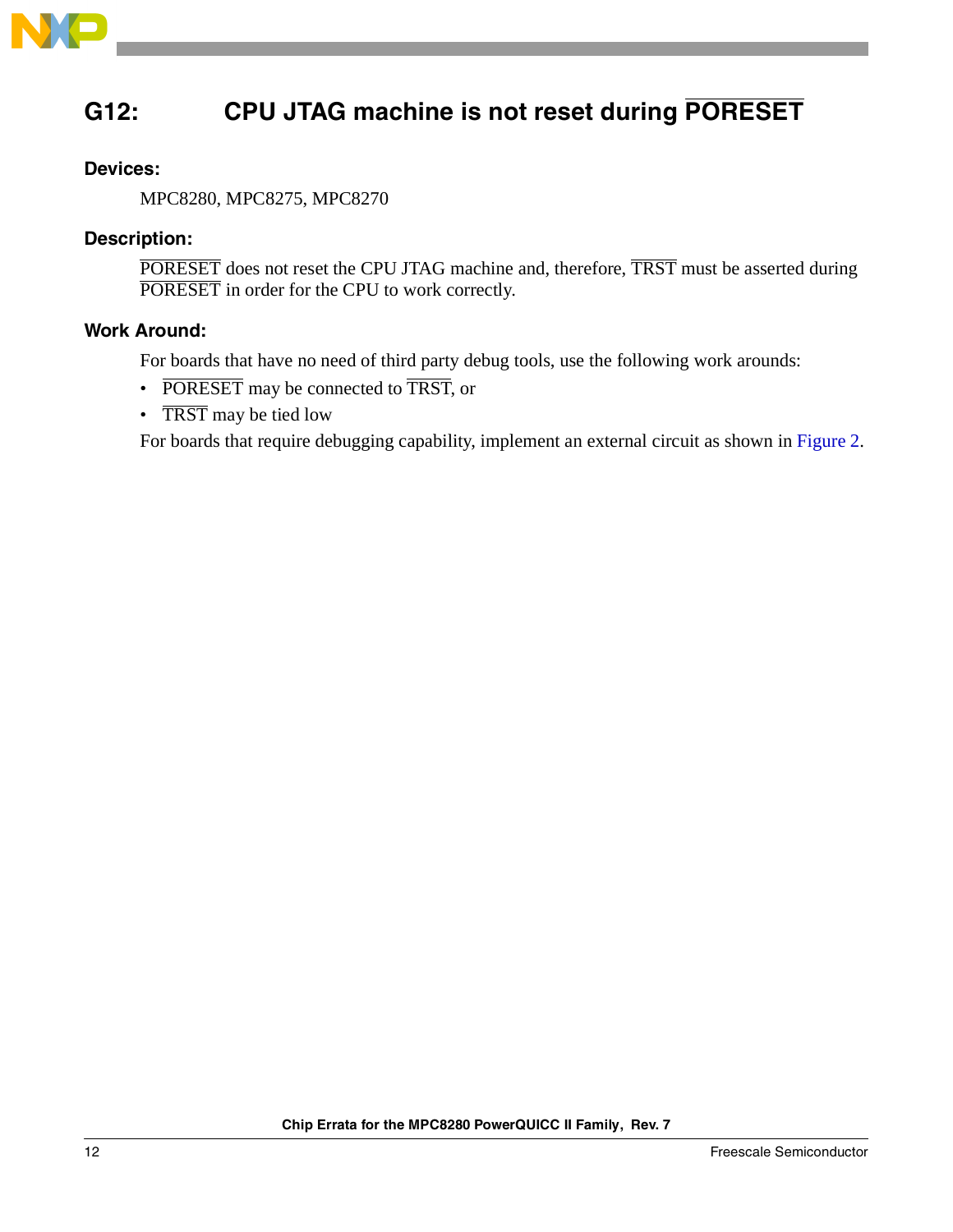

# <span id="page-11-0"></span>**G12: CPU JTAG machine is not reset during PORESET**

### **Devices:**

MPC8280, MPC8275, MPC8270

### **Description:**

PORESET does not reset the CPU JTAG machine and, therefore, TRST must be asserted during PORESET in order for the CPU to work correctly.

### **Work Around:**

For boards that have no need of third party debug tools, use the following work arounds:

- PORESET may be connected to TRST, or
- TRST may be tied low

For boards that require debugging capability, implement an external circuit as shown in [Figure 2](#page-12-0).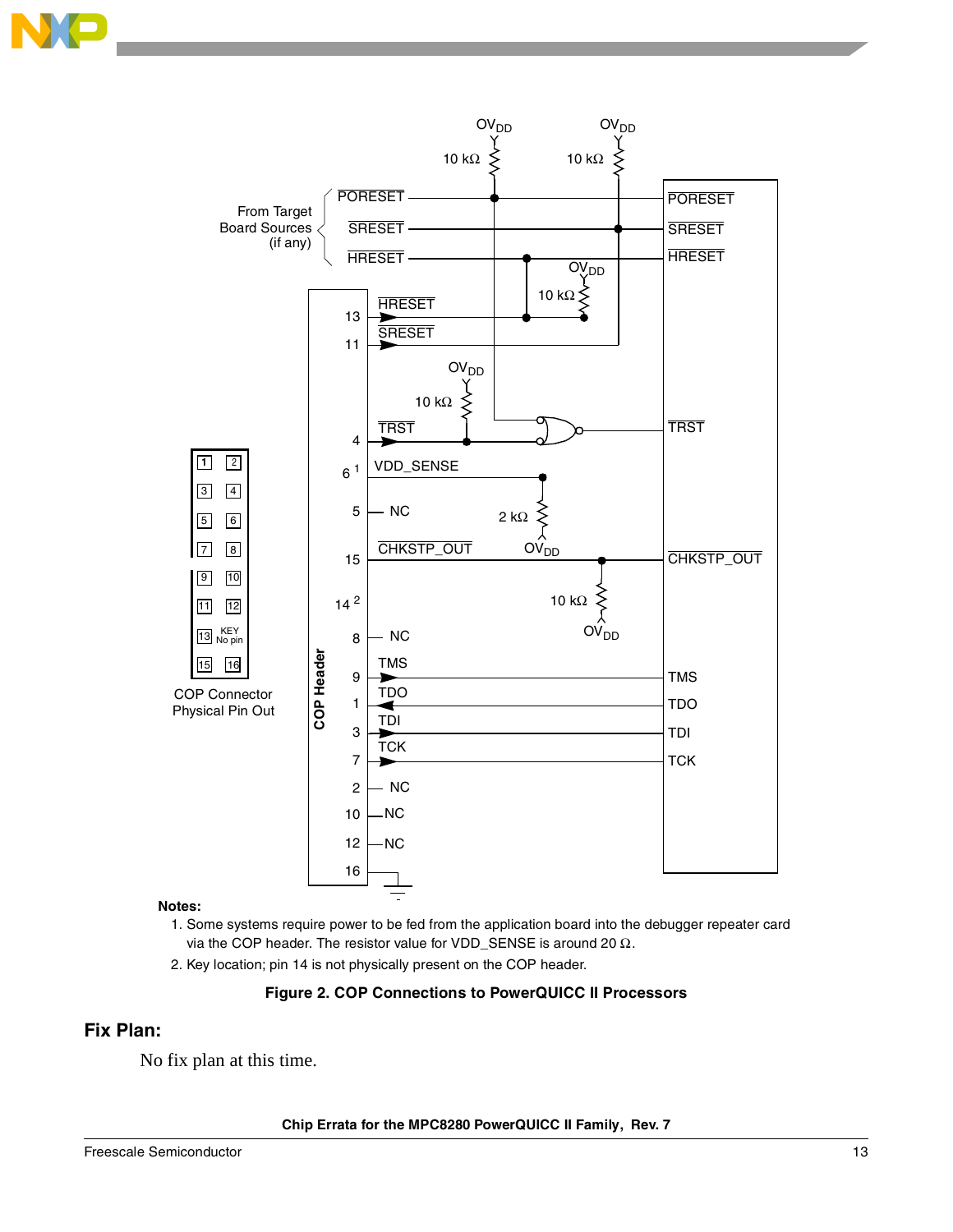



#### **Notes:**

- 1. Some systems require power to be fed from the application board into the debugger repeater card via the COP header. The resistor value for VDD\_SENSE is around 20  $Ω$ .
- 2. Key location; pin 14 is not physically present on the COP header.

#### **Figure 2. COP Connections to PowerQUICC II Processors**

### <span id="page-12-0"></span>**Fix Plan:**

No fix plan at this time.

**Chip Errata for the MPC8280 PowerQUICC II Family, Rev. 7**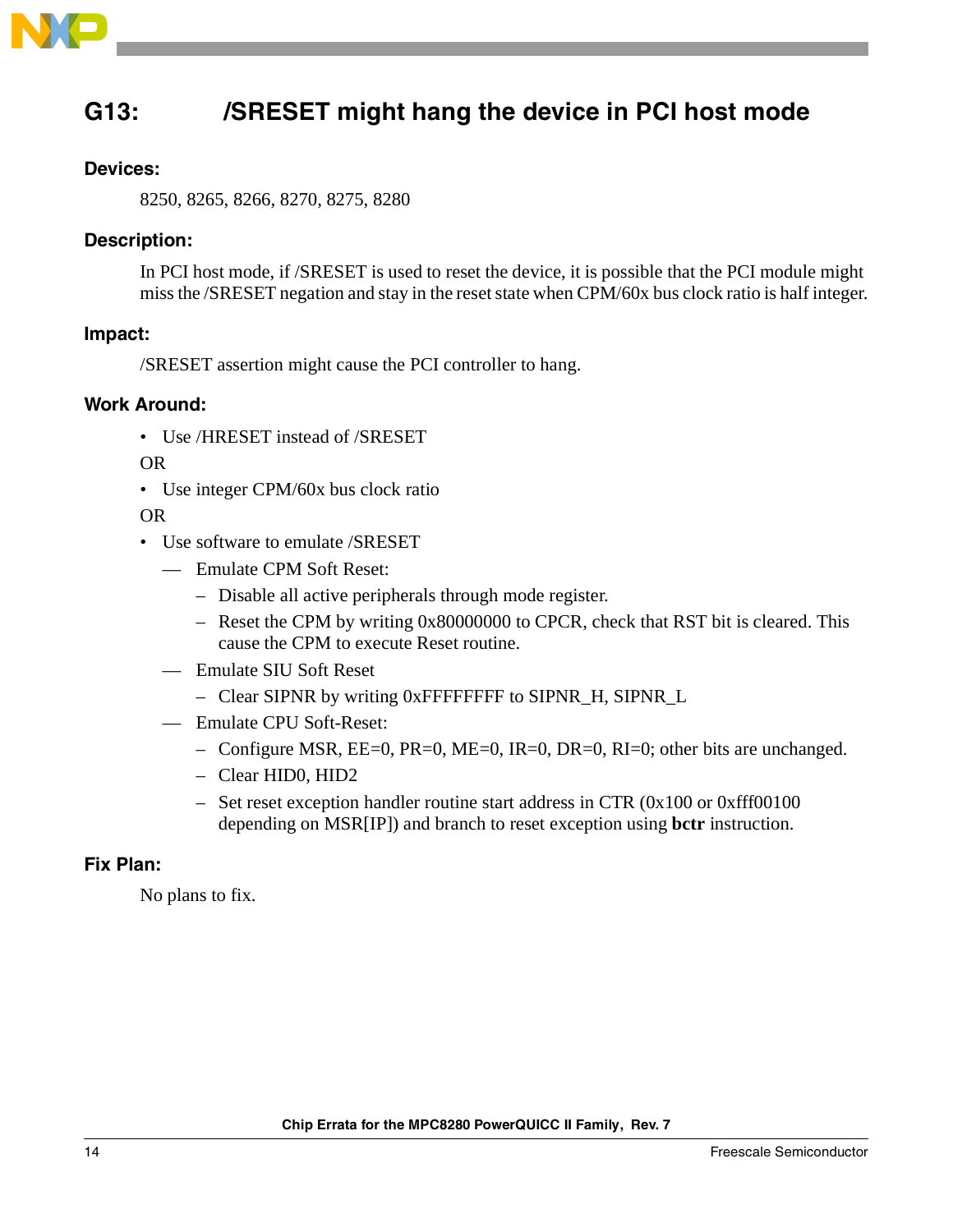

# <span id="page-13-0"></span>**G13: /SRESET might hang the device in PCI host mode**

### **Devices:**

8250, 8265, 8266, 8270, 8275, 8280

### **Description:**

In PCI host mode, if /SRESET is used to reset the device, it is possible that the PCI module might miss the /SRESET negation and stay in the reset state when CPM/60x bus clock ratio is half integer.

### **Impact:**

/SRESET assertion might cause the PCI controller to hang.

### **Work Around:**

• Use /HRESET instead of /SRESET

OR

• Use integer CPM/60x bus clock ratio

OR

- Use software to emulate /SRESET
	- Emulate CPM Soft Reset:
		- Disable all active peripherals through mode register.
		- Reset the CPM by writing 0x80000000 to CPCR, check that RST bit is cleared. This cause the CPM to execute Reset routine.
	- Emulate SIU Soft Reset
		- Clear SIPNR by writing 0xFFFFFFFF to SIPNR\_H, SIPNR\_L
	- Emulate CPU Soft-Reset:
		- Configure MSR,  $EE=0$ ,  $PR=0$ ,  $ME=0$ ,  $IR=0$ ,  $DR=0$ ,  $RI=0$ ; other bits are unchanged.
		- Clear HID0, HID2
		- Set reset exception handler routine start address in CTR (0x100 or 0xfff00100 depending on MSR[IP]) and branch to reset exception using **bctr** instruction.

#### **Fix Plan:**

No plans to fix.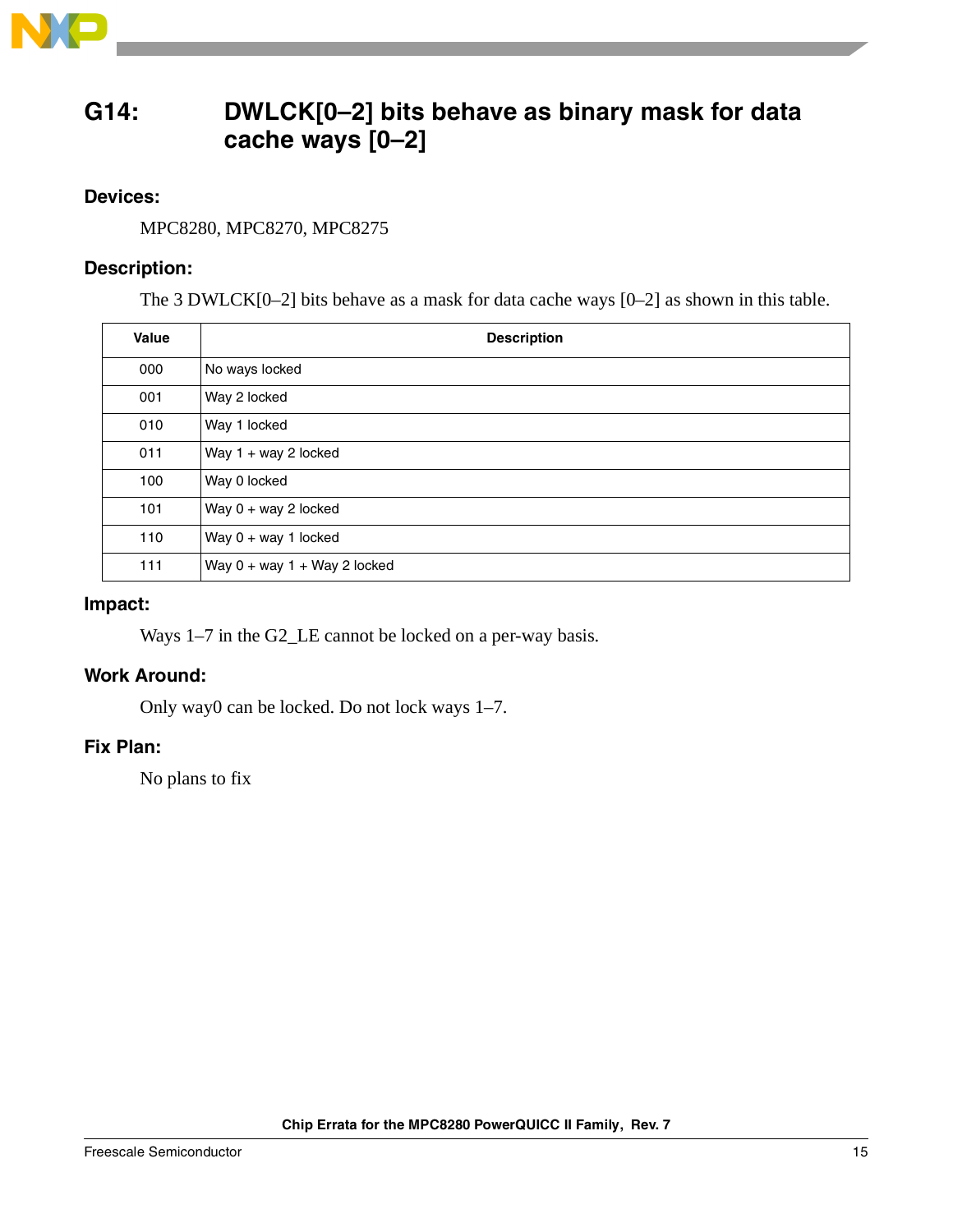

### <span id="page-14-0"></span>**G14: DWLCK[0–2] bits behave as binary mask for data cache ways [0–2]**

### **Devices:**

MPC8280, MPC8270, MPC8275

### **Description:**

The 3 DWLCK[0–2] bits behave as a mask for data cache ways [0–2] as shown in this table.

| Value | <b>Description</b>             |
|-------|--------------------------------|
| 000   | No ways locked                 |
| 001   | Way 2 locked                   |
| 010   | Way 1 locked                   |
| 011   | Way $1 + way 2$ locked         |
| 100   | Way 0 locked                   |
| 101   | Way $0 + way 2$ locked         |
| 110   | Way $0 + way 1$ locked         |
| 111   | Way $0 + way 1 + Way 2 locked$ |

### **Impact:**

Ways 1–7 in the G2<sub>LE</sub> cannot be locked on a per-way basis.

### **Work Around:**

Only way0 can be locked. Do not lock ways 1–7.

### **Fix Plan:**

No plans to fix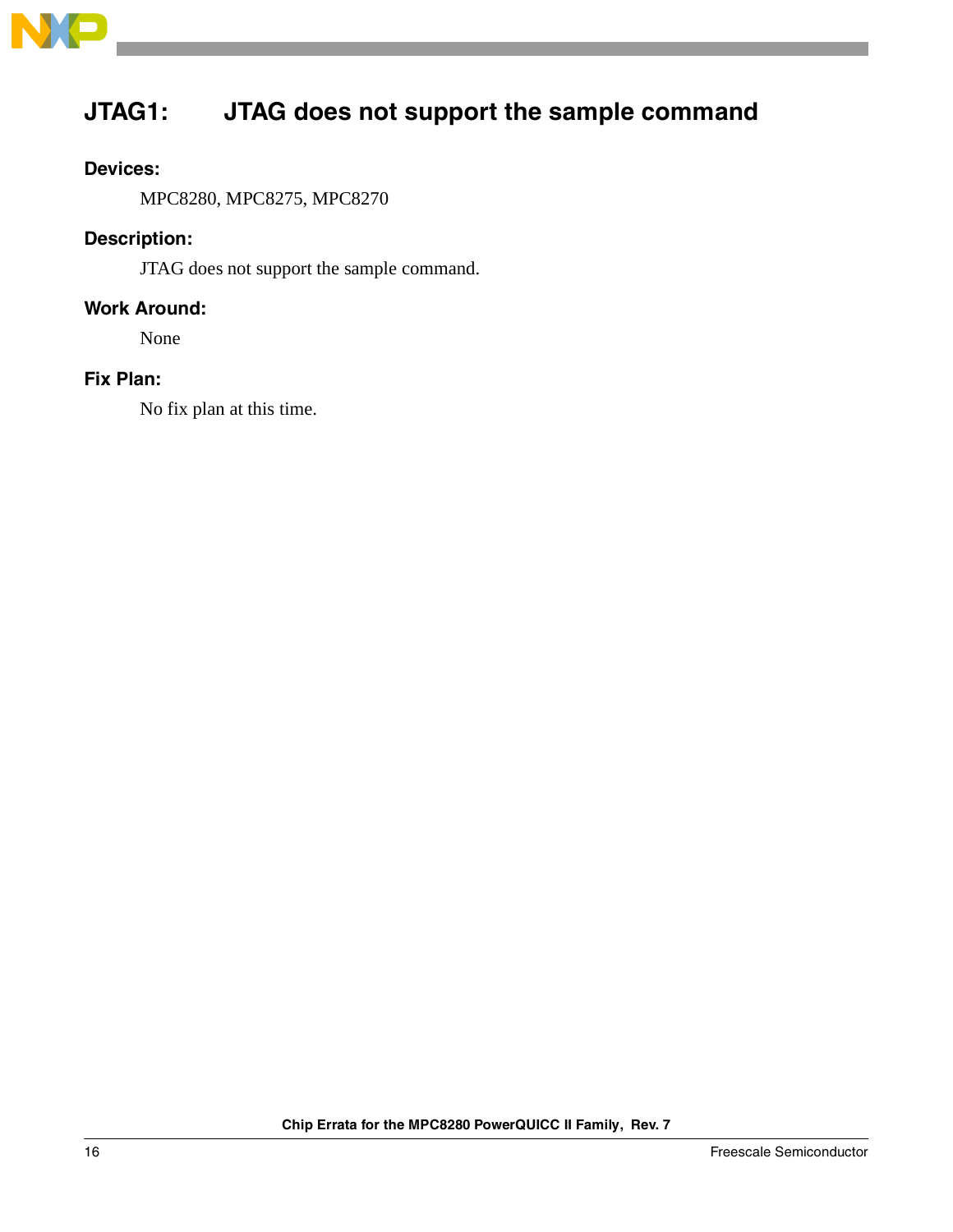

# <span id="page-15-0"></span>**JTAG1: JTAG does not support the sample command**

### **Devices:**

MPC8280, MPC8275, MPC8270

### **Description:**

JTAG does not support the sample command.

### **Work Around:**

None

### **Fix Plan:**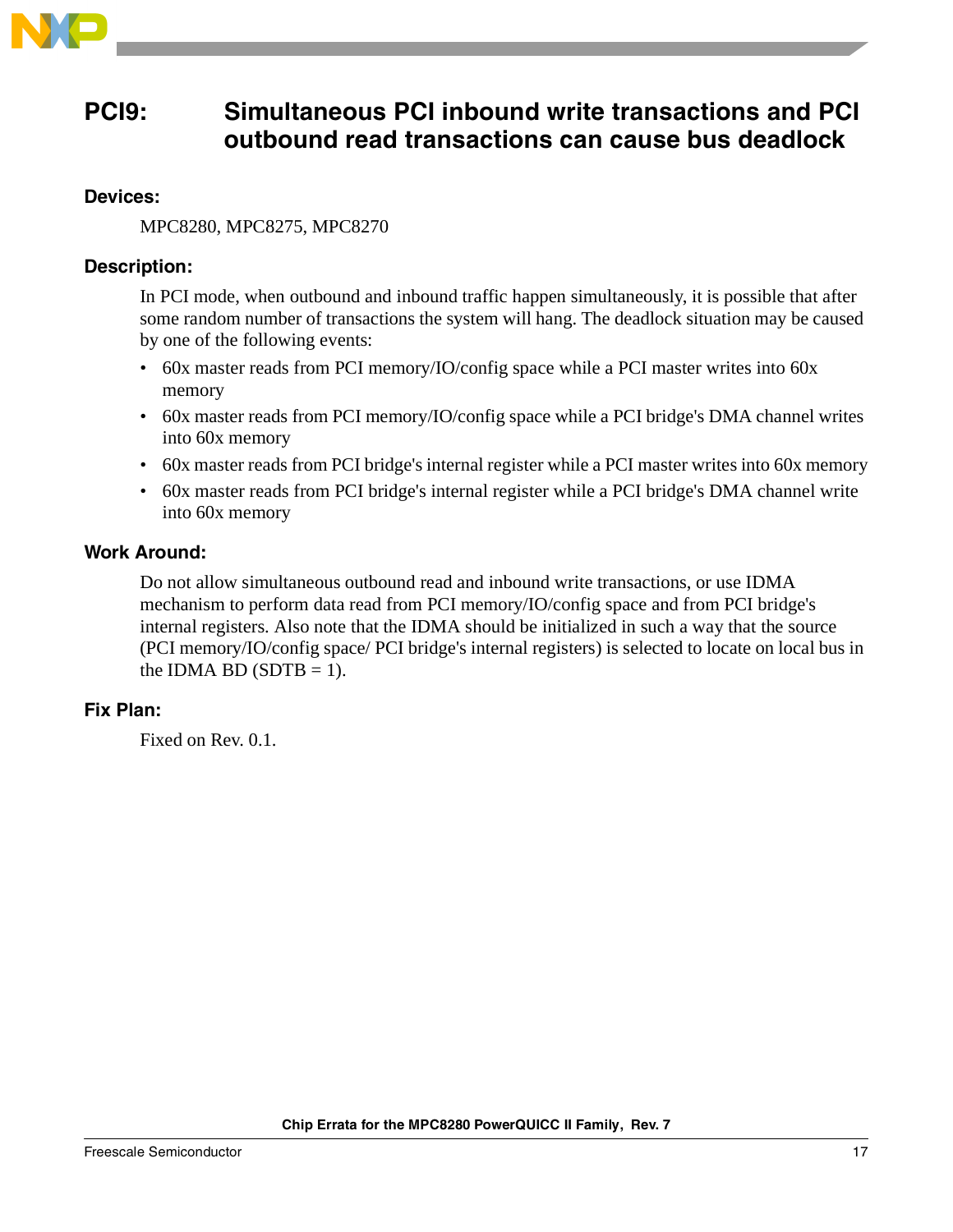

### <span id="page-16-0"></span>**PCI9: Simultaneous PCI inbound write transactions and PCI outbound read transactions can cause bus deadlock**

### **Devices:**

MPC8280, MPC8275, MPC8270

### **Description:**

In PCI mode, when outbound and inbound traffic happen simultaneously, it is possible that after some random number of transactions the system will hang. The deadlock situation may be caused by one of the following events:

- 60x master reads from PCI memory/IO/config space while a PCI master writes into 60x memory
- 60x master reads from PCI memory/IO/config space while a PCI bridge's DMA channel writes into 60x memory
- 60x master reads from PCI bridge's internal register while a PCI master writes into 60x memory
- 60x master reads from PCI bridge's internal register while a PCI bridge's DMA channel write into 60x memory

### **Work Around:**

Do not allow simultaneous outbound read and inbound write transactions, or use IDMA mechanism to perform data read from PCI memory/IO/config space and from PCI bridge's internal registers. Also note that the IDMA should be initialized in such a way that the source (PCI memory/IO/config space/ PCI bridge's internal registers) is selected to locate on local bus in the IDMA BD (SDTB  $= 1$ ).

### **Fix Plan:**

Fixed on Rev. 0.1.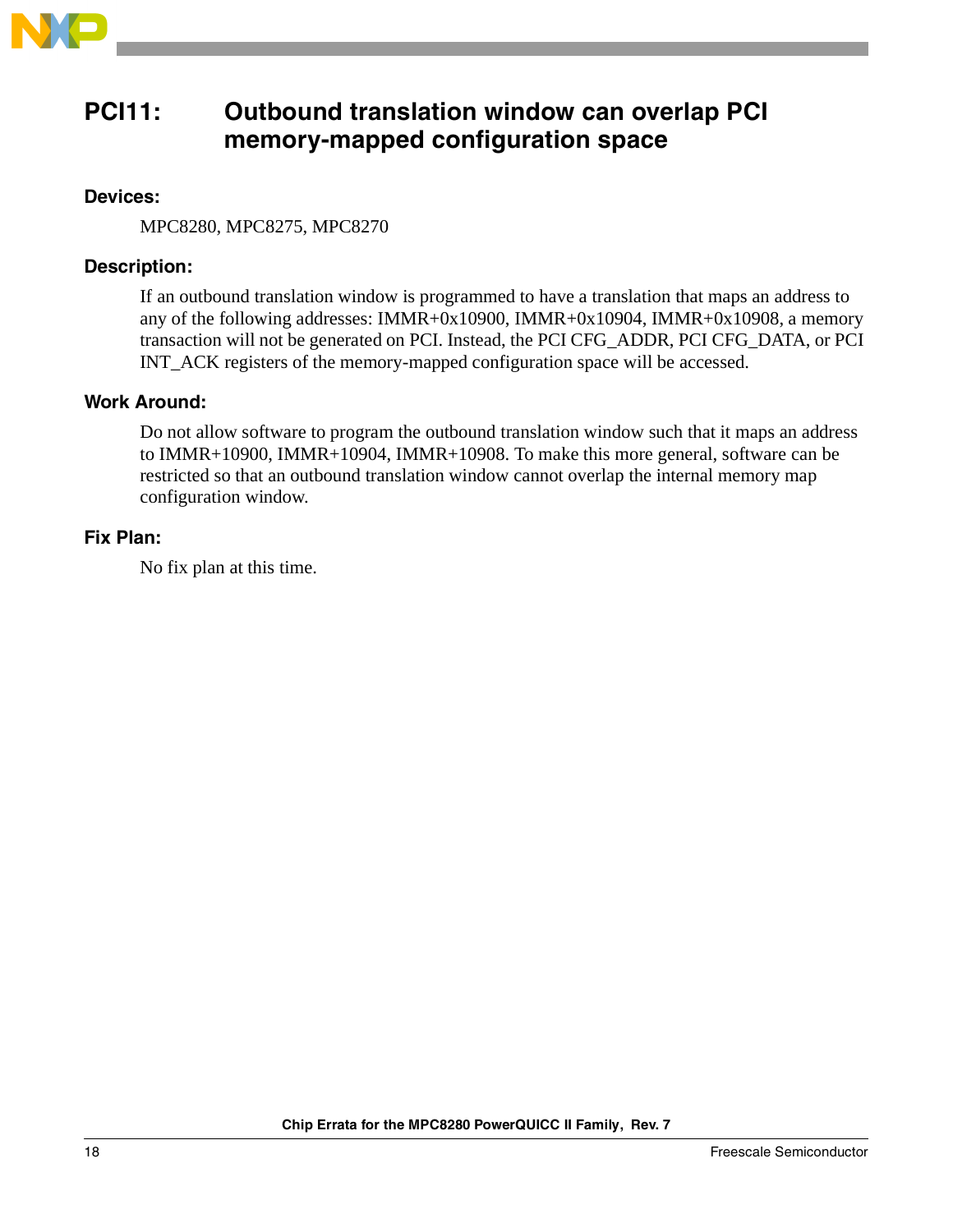

### <span id="page-17-0"></span>**PCI11: Outbound translation window can overlap PCI memory-mapped configuration space**

### **Devices:**

MPC8280, MPC8275, MPC8270

### **Description:**

If an outbound translation window is programmed to have a translation that maps an address to any of the following addresses: IMMR+0x10900, IMMR+0x10904, IMMR+0x10908, a memory transaction will not be generated on PCI. Instead, the PCI CFG\_ADDR, PCI CFG\_DATA, or PCI INT\_ACK registers of the memory-mapped configuration space will be accessed.

### **Work Around:**

Do not allow software to program the outbound translation window such that it maps an address to IMMR+10900, IMMR+10904, IMMR+10908. To make this more general, software can be restricted so that an outbound translation window cannot overlap the internal memory map configuration window.

### **Fix Plan:**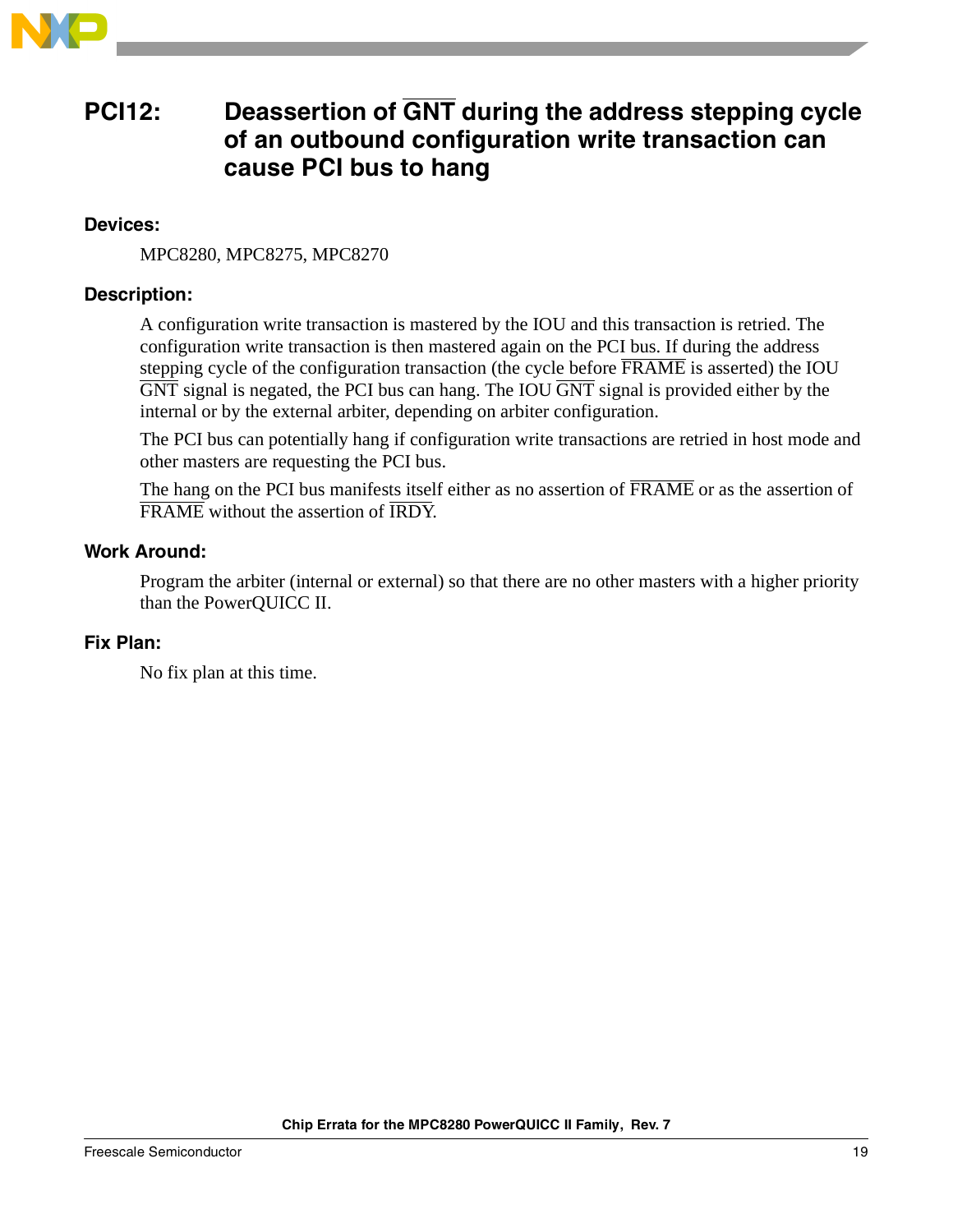

### <span id="page-18-0"></span>**PCI12: Deassertion of GNT during the address stepping cycle of an outbound configuration write transaction can cause PCI bus to hang**

### **Devices:**

MPC8280, MPC8275, MPC8270

### **Description:**

A configuration write transaction is mastered by the IOU and this transaction is retried. The configuration write transaction is then mastered again on the PCI bus. If during the address stepping cycle of the configuration transaction (the cycle before  $\overline{FRAME}$  is asserted) the IOU  $\overline{GNT}$  signal is negated, the PCI bus can hang. The IOU  $\overline{GNT}$  signal is provided either by the internal or by the external arbiter, depending on arbiter configuration.

The PCI bus can potentially hang if configuration write transactions are retried in host mode and other masters are requesting the PCI bus.

The hang on the PCI bus manifests itself either as no assertion of  $\overline{FRAME}$  or as the assertion of FRAME without the assertion of IRDY.

### **Work Around:**

Program the arbiter (internal or external) so that there are no other masters with a higher priority than the PowerQUICC II.

### **Fix Plan:**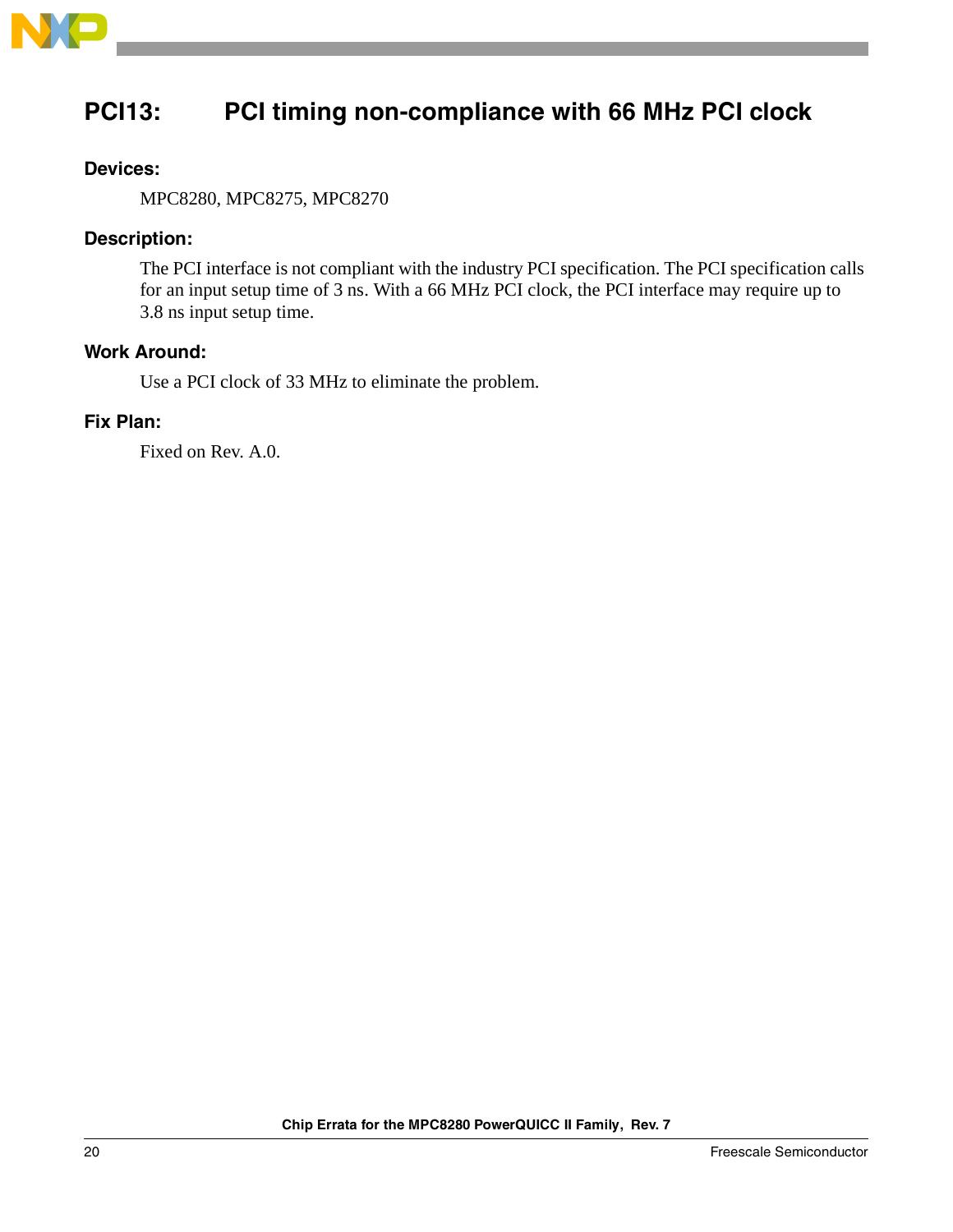

# <span id="page-19-0"></span>**PCI13: PCI timing non-compliance with 66 MHz PCI clock**

### **Devices:**

MPC8280, MPC8275, MPC8270

### **Description:**

The PCI interface is not compliant with the industry PCI specification. The PCI specification calls for an input setup time of 3 ns. With a 66 MHz PCI clock, the PCI interface may require up to 3.8 ns input setup time.

### **Work Around:**

Use a PCI clock of 33 MHz to eliminate the problem.

#### **Fix Plan:**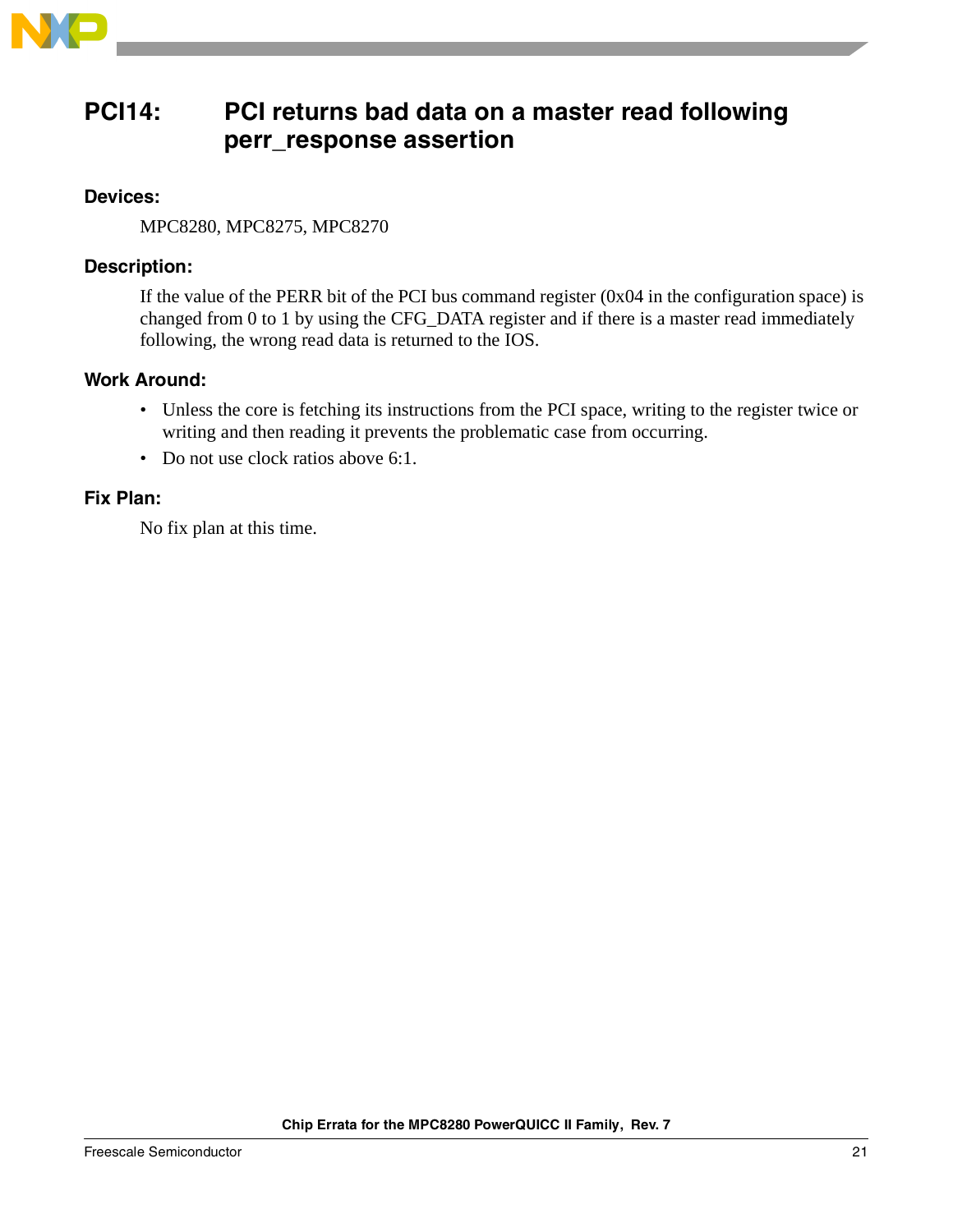

### <span id="page-20-0"></span>**PCI14: PCI returns bad data on a master read following perr\_response assertion**

### **Devices:**

MPC8280, MPC8275, MPC8270

### **Description:**

If the value of the PERR bit of the PCI bus command register (0x04 in the configuration space) is changed from 0 to 1 by using the CFG\_DATA register and if there is a master read immediately following, the wrong read data is returned to the IOS.

### **Work Around:**

- Unless the core is fetching its instructions from the PCI space, writing to the register twice or writing and then reading it prevents the problematic case from occurring.
- Do not use clock ratios above 6:1.

### **Fix Plan:**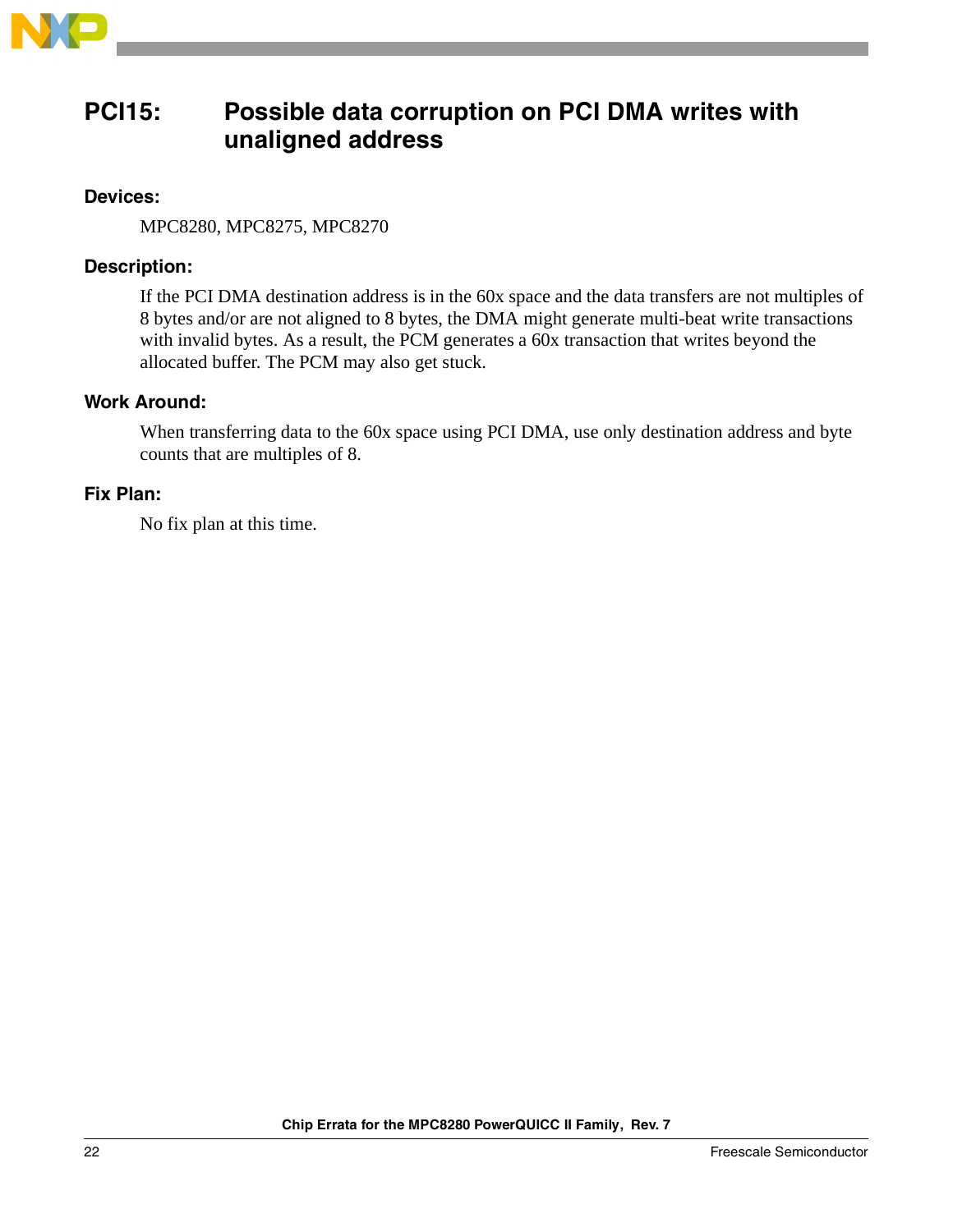

### <span id="page-21-0"></span>**PCI15: Possible data corruption on PCI DMA writes with unaligned address**

### **Devices:**

MPC8280, MPC8275, MPC8270

### **Description:**

If the PCI DMA destination address is in the 60x space and the data transfers are not multiples of 8 bytes and/or are not aligned to 8 bytes, the DMA might generate multi-beat write transactions with invalid bytes. As a result, the PCM generates a 60x transaction that writes beyond the allocated buffer. The PCM may also get stuck.

### **Work Around:**

When transferring data to the 60x space using PCI DMA, use only destination address and byte counts that are multiples of 8.

### **Fix Plan:**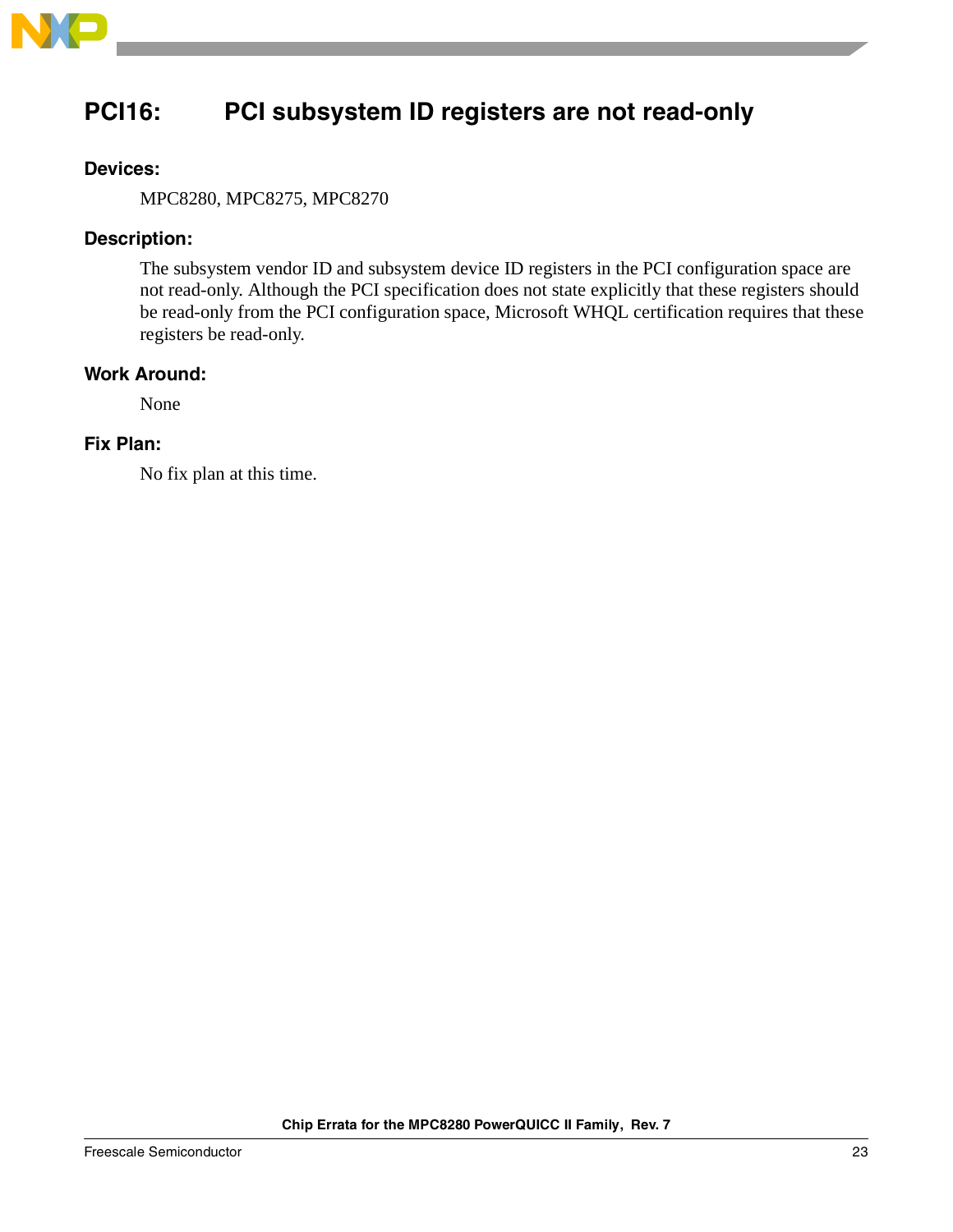

# <span id="page-22-0"></span>**PCI16: PCI subsystem ID registers are not read-only**

### **Devices:**

MPC8280, MPC8275, MPC8270

### **Description:**

The subsystem vendor ID and subsystem device ID registers in the PCI configuration space are not read-only. Although the PCI specification does not state explicitly that these registers should be read-only from the PCI configuration space, Microsoft WHQL certification requires that these registers be read-only.

### **Work Around:**

None

### **Fix Plan:**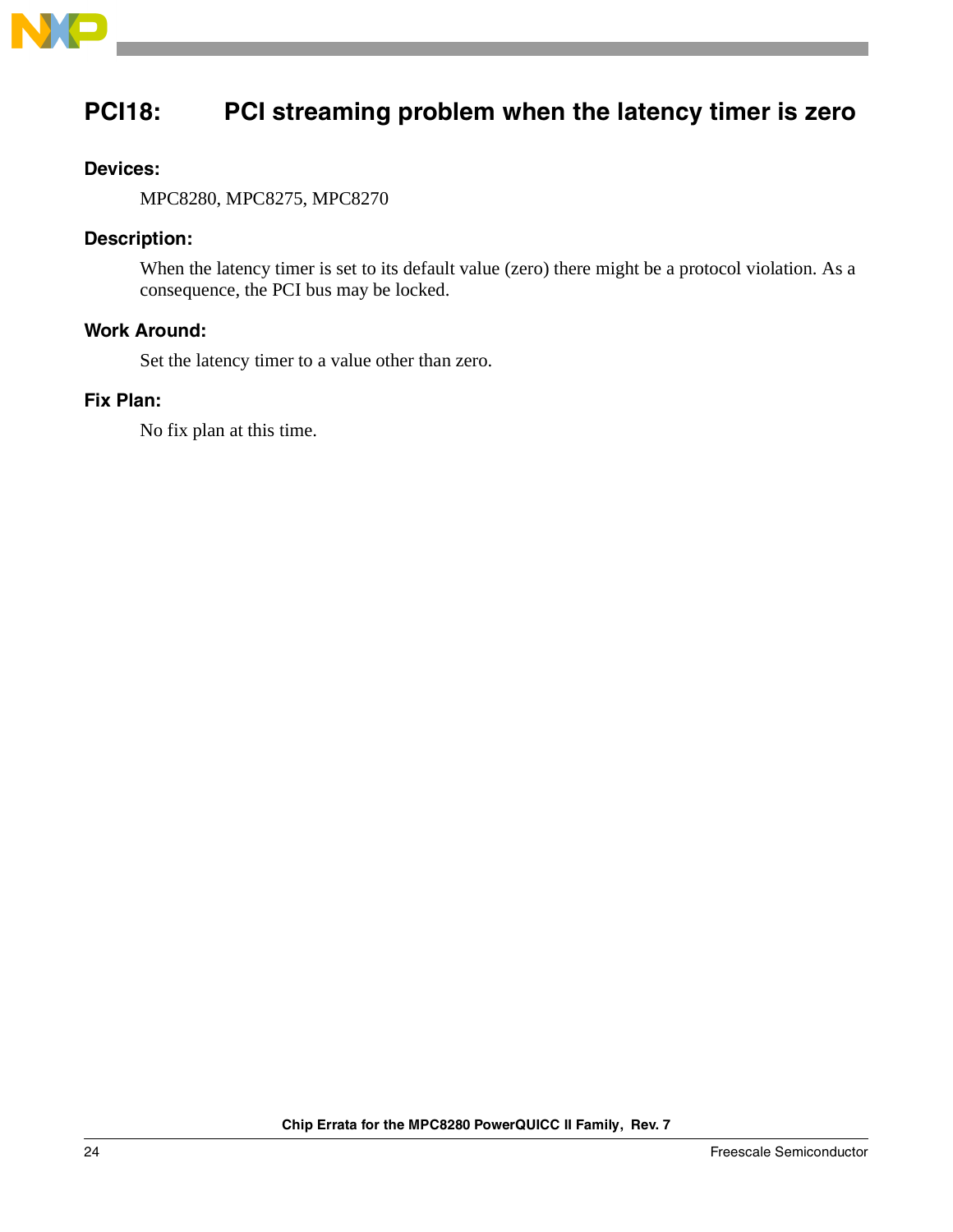

# <span id="page-23-0"></span>**PCI18: PCI streaming problem when the latency timer is zero**

### **Devices:**

MPC8280, MPC8275, MPC8270

### **Description:**

When the latency timer is set to its default value (zero) there might be a protocol violation. As a consequence, the PCI bus may be locked.

### **Work Around:**

Set the latency timer to a value other than zero.

### **Fix Plan:**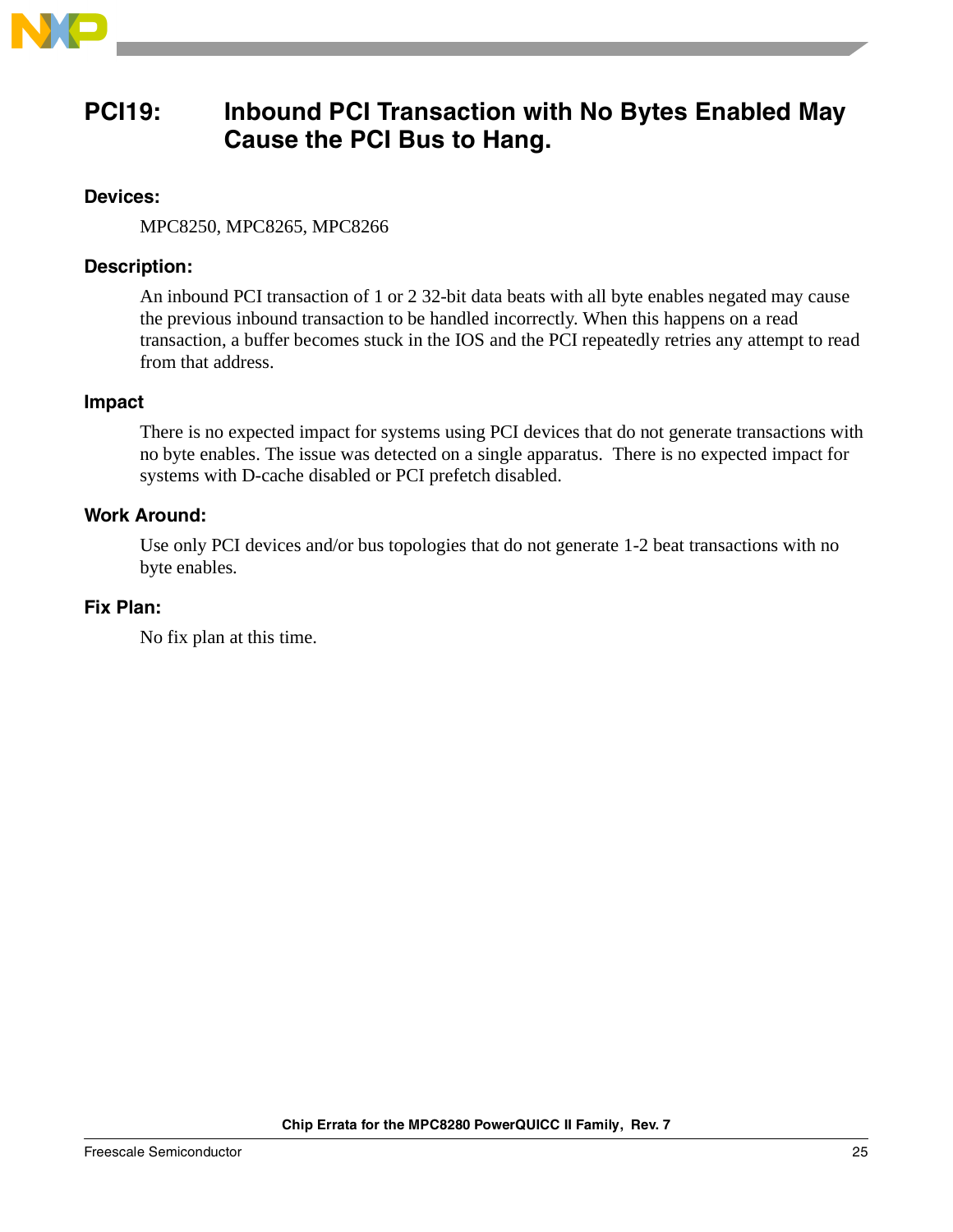

### <span id="page-24-0"></span>**PCI19: Inbound PCI Transaction with No Bytes Enabled May Cause the PCI Bus to Hang.**

### **Devices:**

MPC8250, MPC8265, MPC8266

### **Description:**

An inbound PCI transaction of 1 or 2 32-bit data beats with all byte enables negated may cause the previous inbound transaction to be handled incorrectly. When this happens on a read transaction, a buffer becomes stuck in the IOS and the PCI repeatedly retries any attempt to read from that address.

### **Impact**

There is no expected impact for systems using PCI devices that do not generate transactions with no byte enables. The issue was detected on a single apparatus. There is no expected impact for systems with D-cache disabled or PCI prefetch disabled.

### **Work Around:**

Use only PCI devices and/or bus topologies that do not generate 1-2 beat transactions with no byte enables.

### **Fix Plan:**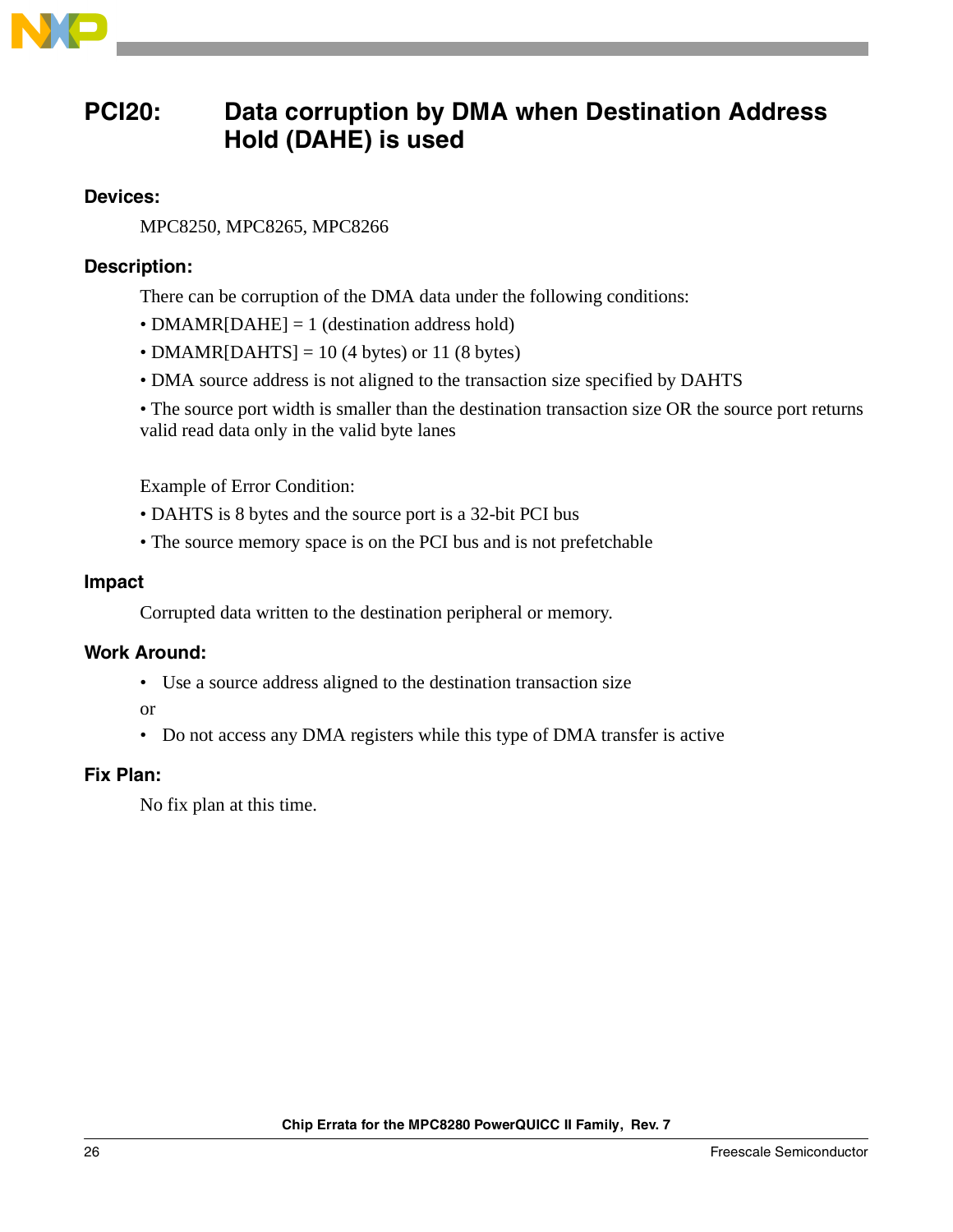

### <span id="page-25-0"></span>**PCI20: Data corruption by DMA when Destination Address Hold (DAHE) is used**

### **Devices:**

MPC8250, MPC8265, MPC8266

### **Description:**

There can be corruption of the DMA data under the following conditions:

- DMAMR[DAHE] = 1 (destination address hold)
- DMAMR[DAHTS] = 10 (4 bytes) or 11 (8 bytes)
- DMA source address is not aligned to the transaction size specified by DAHTS

• The source port width is smaller than the destination transaction size OR the source port returns valid read data only in the valid byte lanes

Example of Error Condition:

- DAHTS is 8 bytes and the source port is a 32-bit PCI bus
- The source memory space is on the PCI bus and is not prefetchable

### **Impact**

Corrupted data written to the destination peripheral or memory.

### **Work Around:**

• Use a source address aligned to the destination transaction size

or

• Do not access any DMA registers while this type of DMA transfer is active

### **Fix Plan:**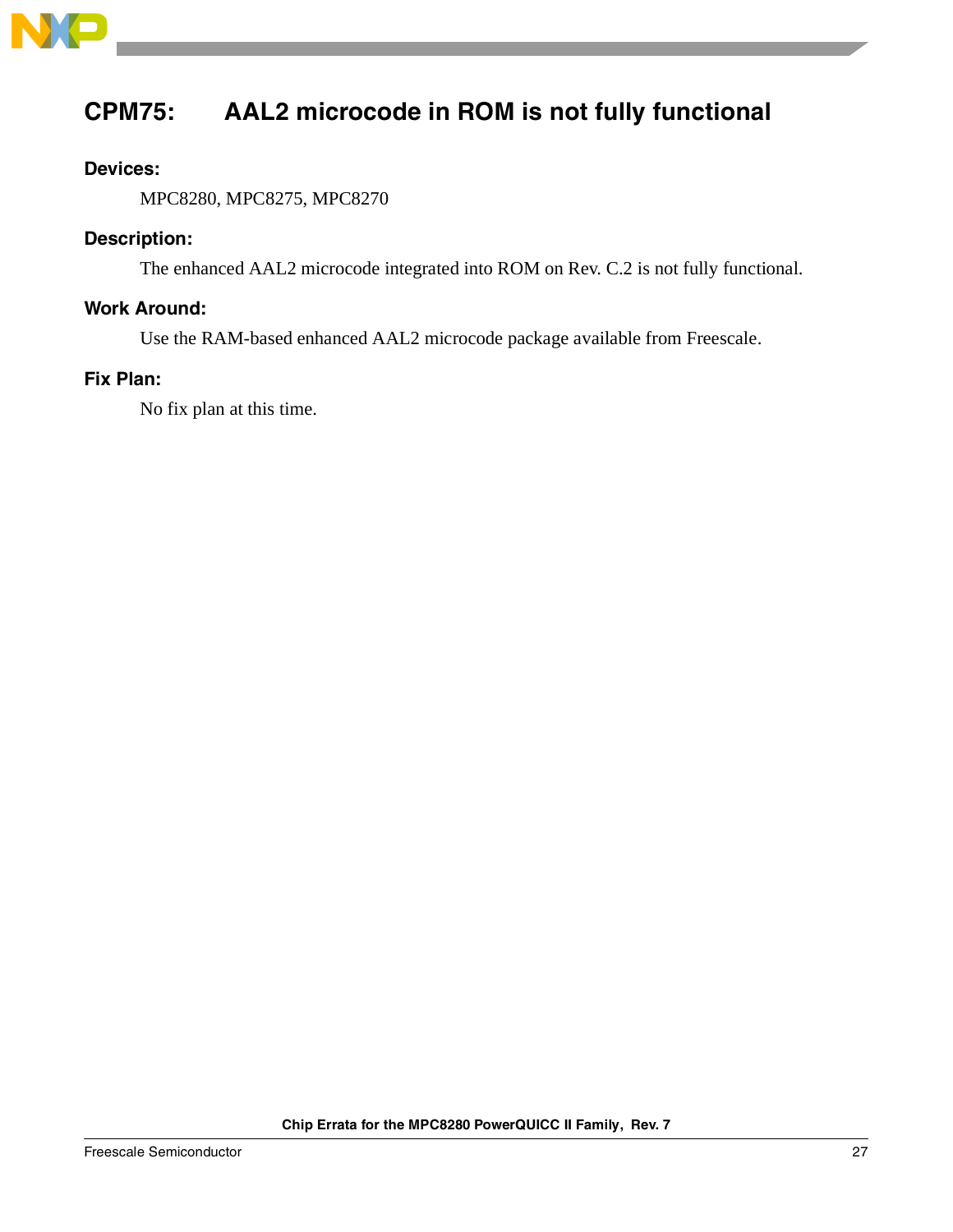

# <span id="page-26-0"></span>**CPM75: AAL2 microcode in ROM is not fully functional**

### **Devices:**

MPC8280, MPC8275, MPC8270

### **Description:**

The enhanced AAL2 microcode integrated into ROM on Rev. C.2 is not fully functional.

### **Work Around:**

Use the RAM-based enhanced AAL2 microcode package available from Freescale.

### **Fix Plan:**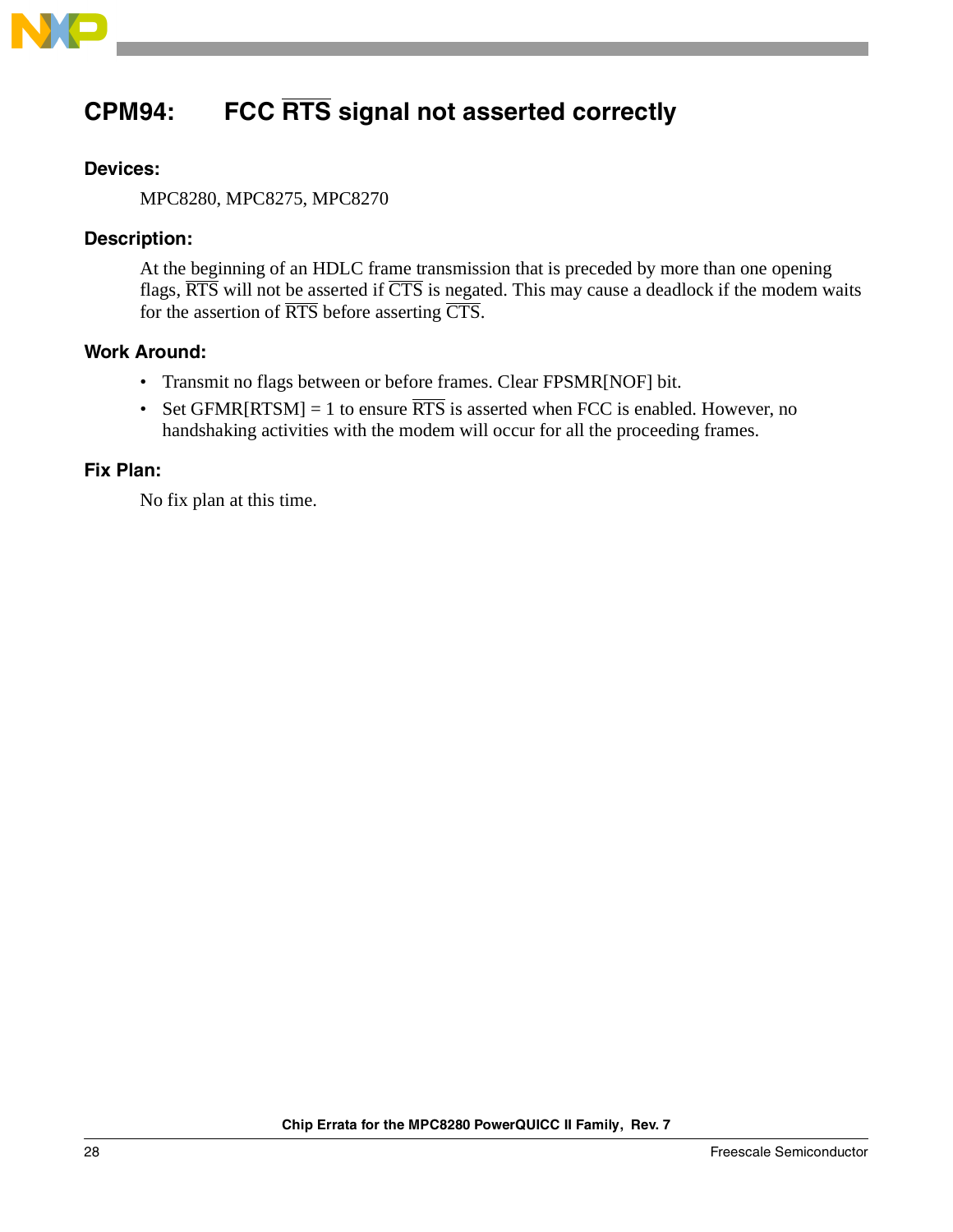

# **CPM94: FCC RTS signal not asserted correctly**

### **Devices:**

MPC8280, MPC8275, MPC8270

### **Description:**

At the beginning of an HDLC frame transmission that is preceded by more than one opening flags,  $\overline{RTS}$  will not be asserted if  $\overline{CTS}$  is negated. This may cause a deadlock if the modem waits for the assertion of RTS before asserting CTS.

### **Work Around:**

- Transmit no flags between or before frames. Clear FPSMR[NOF] bit.
- Set GFMR[RTSM] = 1 to ensure  $\overline{RTS}$  is asserted when FCC is enabled. However, no handshaking activities with the modem will occur for all the proceeding frames.

#### **Fix Plan:**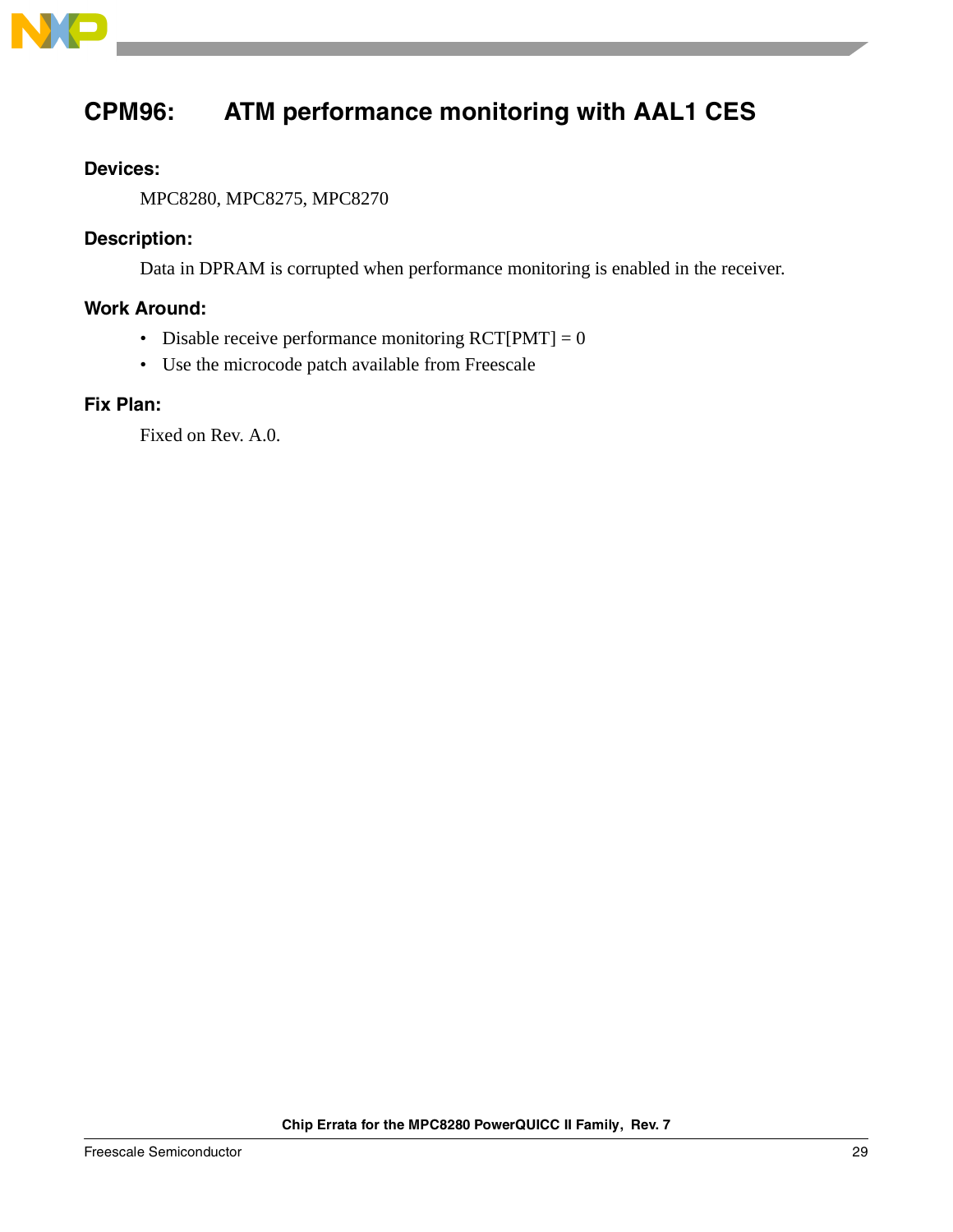

# <span id="page-28-0"></span>**CPM96: ATM performance monitoring with AAL1 CES**

### **Devices:**

MPC8280, MPC8275, MPC8270

### **Description:**

Data in DPRAM is corrupted when performance monitoring is enabled in the receiver.

### **Work Around:**

- Disable receive performance monitoring  $\text{RCT}[PMT] = 0$
- Use the microcode patch available from Freescale

### **Fix Plan:**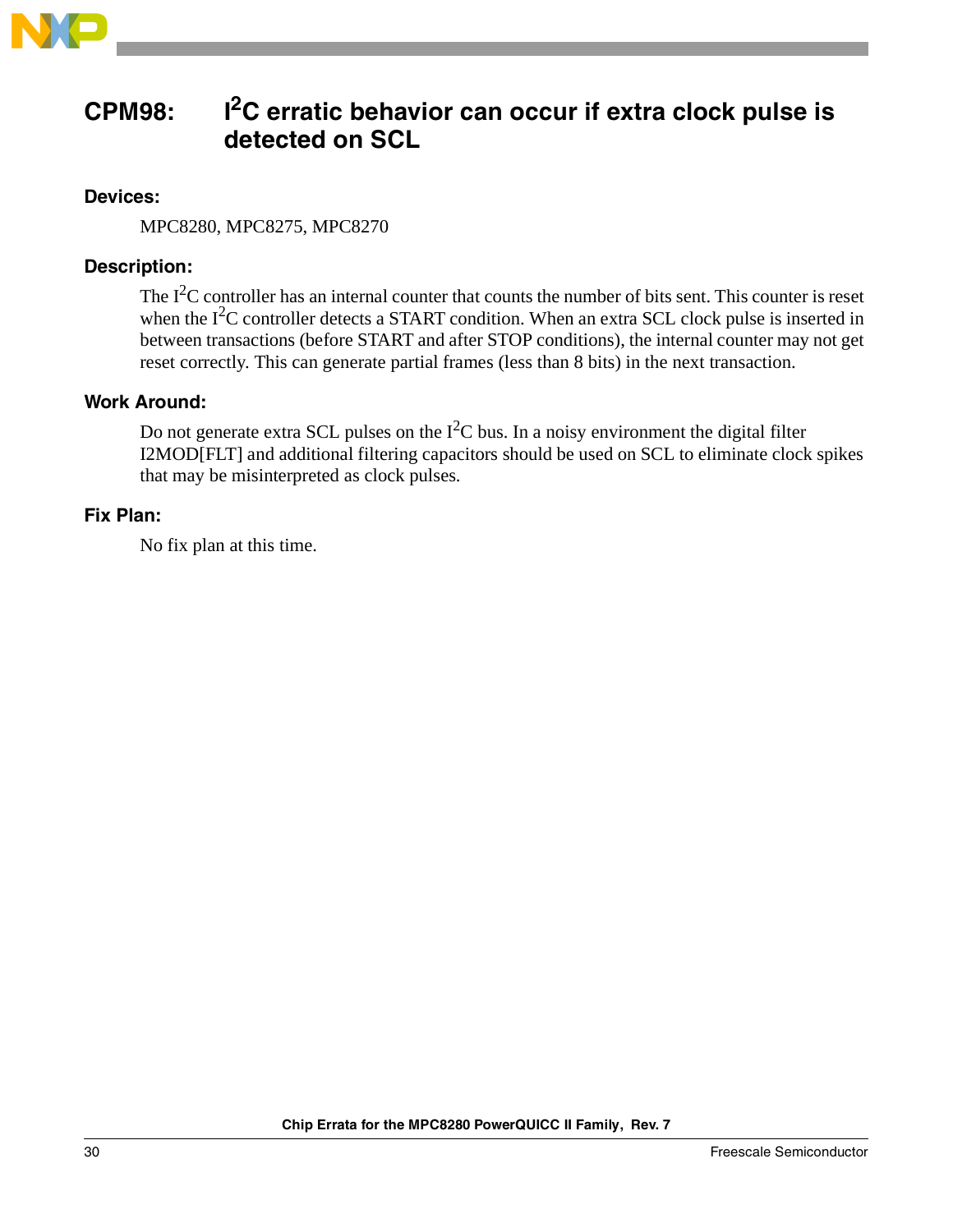

# <span id="page-29-0"></span>**CPM98: I2C erratic behavior can occur if extra clock pulse is detected on SCL**

### **Devices:**

MPC8280, MPC8275, MPC8270

### **Description:**

The  $I<sup>2</sup>C$  controller has an internal counter that counts the number of bits sent. This counter is reset when the  $I^2C$  controller detects a START condition. When an extra SCL clock pulse is inserted in between transactions (before START and after STOP conditions), the internal counter may not get reset correctly. This can generate partial frames (less than 8 bits) in the next transaction.

### **Work Around:**

Do not generate extra SCL pulses on the  $I^2C$  bus. In a noisy environment the digital filter I2MOD[FLT] and additional filtering capacitors should be used on SCL to eliminate clock spikes that may be misinterpreted as clock pulses.

### **Fix Plan:**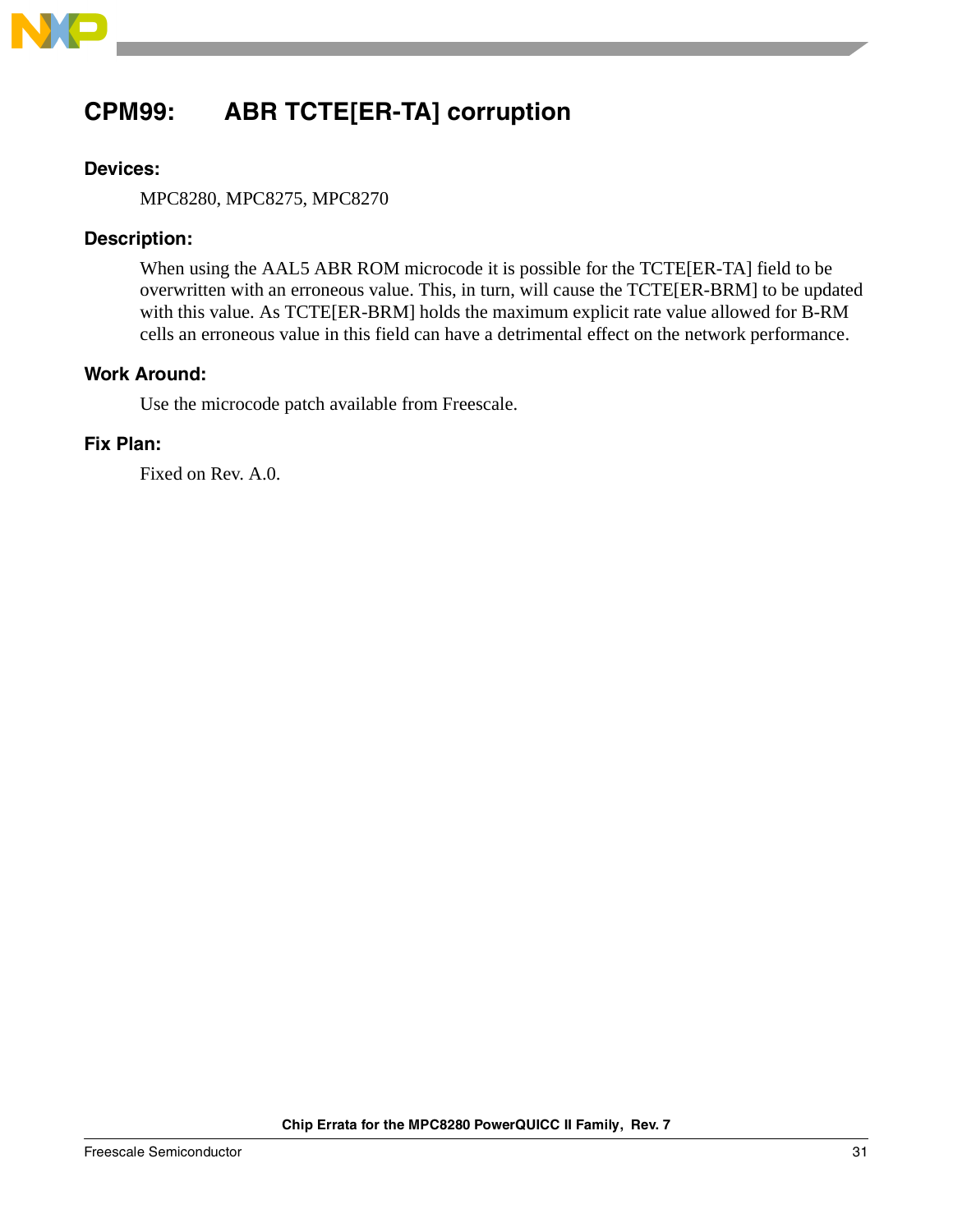

# <span id="page-30-0"></span>**CPM99: ABR TCTE[ER-TA] corruption**

### **Devices:**

MPC8280, MPC8275, MPC8270

### **Description:**

When using the AAL5 ABR ROM microcode it is possible for the TCTE[ER-TA] field to be overwritten with an erroneous value. This, in turn, will cause the TCTE[ER-BRM] to be updated with this value. As TCTE[ER-BRM] holds the maximum explicit rate value allowed for B-RM cells an erroneous value in this field can have a detrimental effect on the network performance.

### **Work Around:**

Use the microcode patch available from Freescale.

### **Fix Plan:**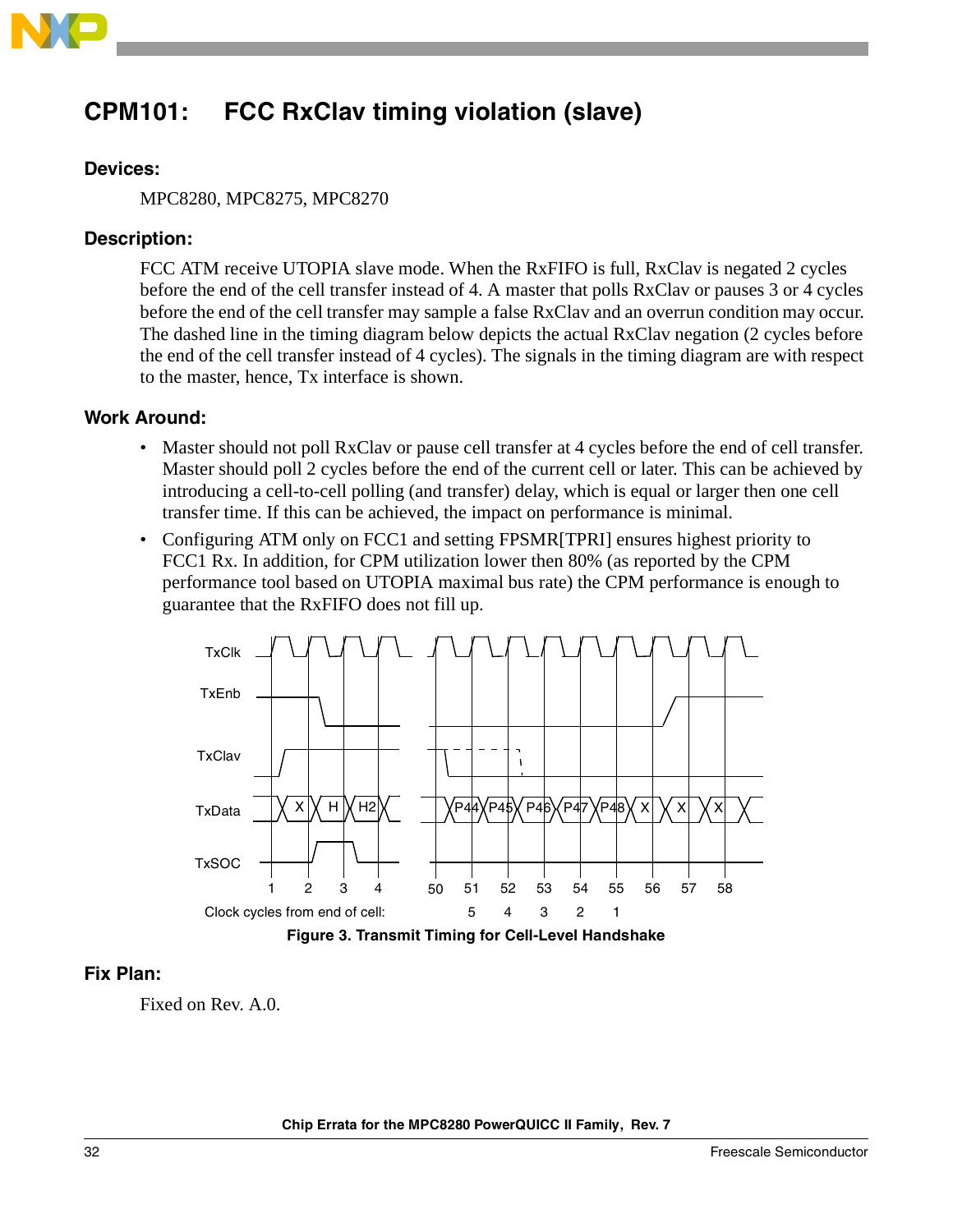

# <span id="page-31-0"></span>**CPM101: FCC RxClav timing violation (slave)**

### **Devices:**

MPC8280, MPC8275, MPC8270

### **Description:**

FCC ATM receive UTOPIA slave mode. When the RxFIFO is full, RxClav is negated 2 cycles before the end of the cell transfer instead of 4. A master that polls RxClav or pauses 3 or 4 cycles before the end of the cell transfer may sample a false RxClav and an overrun condition may occur. The dashed line in the timing diagram below depicts the actual RxClav negation (2 cycles before the end of the cell transfer instead of 4 cycles). The signals in the timing diagram are with respect to the master, hence, Tx interface is shown.

### **Work Around:**

- Master should not poll RxClav or pause cell transfer at 4 cycles before the end of cell transfer. Master should poll 2 cycles before the end of the current cell or later. This can be achieved by introducing a cell-to-cell polling (and transfer) delay, which is equal or larger then one cell transfer time. If this can be achieved, the impact on performance is minimal.
- Configuring ATM only on FCC1 and setting FPSMR[TPRI] ensures highest priority to FCC1 Rx. In addition, for CPM utilization lower then 80% (as reported by the CPM performance tool based on UTOPIA maximal bus rate) the CPM performance is enough to guarantee that the RxFIFO does not fill up.



**Figure 3. Transmit Timing for Cell-Level Handshake**

### **Fix Plan:**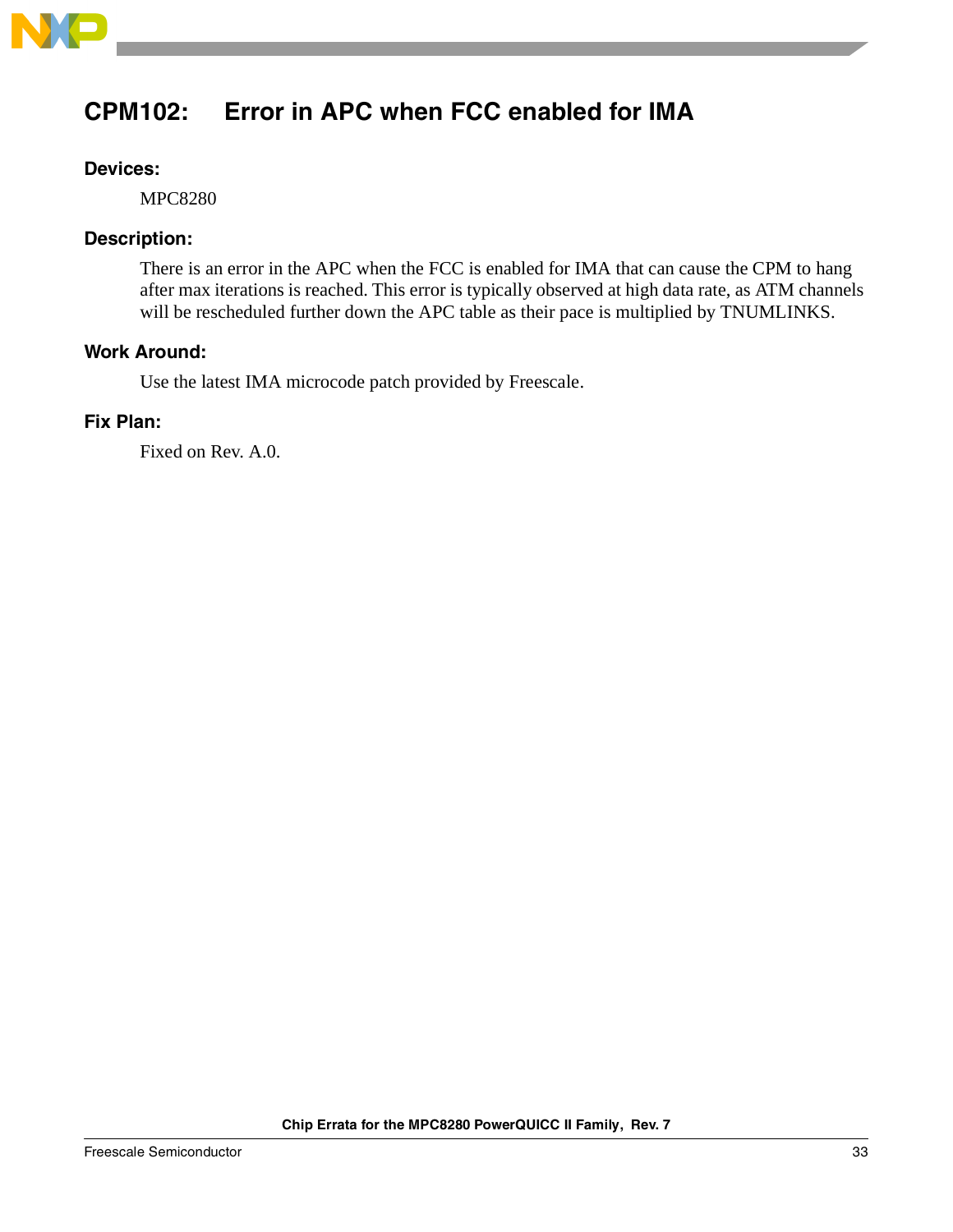

# <span id="page-32-0"></span>**CPM102: Error in APC when FCC enabled for IMA**

### **Devices:**

MPC8280

### **Description:**

There is an error in the APC when the FCC is enabled for IMA that can cause the CPM to hang after max iterations is reached. This error is typically observed at high data rate, as ATM channels will be rescheduled further down the APC table as their pace is multiplied by TNUMLINKS.

### **Work Around:**

Use the latest IMA microcode patch provided by Freescale.

### **Fix Plan:**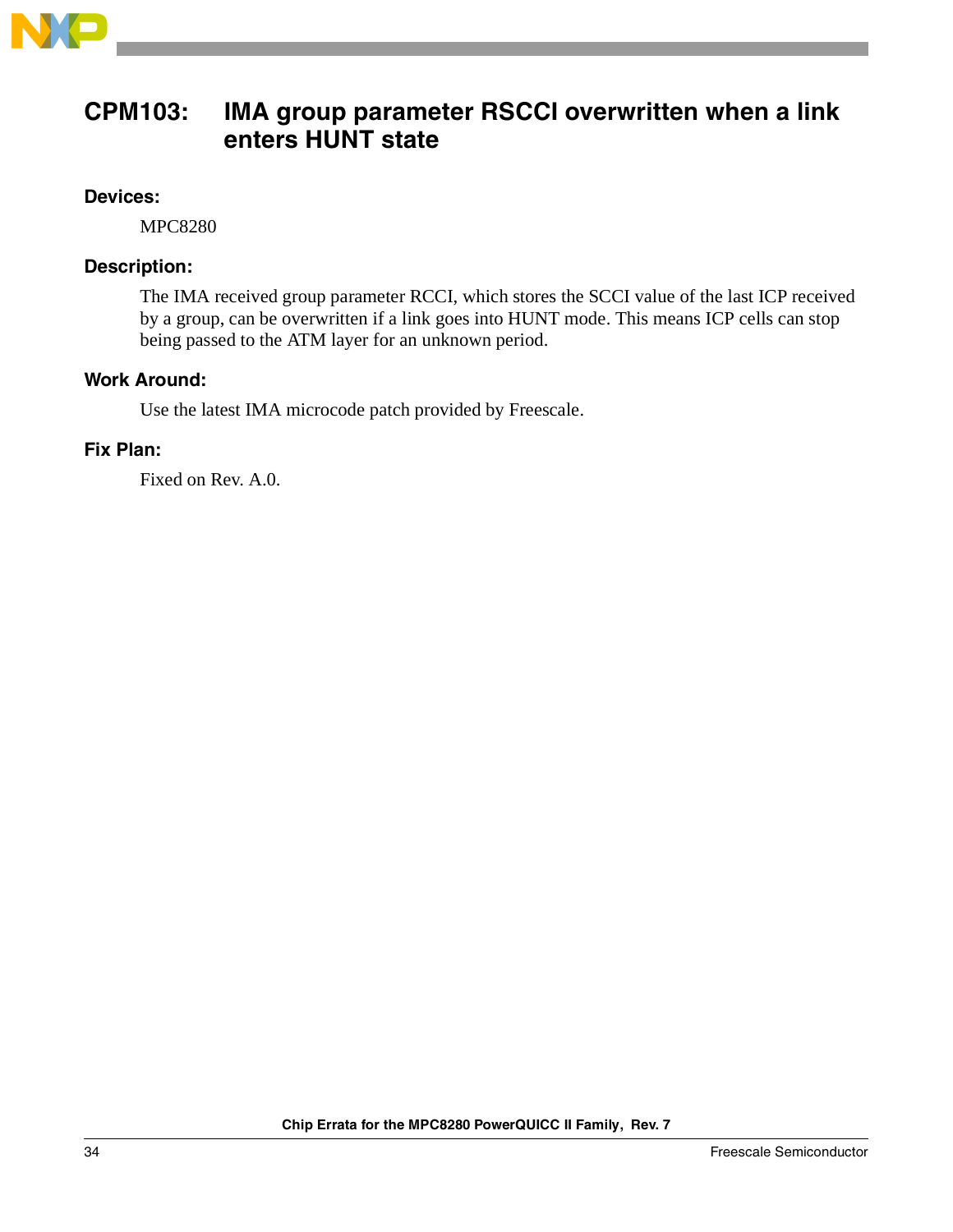

### <span id="page-33-0"></span>**CPM103: IMA group parameter RSCCI overwritten when a link enters HUNT state**

### **Devices:**

MPC8280

### **Description:**

The IMA received group parameter RCCI, which stores the SCCI value of the last ICP received by a group, can be overwritten if a link goes into HUNT mode. This means ICP cells can stop being passed to the ATM layer for an unknown period.

### **Work Around:**

Use the latest IMA microcode patch provided by Freescale.

### **Fix Plan:**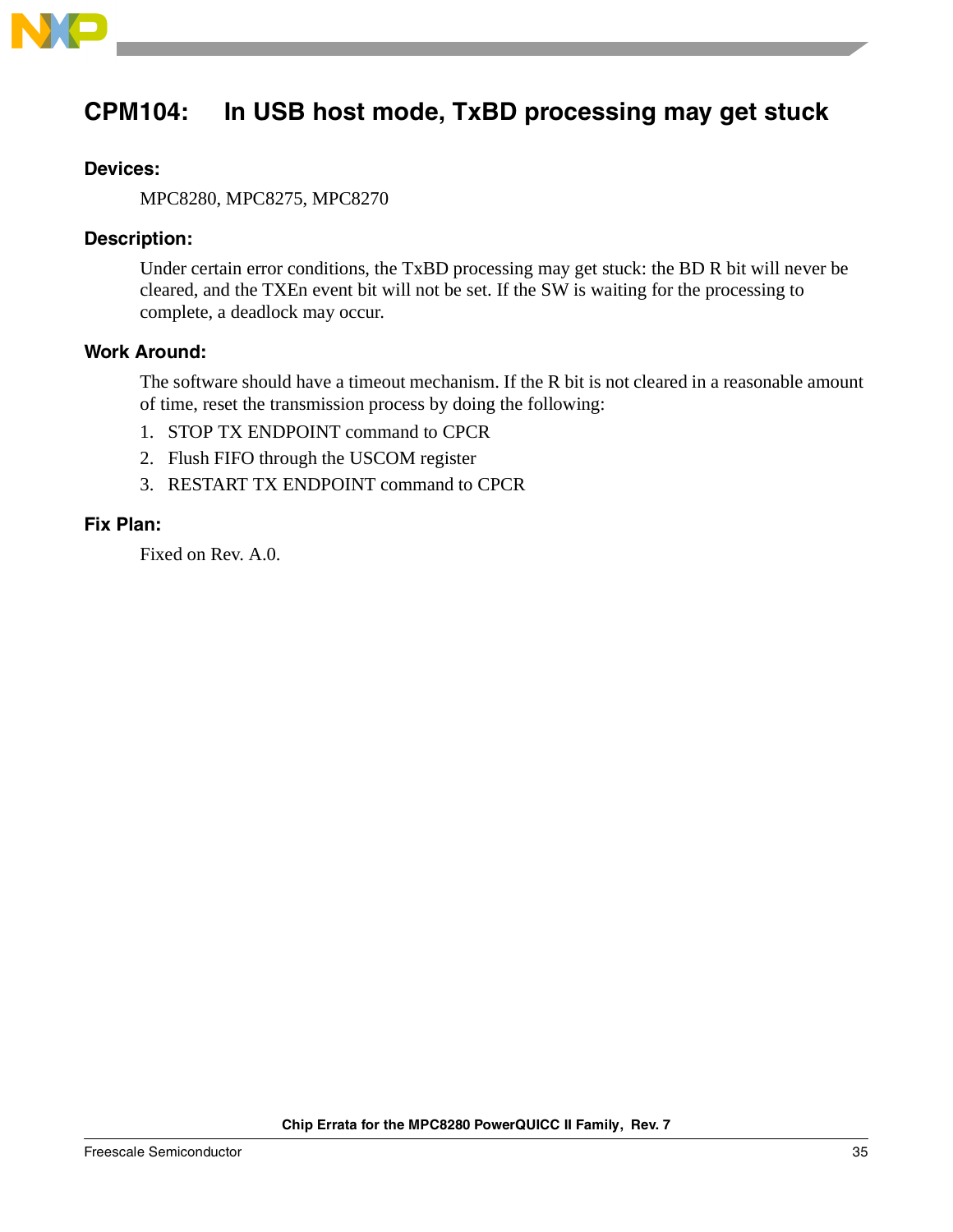

### <span id="page-34-0"></span>**CPM104: In USB host mode, TxBD processing may get stuck**

### **Devices:**

MPC8280, MPC8275, MPC8270

### **Description:**

Under certain error conditions, the TxBD processing may get stuck: the BD R bit will never be cleared, and the TXEn event bit will not be set. If the SW is waiting for the processing to complete, a deadlock may occur.

### **Work Around:**

The software should have a timeout mechanism. If the R bit is not cleared in a reasonable amount of time, reset the transmission process by doing the following:

- 1. STOP TX ENDPOINT command to CPCR
- 2. Flush FIFO through the USCOM register
- 3. RESTART TX ENDPOINT command to CPCR

### **Fix Plan:**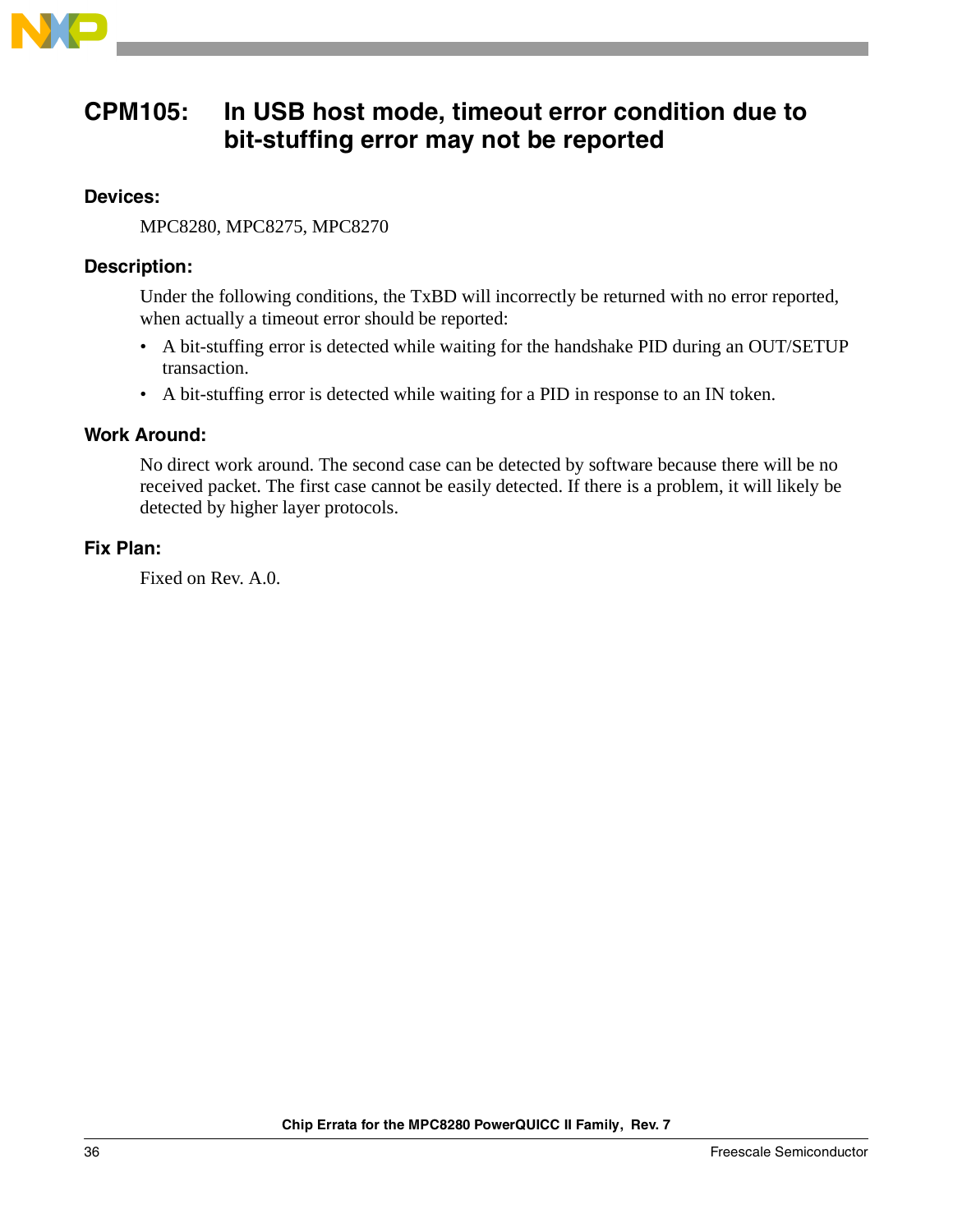

### <span id="page-35-0"></span>**CPM105: In USB host mode, timeout error condition due to bit-stuffing error may not be reported**

### **Devices:**

MPC8280, MPC8275, MPC8270

### **Description:**

Under the following conditions, the TxBD will incorrectly be returned with no error reported, when actually a timeout error should be reported:

- A bit-stuffing error is detected while waiting for the handshake PID during an OUT/SETUP transaction.
- A bit-stuffing error is detected while waiting for a PID in response to an IN token.

### **Work Around:**

No direct work around. The second case can be detected by software because there will be no received packet. The first case cannot be easily detected. If there is a problem, it will likely be detected by higher layer protocols.

### **Fix Plan:**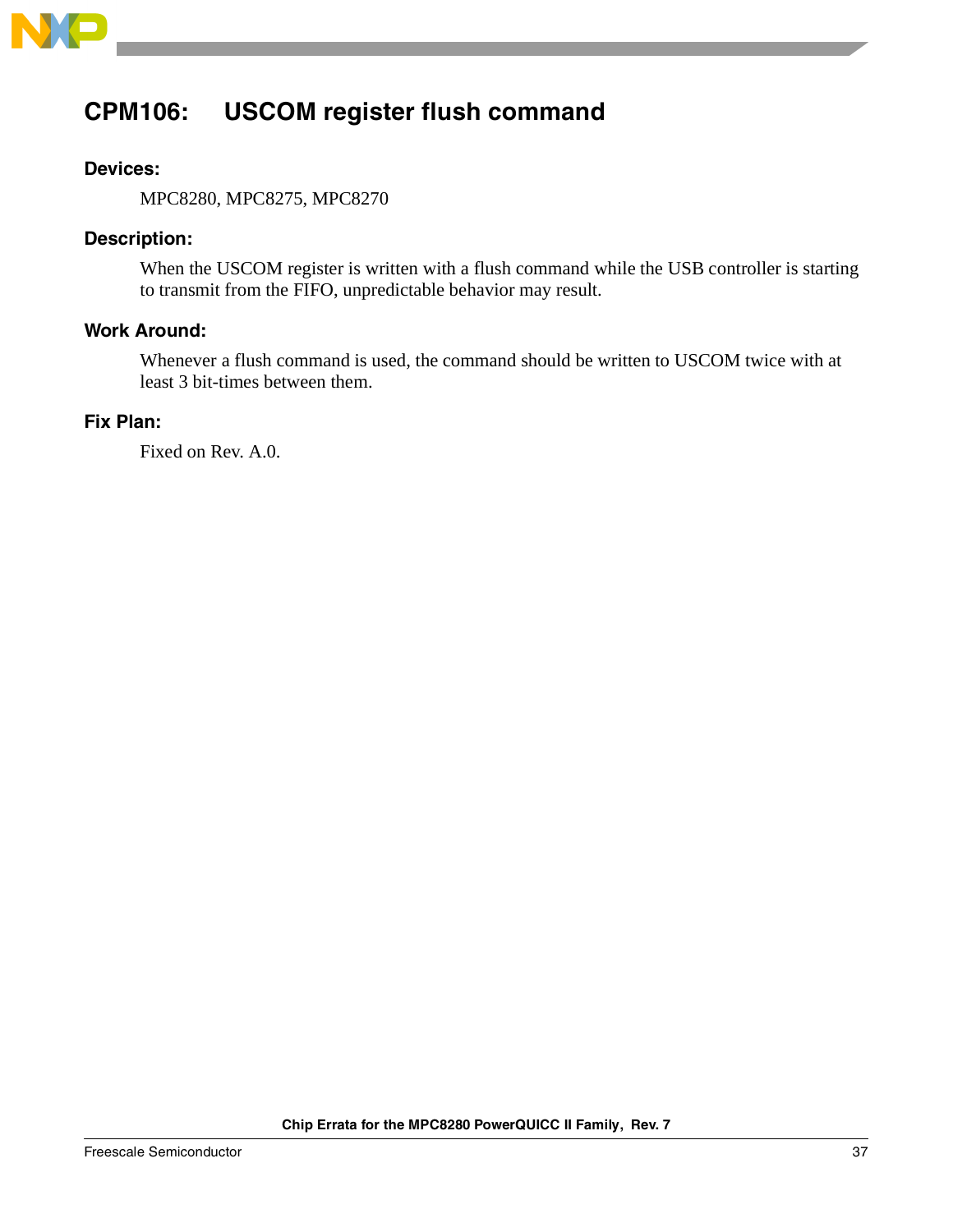

# <span id="page-36-0"></span>**CPM106: USCOM register flush command**

### **Devices:**

MPC8280, MPC8275, MPC8270

### **Description:**

When the USCOM register is written with a flush command while the USB controller is starting to transmit from the FIFO, unpredictable behavior may result.

### **Work Around:**

Whenever a flush command is used, the command should be written to USCOM twice with at least 3 bit-times between them.

### **Fix Plan:**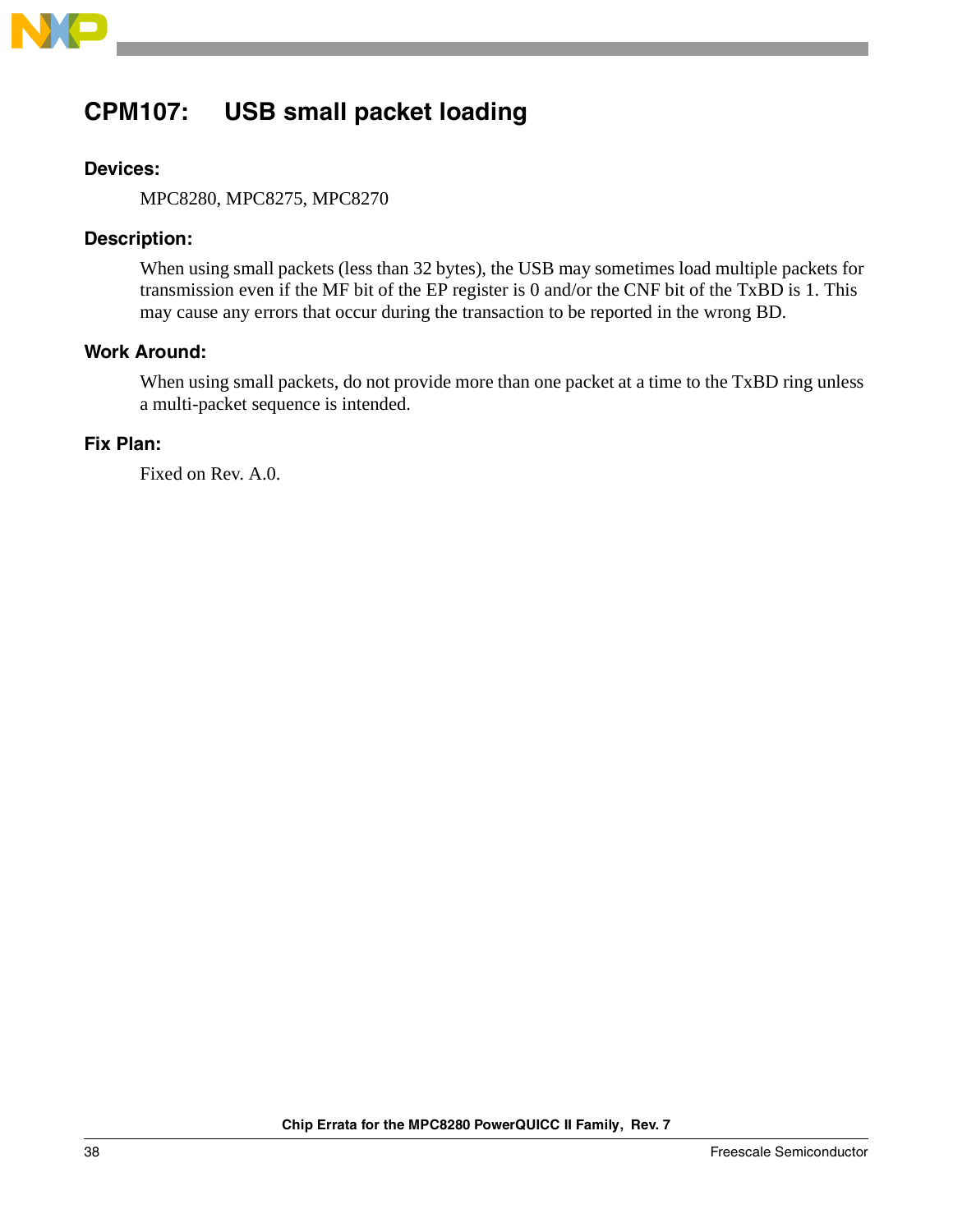

# <span id="page-37-0"></span>**CPM107: USB small packet loading**

### **Devices:**

MPC8280, MPC8275, MPC8270

### **Description:**

When using small packets (less than 32 bytes), the USB may sometimes load multiple packets for transmission even if the MF bit of the EP register is 0 and/or the CNF bit of the TxBD is 1. This may cause any errors that occur during the transaction to be reported in the wrong BD.

### **Work Around:**

When using small packets, do not provide more than one packet at a time to the TxBD ring unless a multi-packet sequence is intended.

### **Fix Plan:**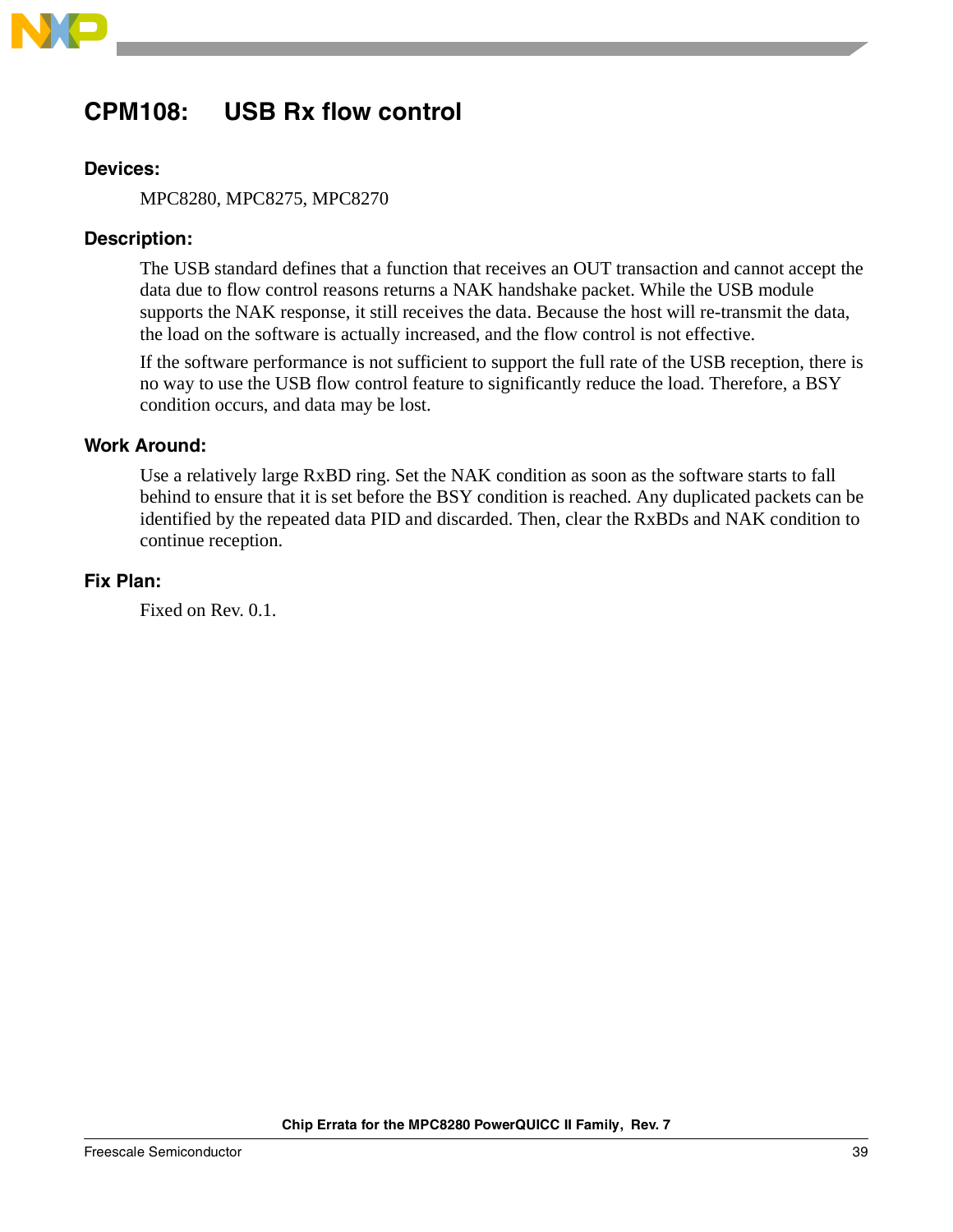

# <span id="page-38-0"></span>**CPM108: USB Rx flow control**

### **Devices:**

MPC8280, MPC8275, MPC8270

### **Description:**

The USB standard defines that a function that receives an OUT transaction and cannot accept the data due to flow control reasons returns a NAK handshake packet. While the USB module supports the NAK response, it still receives the data. Because the host will re-transmit the data, the load on the software is actually increased, and the flow control is not effective.

If the software performance is not sufficient to support the full rate of the USB reception, there is no way to use the USB flow control feature to significantly reduce the load. Therefore, a BSY condition occurs, and data may be lost.

### **Work Around:**

Use a relatively large RxBD ring. Set the NAK condition as soon as the software starts to fall behind to ensure that it is set before the BSY condition is reached. Any duplicated packets can be identified by the repeated data PID and discarded. Then, clear the RxBDs and NAK condition to continue reception.

### **Fix Plan:**

Fixed on Rev. 0.1.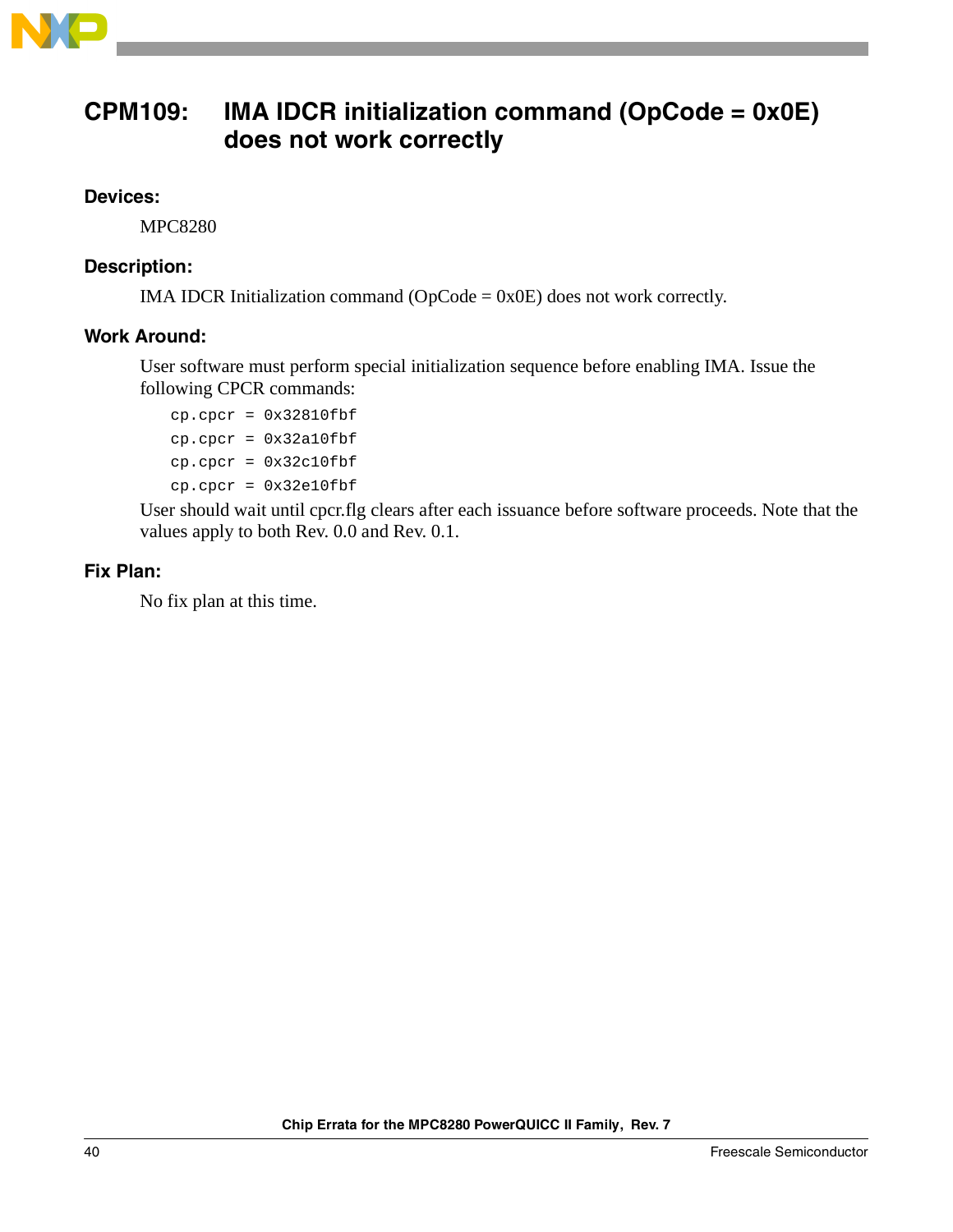

### <span id="page-39-0"></span>**CPM109: IMA IDCR initialization command (OpCode = 0x0E) does not work correctly**

### **Devices:**

MPC8280

### **Description:**

IMA IDCR Initialization command ( $OpCode = 0x0E$ ) does not work correctly.

### **Work Around:**

User software must perform special initialization sequence before enabling IMA. Issue the following CPCR commands:

cp.cpcr = 0x32810fbf cp.cpcr = 0x32a10fbf cp.cpcr = 0x32c10fbf cp.cpcr = 0x32e10fbf

User should wait until cpcr.flg clears after each issuance before software proceeds. Note that the values apply to both Rev. 0.0 and Rev. 0.1.

### **Fix Plan:**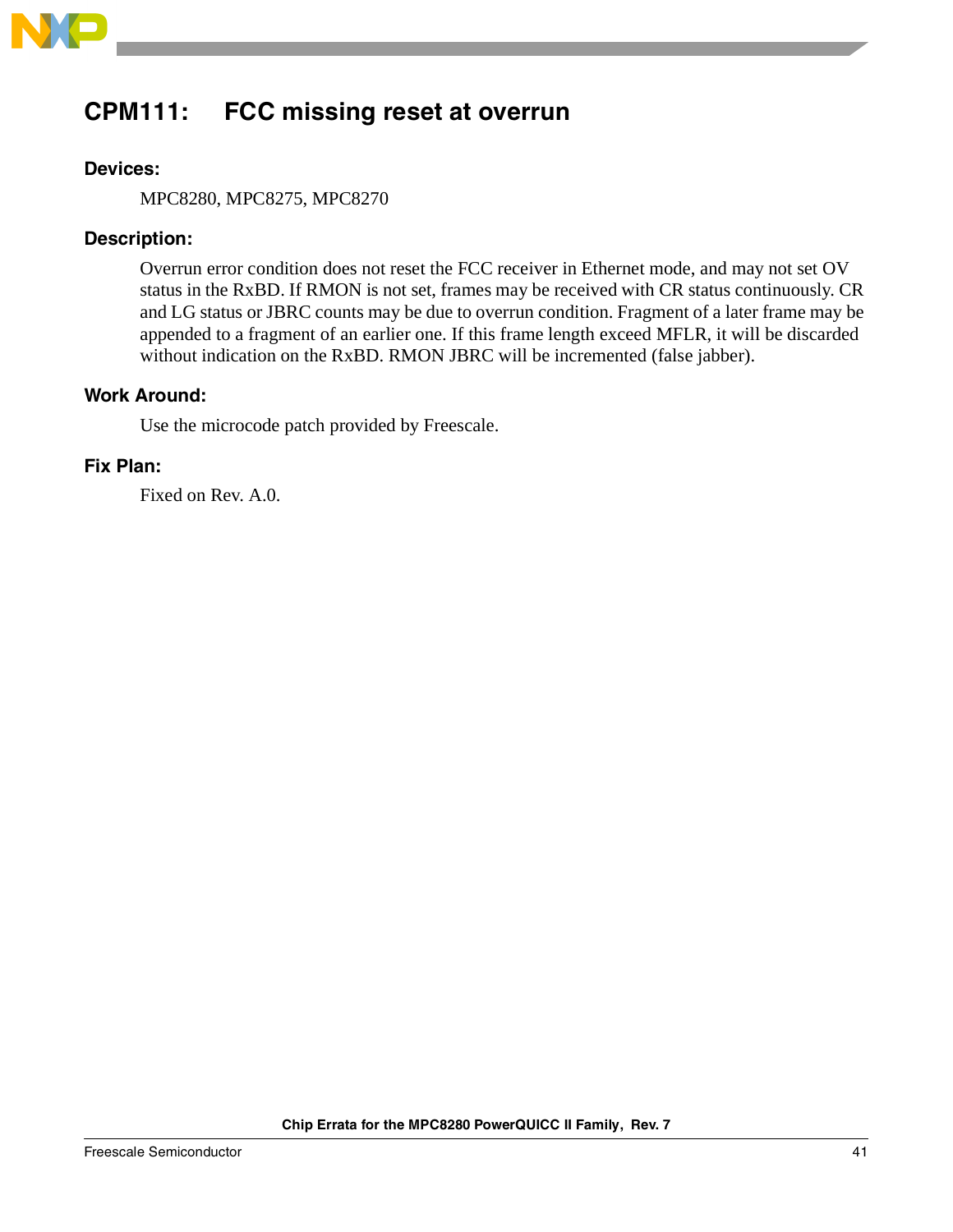

# <span id="page-40-0"></span>**CPM111: FCC missing reset at overrun**

### **Devices:**

MPC8280, MPC8275, MPC8270

### **Description:**

Overrun error condition does not reset the FCC receiver in Ethernet mode, and may not set OV status in the RxBD. If RMON is not set, frames may be received with CR status continuously. CR and LG status or JBRC counts may be due to overrun condition. Fragment of a later frame may be appended to a fragment of an earlier one. If this frame length exceed MFLR, it will be discarded without indication on the RxBD. RMON JBRC will be incremented (false jabber).

### **Work Around:**

Use the microcode patch provided by Freescale.

### **Fix Plan:**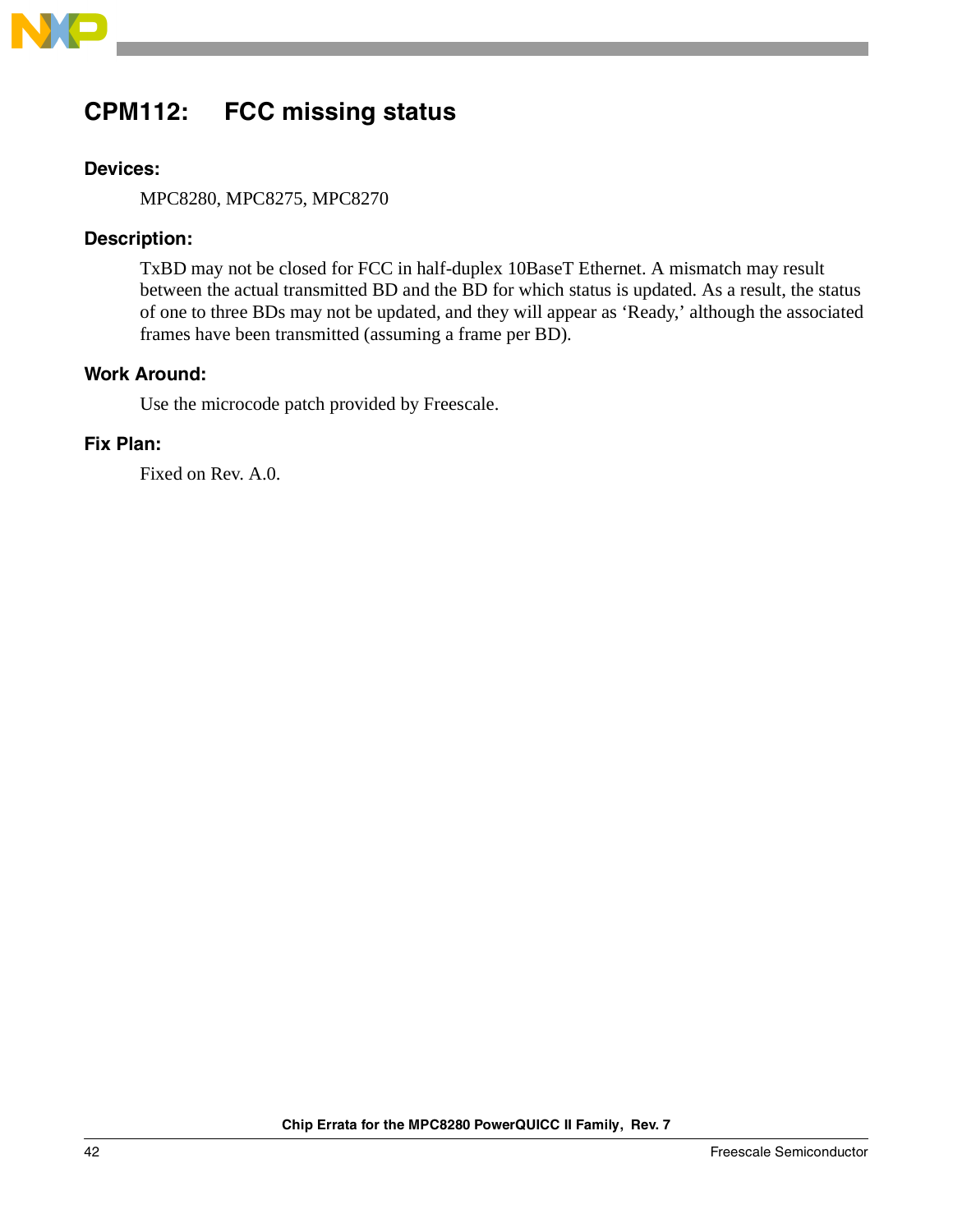

# <span id="page-41-0"></span>**CPM112: FCC missing status**

### **Devices:**

MPC8280, MPC8275, MPC8270

### **Description:**

TxBD may not be closed for FCC in half-duplex 10BaseT Ethernet. A mismatch may result between the actual transmitted BD and the BD for which status is updated. As a result, the status of one to three BDs may not be updated, and they will appear as 'Ready,' although the associated frames have been transmitted (assuming a frame per BD).

### **Work Around:**

Use the microcode patch provided by Freescale.

### **Fix Plan:**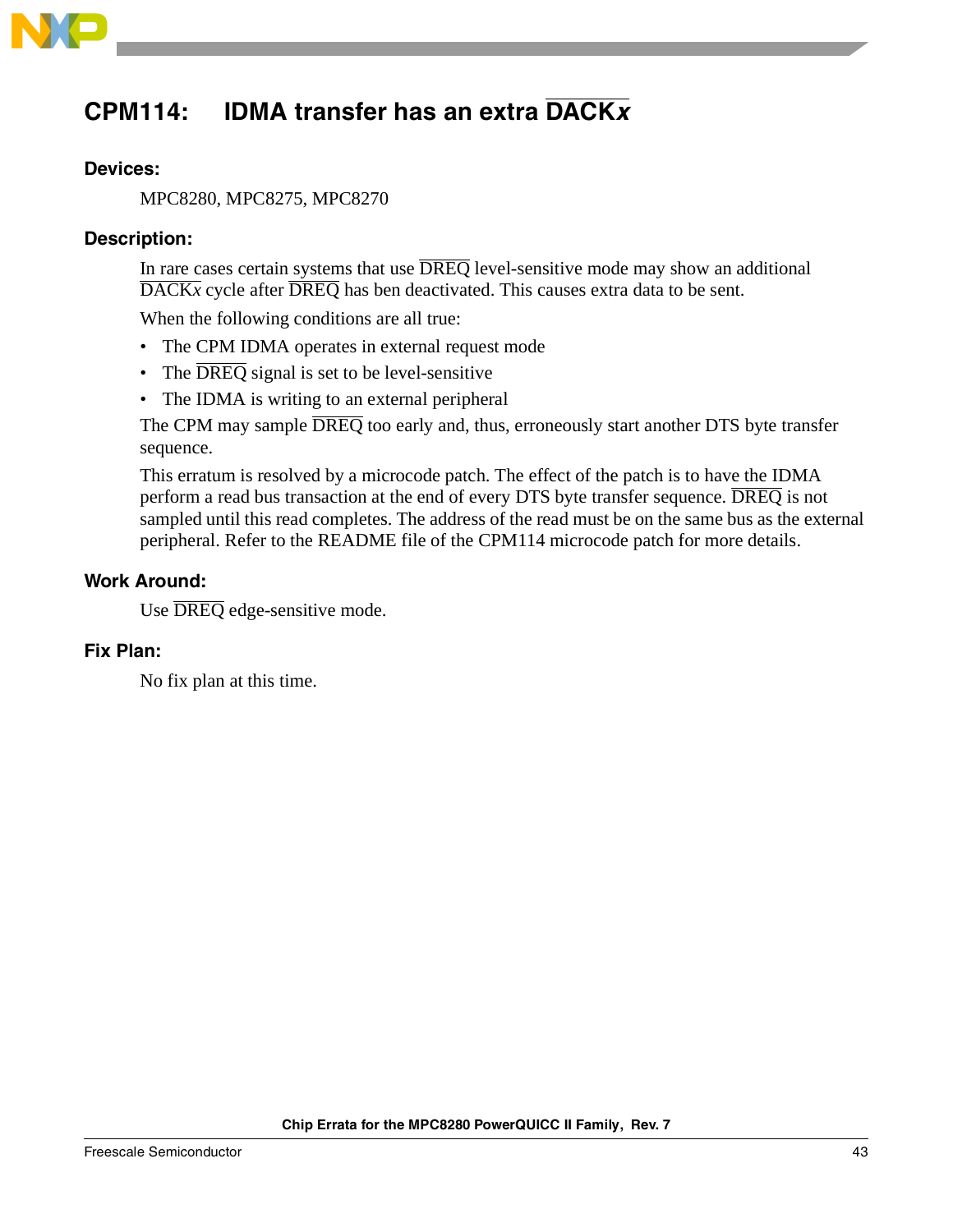

# <span id="page-42-0"></span>**CPM114: IDMA transfer has an extra DACK<sup>x</sup>**

### **Devices:**

MPC8280, MPC8275, MPC8270

### **Description:**

In rare cases certain systems that use  $\overline{DREG}$  level-sensitive mode may show an additional  $\overline{\text{DACK}}$ *x* cycle after  $\overline{\text{DREQ}}$  has ben deactivated. This causes extra data to be sent.

When the following conditions are all true:

- The CPM IDMA operates in external request mode
- The  $\overline{DRED}$  signal is set to be level-sensitive
- The IDMA is writing to an external peripheral

The CPM may sample  $\overline{DREG}$  too early and, thus, erroneously start another DTS byte transfer sequence.

This erratum is resolved by a microcode patch. The effect of the patch is to have the IDMA perform a read bus transaction at the end of every DTS byte transfer sequence. DREQ is not sampled until this read completes. The address of the read must be on the same bus as the external peripheral. Refer to the README file of the CPM114 microcode patch for more details.

### **Work Around:**

Use DREQ edge-sensitive mode.

### **Fix Plan:**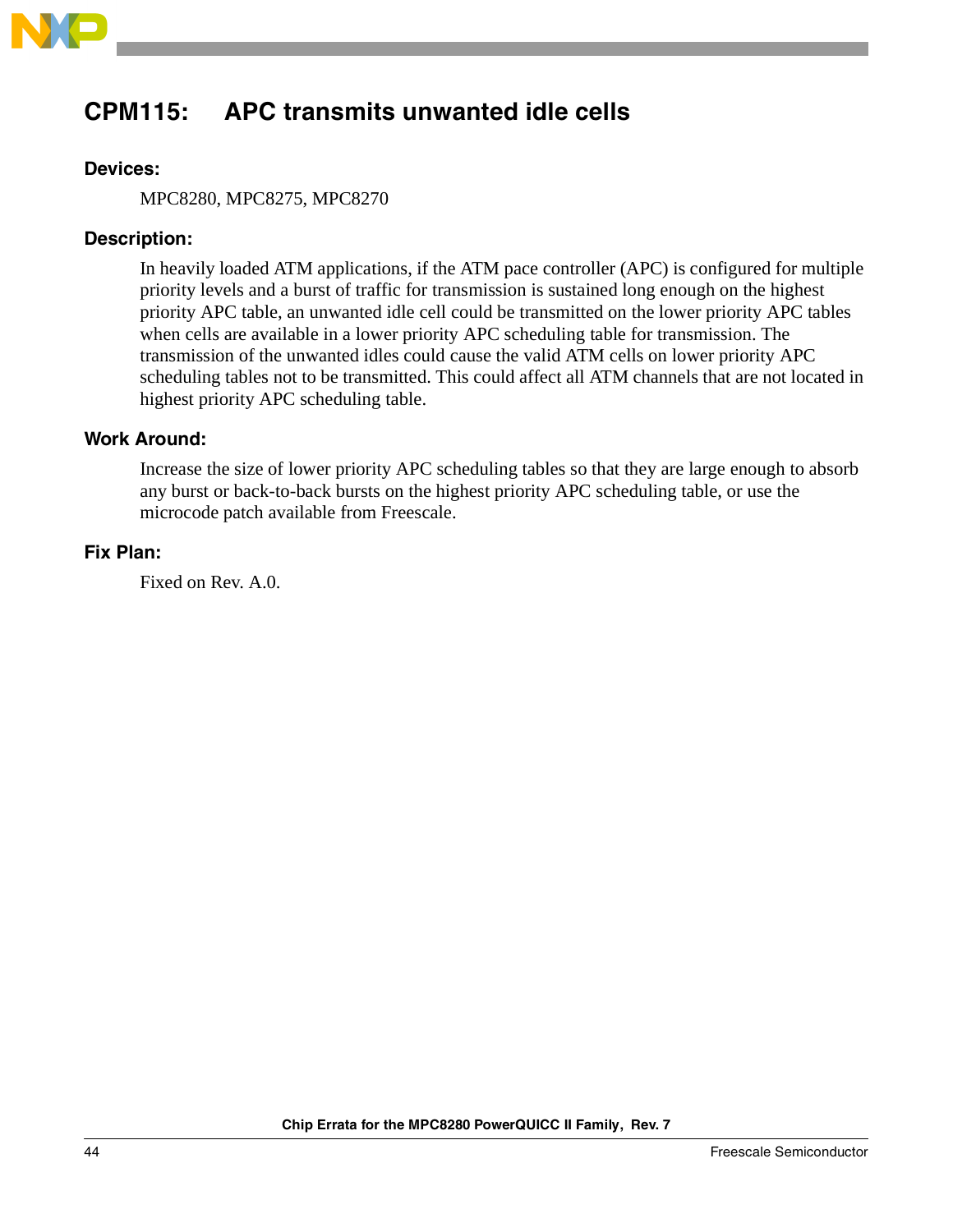

# <span id="page-43-0"></span>**CPM115: APC transmits unwanted idle cells**

### **Devices:**

MPC8280, MPC8275, MPC8270

### **Description:**

In heavily loaded ATM applications, if the ATM pace controller (APC) is configured for multiple priority levels and a burst of traffic for transmission is sustained long enough on the highest priority APC table, an unwanted idle cell could be transmitted on the lower priority APC tables when cells are available in a lower priority APC scheduling table for transmission. The transmission of the unwanted idles could cause the valid ATM cells on lower priority APC scheduling tables not to be transmitted. This could affect all ATM channels that are not located in highest priority APC scheduling table.

### **Work Around:**

Increase the size of lower priority APC scheduling tables so that they are large enough to absorb any burst or back-to-back bursts on the highest priority APC scheduling table, or use the microcode patch available from Freescale.

#### **Fix Plan:**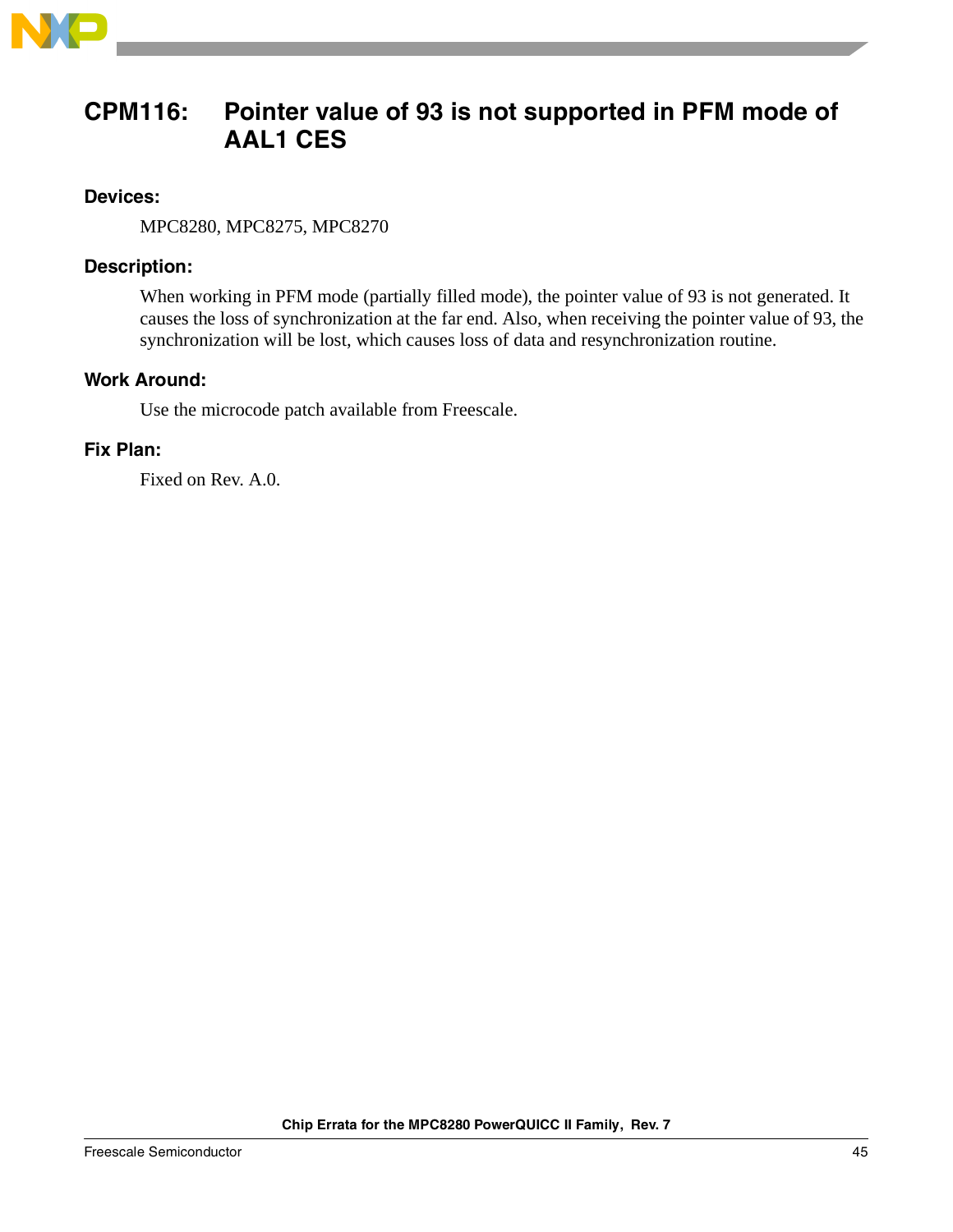

### <span id="page-44-0"></span>**CPM116: Pointer value of 93 is not supported in PFM mode of AAL1 CES**

### **Devices:**

MPC8280, MPC8275, MPC8270

### **Description:**

When working in PFM mode (partially filled mode), the pointer value of 93 is not generated. It causes the loss of synchronization at the far end. Also, when receiving the pointer value of 93, the synchronization will be lost, which causes loss of data and resynchronization routine.

### **Work Around:**

Use the microcode patch available from Freescale.

### **Fix Plan:**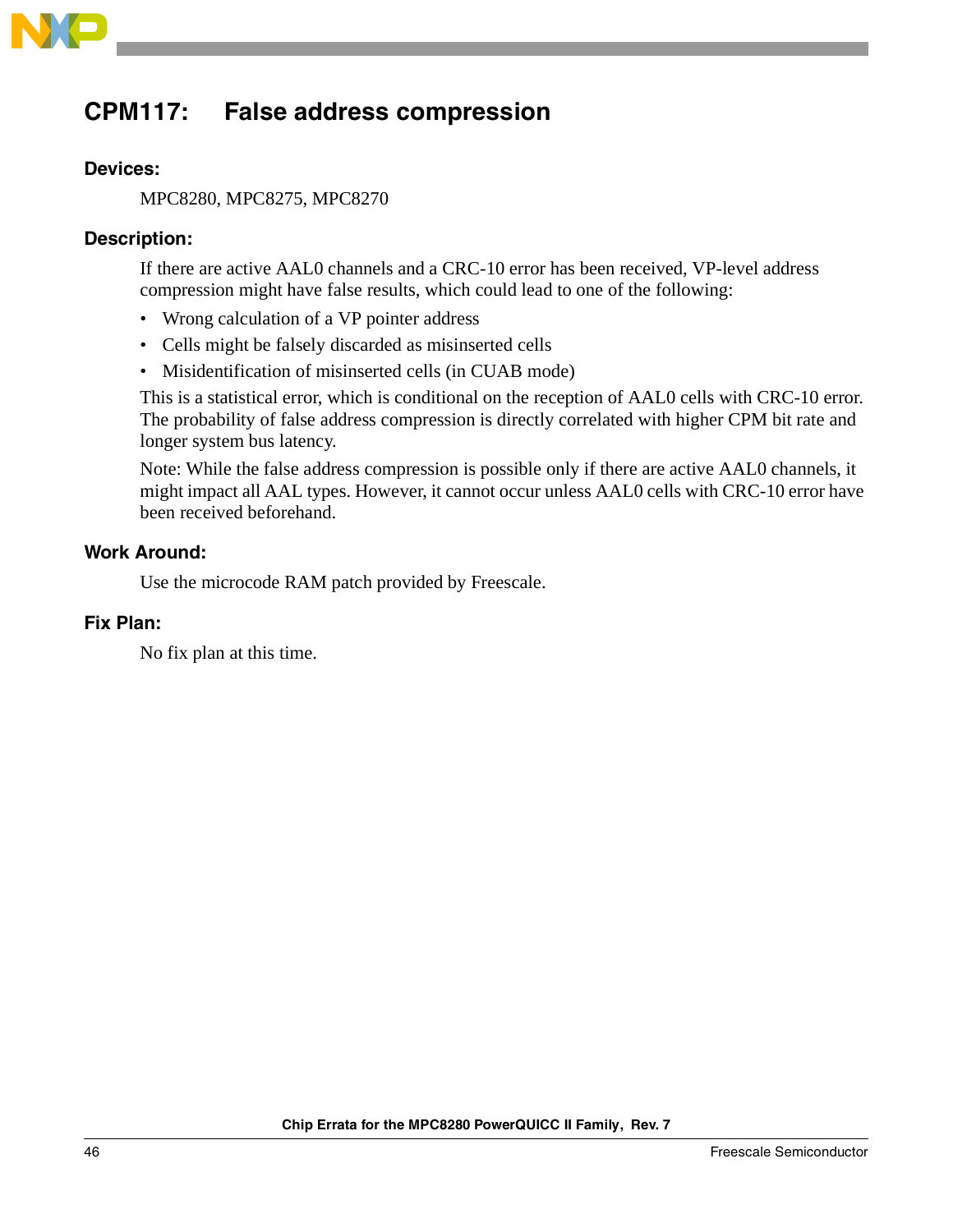

# <span id="page-45-0"></span>**CPM117: False address compression**

### **Devices:**

MPC8280, MPC8275, MPC8270

### **Description:**

If there are active AAL0 channels and a CRC-10 error has been received, VP-level address compression might have false results, which could lead to one of the following:

- Wrong calculation of a VP pointer address
- Cells might be falsely discarded as misinserted cells
- Misidentification of misinserted cells (in CUAB mode)

This is a statistical error, which is conditional on the reception of AAL0 cells with CRC-10 error. The probability of false address compression is directly correlated with higher CPM bit rate and longer system bus latency.

Note: While the false address compression is possible only if there are active AAL0 channels, it might impact all AAL types. However, it cannot occur unless AAL0 cells with CRC-10 error have been received beforehand.

### **Work Around:**

Use the microcode RAM patch provided by Freescale.

### **Fix Plan:**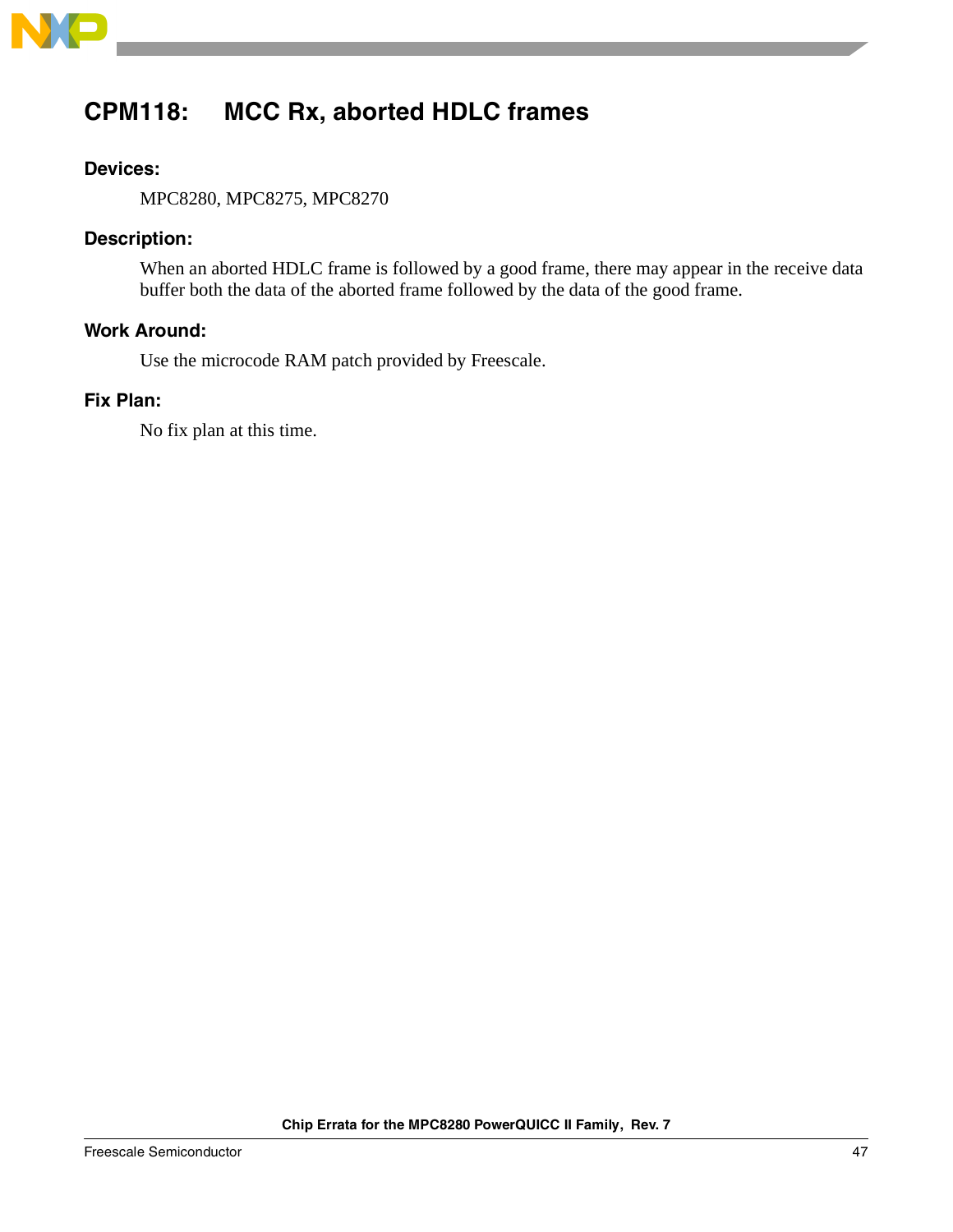

# <span id="page-46-0"></span>**CPM118: MCC Rx, aborted HDLC frames**

### **Devices:**

MPC8280, MPC8275, MPC8270

### **Description:**

When an aborted HDLC frame is followed by a good frame, there may appear in the receive data buffer both the data of the aborted frame followed by the data of the good frame.

### **Work Around:**

Use the microcode RAM patch provided by Freescale.

### **Fix Plan:**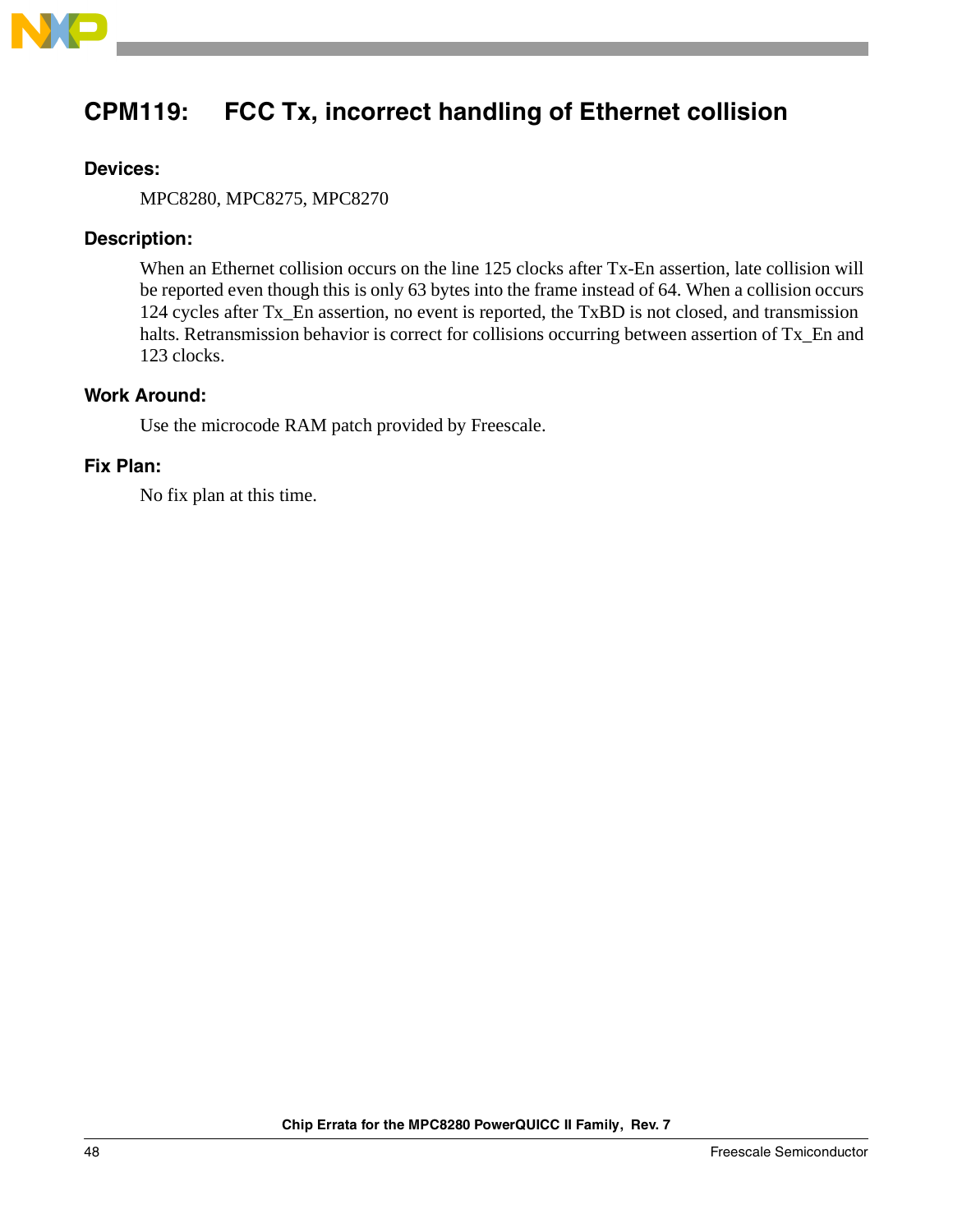

# <span id="page-47-0"></span>**CPM119: FCC Tx, incorrect handling of Ethernet collision**

### **Devices:**

MPC8280, MPC8275, MPC8270

### **Description:**

When an Ethernet collision occurs on the line 125 clocks after Tx-En assertion, late collision will be reported even though this is only 63 bytes into the frame instead of 64. When a collision occurs 124 cycles after Tx\_En assertion, no event is reported, the TxBD is not closed, and transmission halts. Retransmission behavior is correct for collisions occurring between assertion of Tx\_En and 123 clocks.

### **Work Around:**

Use the microcode RAM patch provided by Freescale.

### **Fix Plan:**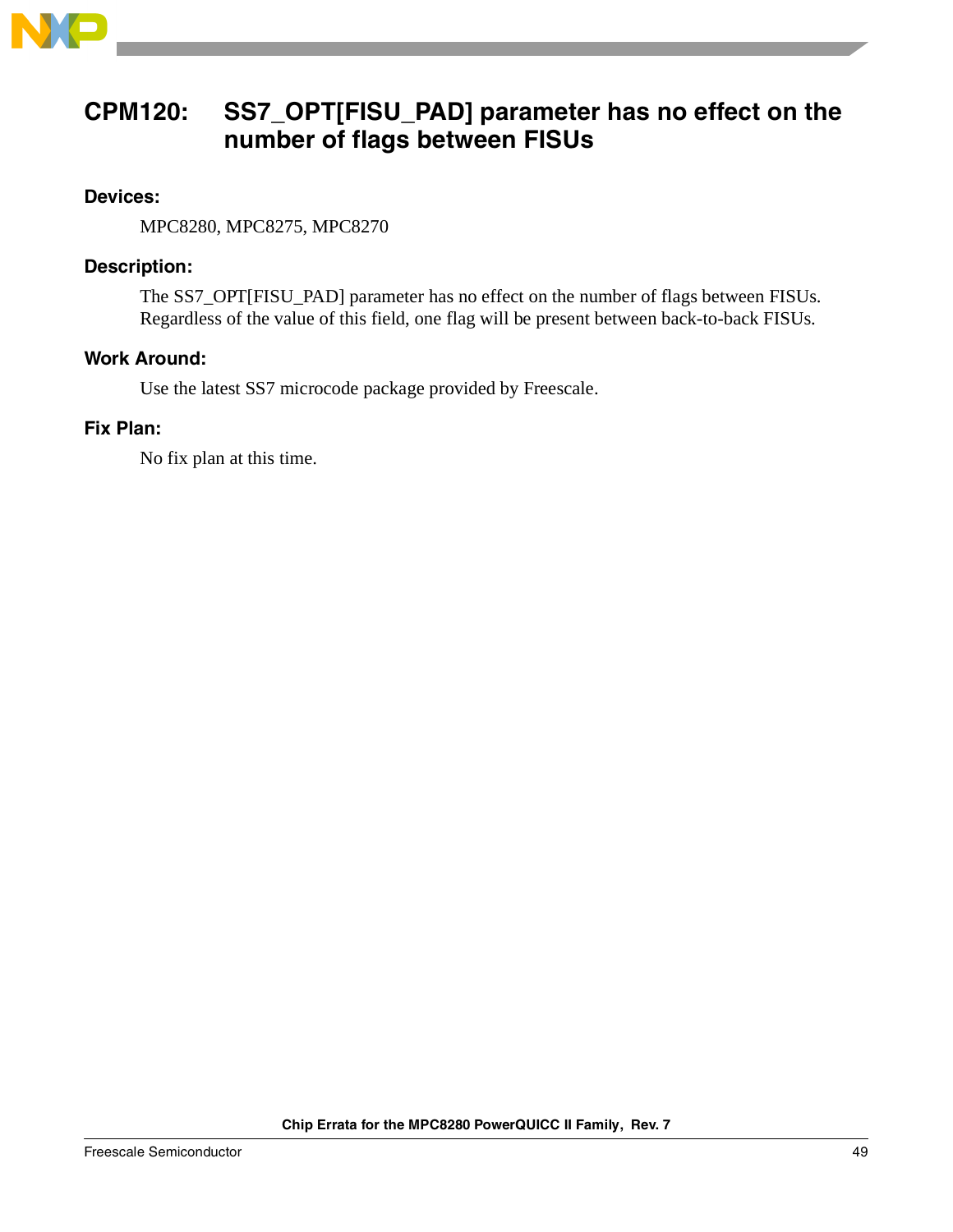

### <span id="page-48-0"></span>**CPM120: SS7\_OPT[FISU\_PAD] parameter has no effect on the number of flags between FISUs**

### **Devices:**

MPC8280, MPC8275, MPC8270

### **Description:**

The SS7\_OPT[FISU\_PAD] parameter has no effect on the number of flags between FISUs. Regardless of the value of this field, one flag will be present between back-to-back FISUs.

### **Work Around:**

Use the latest SS7 microcode package provided by Freescale.

### **Fix Plan:**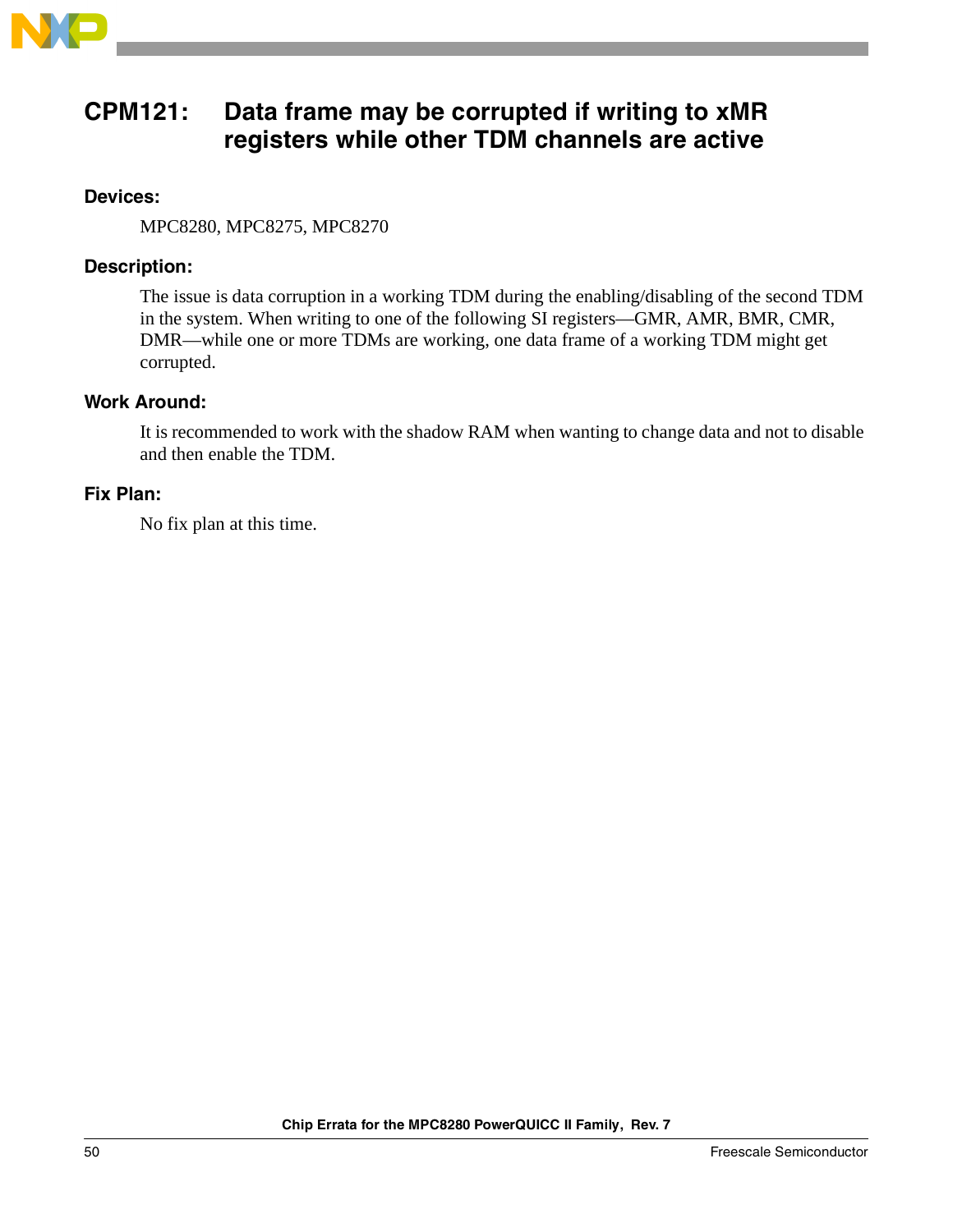

### <span id="page-49-0"></span>**CPM121: Data frame may be corrupted if writing to xMR registers while other TDM channels are active**

### **Devices:**

MPC8280, MPC8275, MPC8270

### **Description:**

The issue is data corruption in a working TDM during the enabling/disabling of the second TDM in the system. When writing to one of the following SI registers—GMR, AMR, BMR, CMR, DMR—while one or more TDMs are working, one data frame of a working TDM might get corrupted.

### **Work Around:**

It is recommended to work with the shadow RAM when wanting to change data and not to disable and then enable the TDM.

### **Fix Plan:**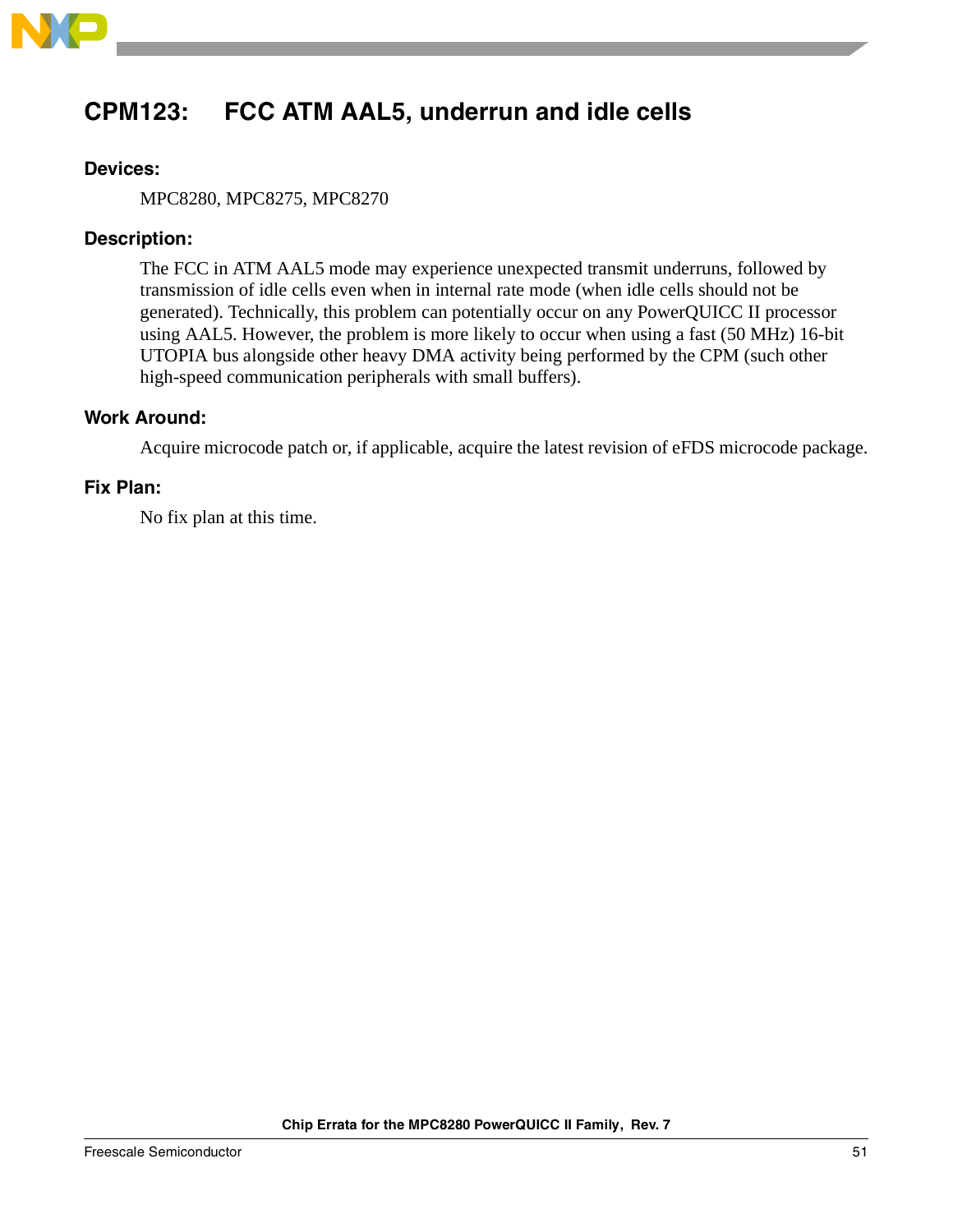

# <span id="page-50-0"></span>**CPM123: FCC ATM AAL5, underrun and idle cells**

### **Devices:**

MPC8280, MPC8275, MPC8270

### **Description:**

The FCC in ATM AAL5 mode may experience unexpected transmit underruns, followed by transmission of idle cells even when in internal rate mode (when idle cells should not be generated). Technically, this problem can potentially occur on any PowerQUICC II processor using AAL5. However, the problem is more likely to occur when using a fast (50 MHz) 16-bit UTOPIA bus alongside other heavy DMA activity being performed by the CPM (such other high-speed communication peripherals with small buffers).

### **Work Around:**

Acquire microcode patch or, if applicable, acquire the latest revision of eFDS microcode package.

### **Fix Plan:**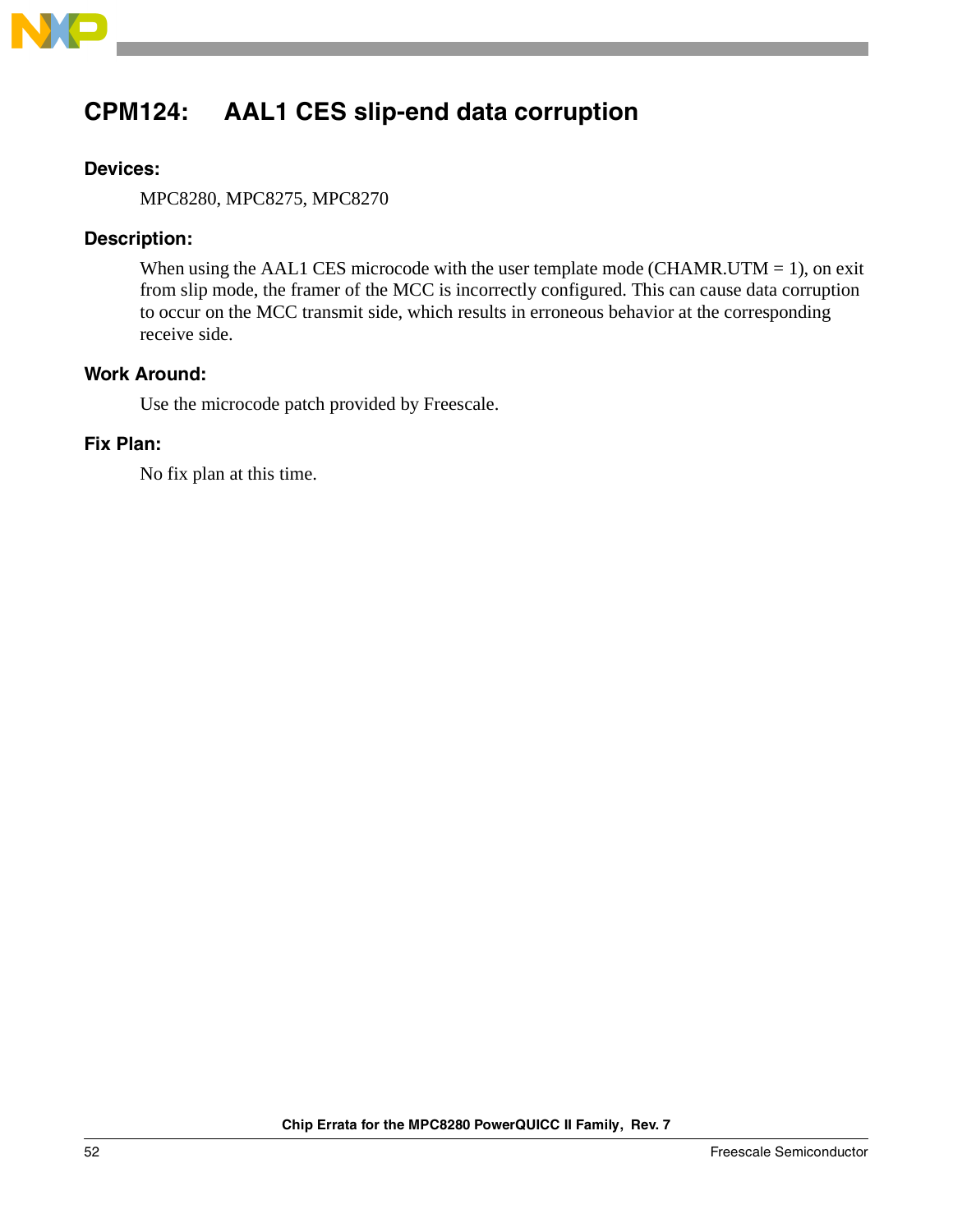

# <span id="page-51-0"></span>**CPM124: AAL1 CES slip-end data corruption**

### **Devices:**

MPC8280, MPC8275, MPC8270

### **Description:**

When using the AAL1 CES microcode with the user template mode (CHAMR.UTM = 1), on exit from slip mode, the framer of the MCC is incorrectly configured. This can cause data corruption to occur on the MCC transmit side, which results in erroneous behavior at the corresponding receive side.

### **Work Around:**

Use the microcode patch provided by Freescale.

### **Fix Plan:**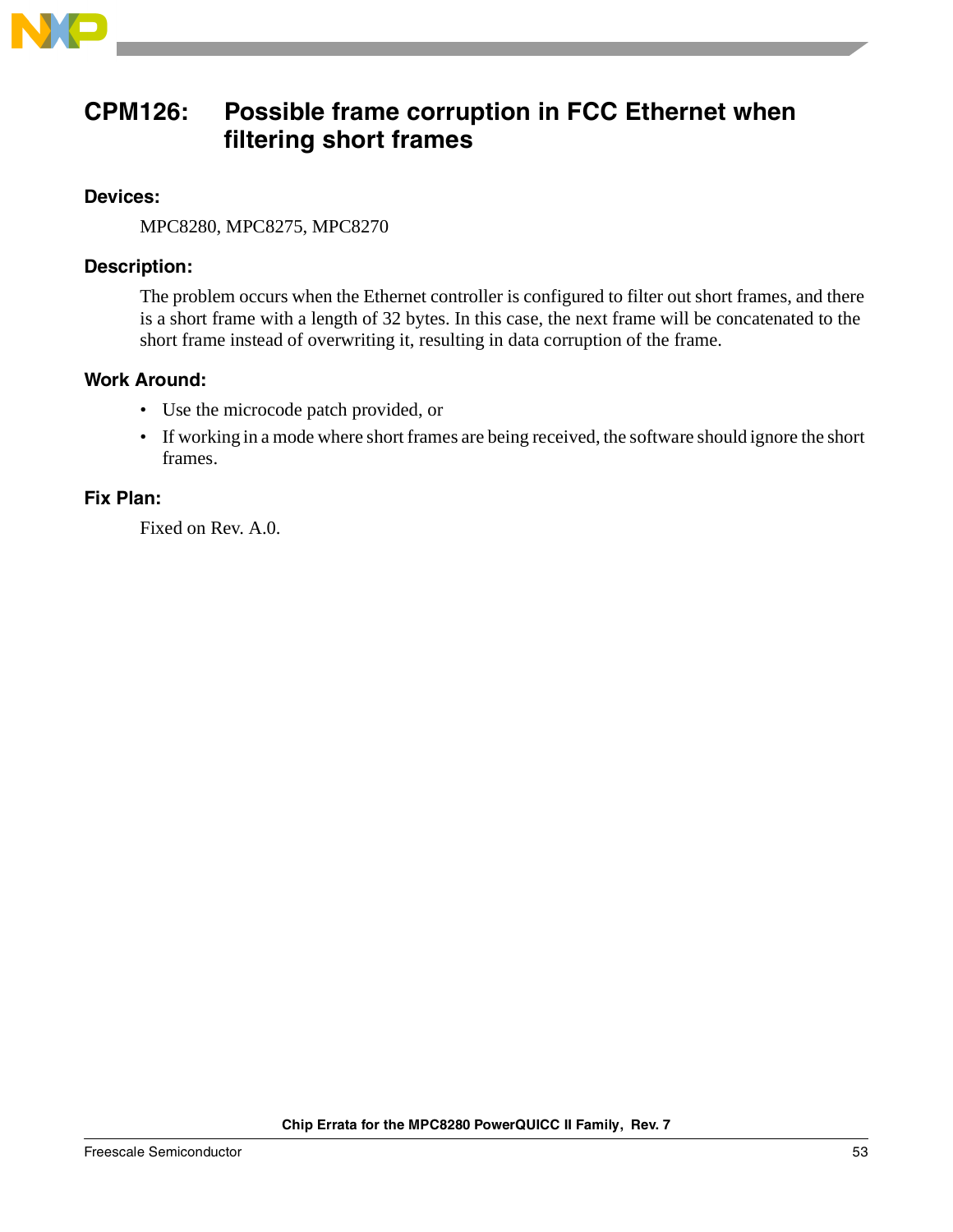

### <span id="page-52-0"></span>**CPM126: Possible frame corruption in FCC Ethernet when filtering short frames**

### **Devices:**

MPC8280, MPC8275, MPC8270

### **Description:**

The problem occurs when the Ethernet controller is configured to filter out short frames, and there is a short frame with a length of 32 bytes. In this case, the next frame will be concatenated to the short frame instead of overwriting it, resulting in data corruption of the frame.

### **Work Around:**

- Use the microcode patch provided, or
- If working in a mode where short frames are being received, the software should ignore the short frames.

### **Fix Plan:**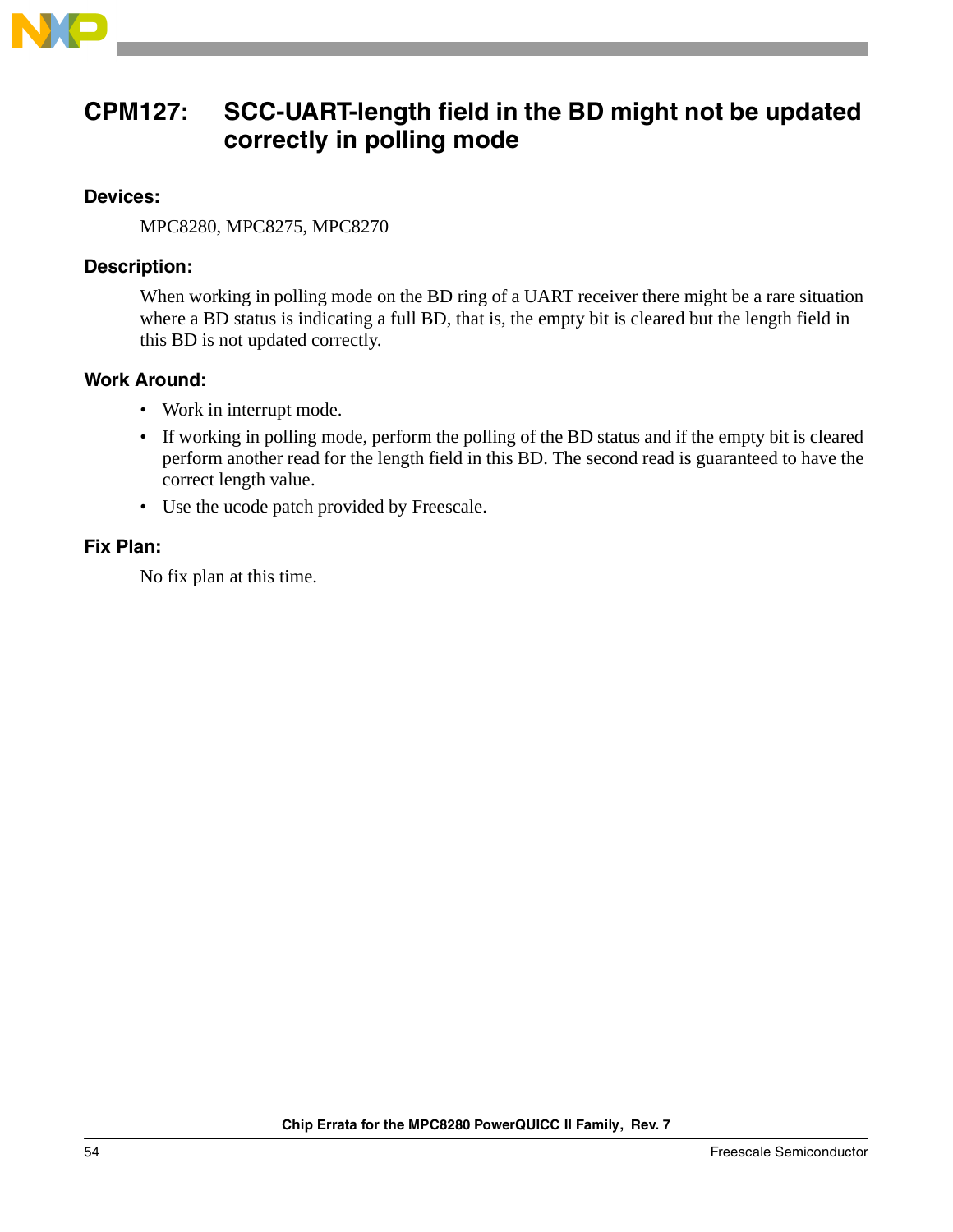

### <span id="page-53-0"></span>**CPM127: SCC-UART-length field in the BD might not be updated correctly in polling mode**

### **Devices:**

MPC8280, MPC8275, MPC8270

### **Description:**

When working in polling mode on the BD ring of a UART receiver there might be a rare situation where a BD status is indicating a full BD, that is, the empty bit is cleared but the length field in this BD is not updated correctly.

### **Work Around:**

- Work in interrupt mode.
- If working in polling mode, perform the polling of the BD status and if the empty bit is cleared perform another read for the length field in this BD. The second read is guaranteed to have the correct length value.
- Use the ucode patch provided by Freescale.

### **Fix Plan:**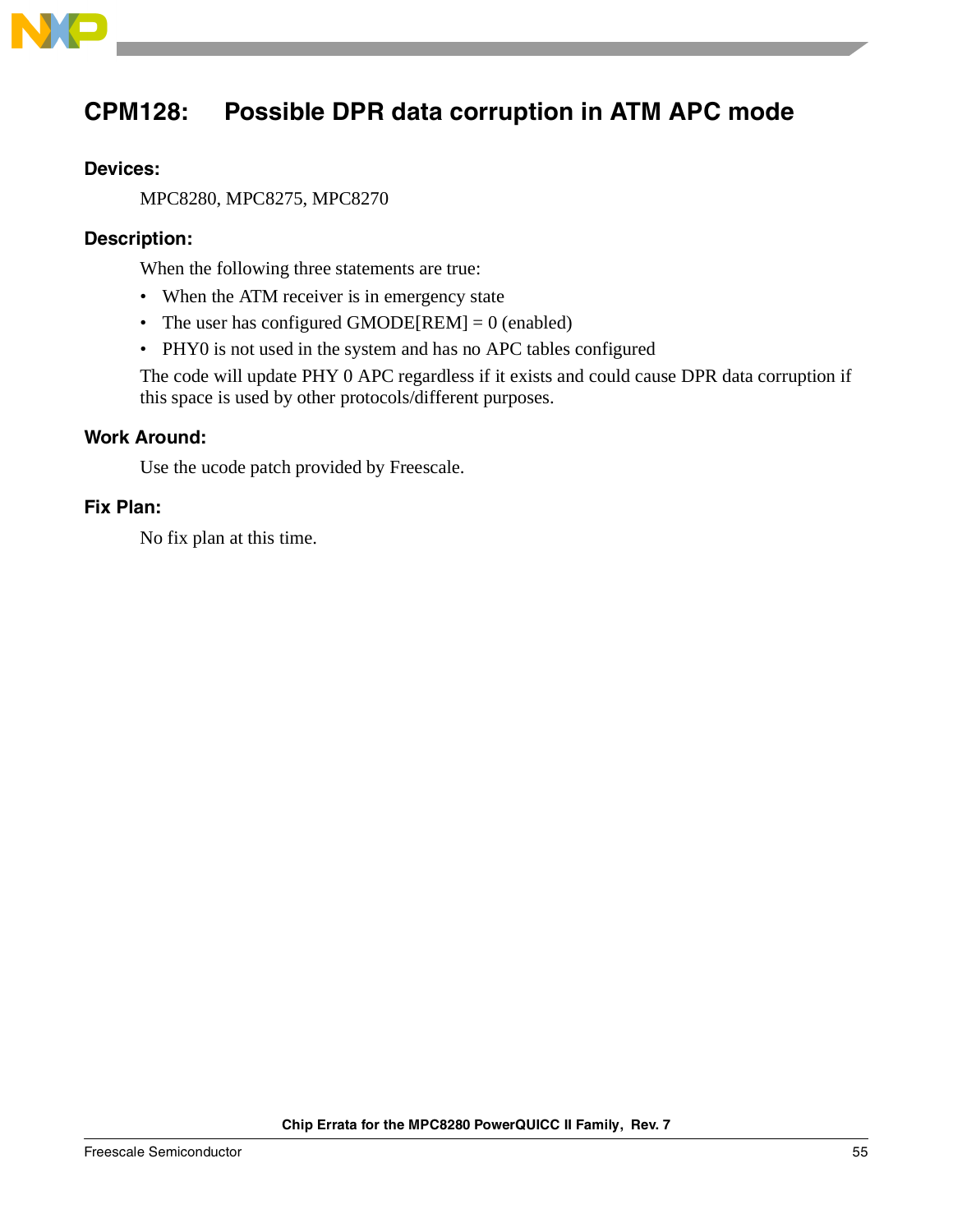

# <span id="page-54-0"></span>**CPM128: Possible DPR data corruption in ATM APC mode**

### **Devices:**

MPC8280, MPC8275, MPC8270

### **Description:**

When the following three statements are true:

- When the ATM receiver is in emergency state
- The user has configured GMODE $[REM] = 0$  (enabled)
- PHY0 is not used in the system and has no APC tables configured

The code will update PHY 0 APC regardless if it exists and could cause DPR data corruption if this space is used by other protocols/different purposes.

### **Work Around:**

Use the ucode patch provided by Freescale.

### **Fix Plan:**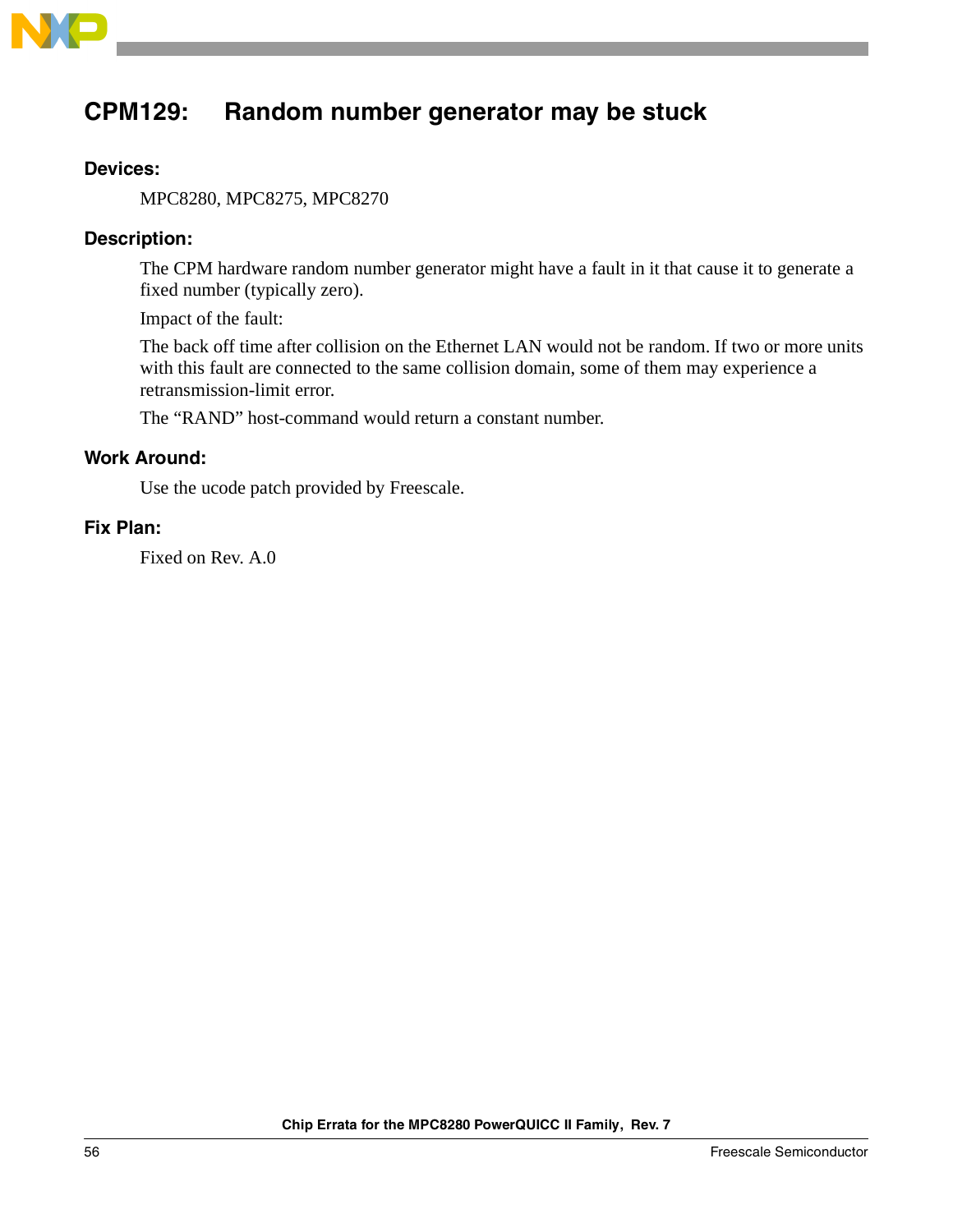

## <span id="page-55-0"></span>**CPM129: Random number generator may be stuck**

### **Devices:**

MPC8280, MPC8275, MPC8270

### **Description:**

The CPM hardware random number generator might have a fault in it that cause it to generate a fixed number (typically zero).

Impact of the fault:

The back off time after collision on the Ethernet LAN would not be random. If two or more units with this fault are connected to the same collision domain, some of them may experience a retransmission-limit error.

The "RAND" host-command would return a constant number.

### **Work Around:**

Use the ucode patch provided by Freescale.

### **Fix Plan:**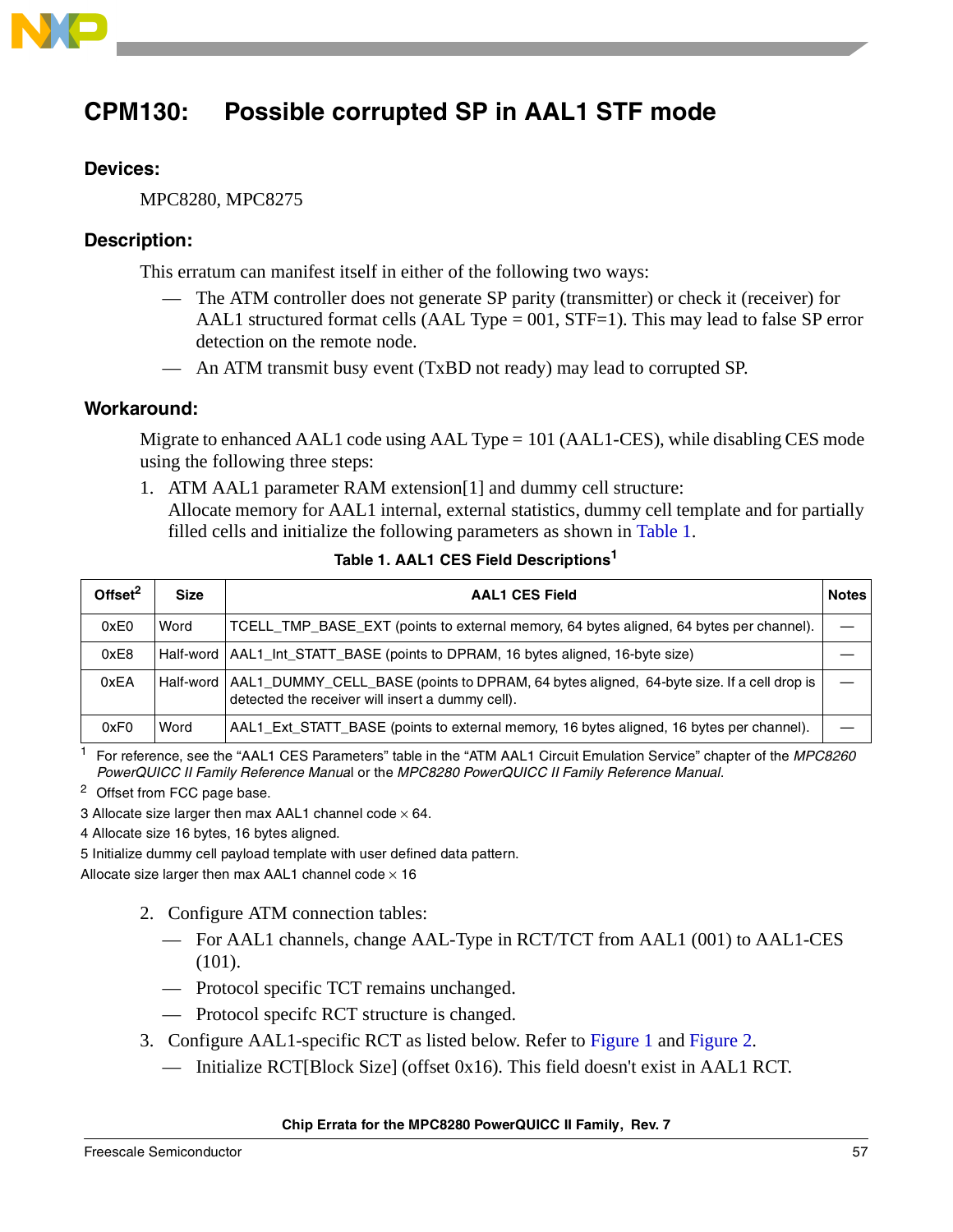

# <span id="page-56-0"></span>**CPM130: Possible corrupted SP in AAL1 STF mode**

### **Devices:**

MPC8280, MPC8275

### **Description:**

This erratum can manifest itself in either of the following two ways:

- The ATM controller does not generate SP parity (transmitter) or check it (receiver) for AAL1 structured format cells (AAL Type  $= 001$ , STF $= 1$ ). This may lead to false SP error detection on the remote node.
- An ATM transmit busy event (TxBD not ready) may lead to corrupted SP.

#### **Workaround:**

Migrate to enhanced AAL1 code using AAL Type = 101 (AAL1-CES), while disabling CES mode using the following three steps:

1. ATM AAL1 parameter RAM extension[1] and dummy cell structure: Allocate memory for AAL1 internal, external statistics, dummy cell template and for partially filled cells and initialize the following parameters as shown in [Table 1](#page-56-1).

<span id="page-56-1"></span>

| Offset $2$ | <b>Size</b> | <b>AAL1 CES Field</b>                                                                                                                                    | <b>Notes</b> |
|------------|-------------|----------------------------------------------------------------------------------------------------------------------------------------------------------|--------------|
| 0xE0       | Word        | TCELL_TMP_BASE_EXT (points to external memory, 64 bytes aligned, 64 bytes per channel).                                                                  |              |
| 0xE8       |             | Half-word   AAL1_Int_STATT_BASE (points to DPRAM, 16 bytes aligned, 16-byte size)                                                                        |              |
| 0xEA       |             | Half-word   AAL1_DUMMY_CELL_BASE (points to DPRAM, 64 bytes aligned, 64-byte size. If a cell drop is<br>detected the receiver will insert a dummy cell). |              |
| 0xF0       | Word        | AAL1_Ext_STATT_BASE (points to external memory, 16 bytes aligned, 16 bytes per channel).                                                                 |              |

#### **Table 1. AAL1 CES Field Descriptions<sup>1</sup>**

<sup>1</sup> For reference, see the "AAL1 CES Parameters" table in the "ATM AAL1 Circuit Emulation Service" chapter of the MPC8260 PowerQUICC II Family Reference Manual or the MPC8280 PowerQUICC II Family Reference Manual.

<sup>2</sup> Offset from FCC page base.

3 Allocate size larger then max AAL1 channel code  $\times$  64.

4 Allocate size 16 bytes, 16 bytes aligned.

5 Initialize dummy cell payload template with user defined data pattern.

Allocate size larger then max AAL1 channel code  $\times$  16

- 2. Configure ATM connection tables:
	- For AAL1 channels, change AAL-Type in RCT/TCT from AAL1 (001) to AAL1-CES (101).
	- Protocol specific TCT remains unchanged.
	- Protocol specifc RCT structure is changed.
- 3. Configure AAL1-specific RCT as listed below. Refer to [Figure 1](#page-57-0) and [Figure 2](#page-57-1).
	- Initialize RCT[Block Size] (offset 0x16). This field doesn't exist in AAL1 RCT.

#### **Chip Errata for the MPC8280 PowerQUICC II Family, Rev. 7**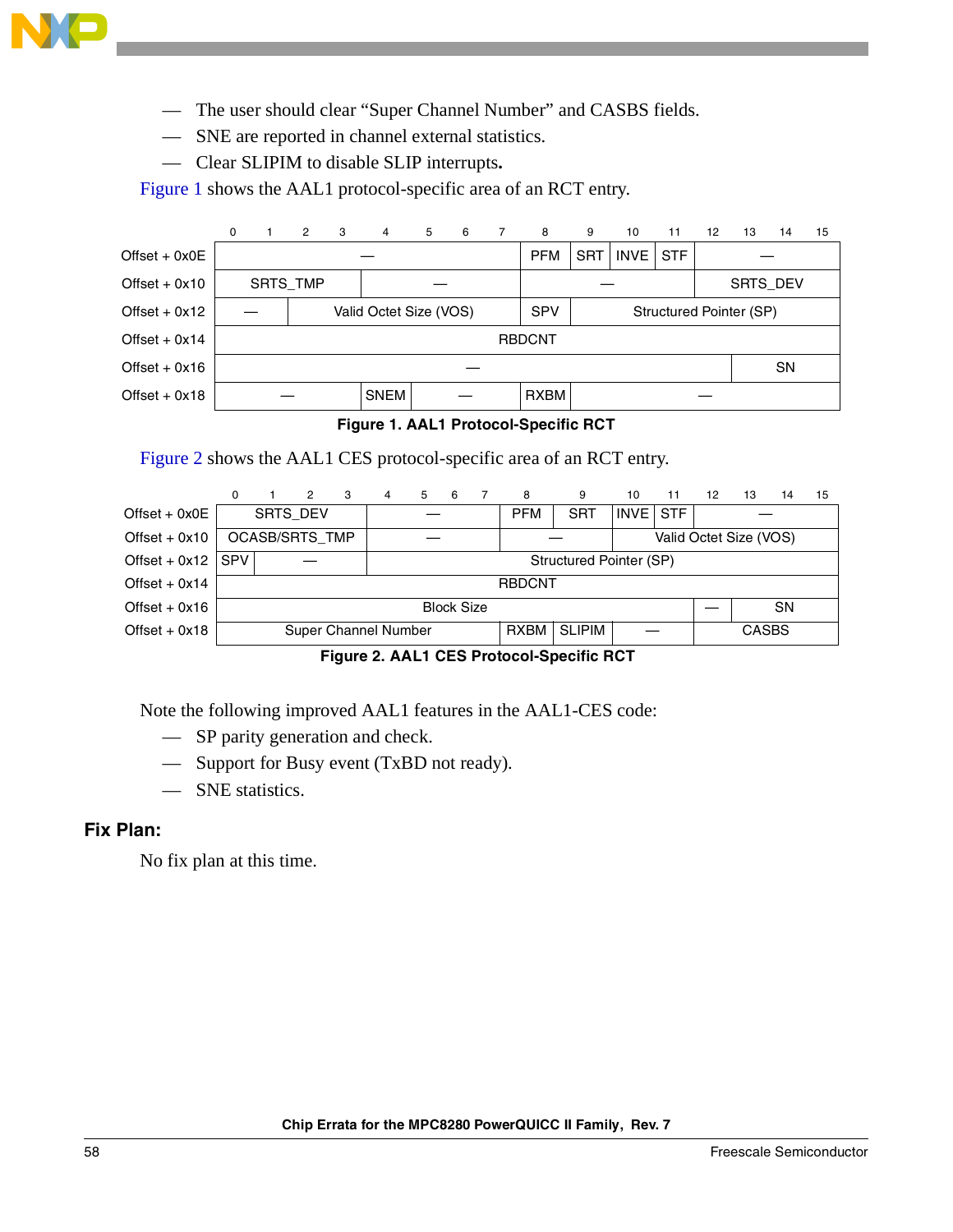

- The user should clear "Super Channel Number" and CASBS fields.
- SNE are reported in channel external statistics.
- Clear SLIPIM to disable SLIP interrupts**.**

[Figure 1](#page-57-0) shows the AAL1 protocol-specific area of an RCT entry.

|                 | 0    |  | 2        | - 3 | 4                      | 5 | 6 | 7 | 8             | 9                       | 10          | 11         | 12 <sup>°</sup> | 13              | 14 | 15 |  |
|-----------------|------|--|----------|-----|------------------------|---|---|---|---------------|-------------------------|-------------|------------|-----------------|-----------------|----|----|--|
| Offset + $0x0E$ |      |  |          |     |                        |   |   |   | <b>PFM</b>    | <b>SRT</b>              | <b>INVE</b> | <b>STF</b> |                 |                 |    |    |  |
| Offset $+$ 0x10 |      |  | SRTS_TMP |     |                        |   |   |   |               |                         |             |            |                 | <b>SRTS DEV</b> |    |    |  |
| Offset $+$ 0x12 |      |  |          |     | Valid Octet Size (VOS) |   |   |   | <b>SPV</b>    | Structured Pointer (SP) |             |            |                 |                 |    |    |  |
| Offset $+$ 0x14 |      |  |          |     |                        |   |   |   | <b>RBDCNT</b> |                         |             |            |                 |                 |    |    |  |
| Offset $+$ 0x16 |      |  |          |     |                        |   |   |   |               |                         |             |            |                 | <b>SN</b>       |    |    |  |
| Offset $+$ 0x18 | SNEM |  |          |     |                        |   |   |   | <b>RXBM</b>   |                         |             |            |                 |                 |    |    |  |

#### **Figure 1. AAL1 Protocol-Specific RCT**

<span id="page-57-0"></span>[Figure 2](#page-57-1) shows the AAL1 CES protocol-specific area of an RCT entry.

|                 |                                |                 | 2 | 3 | 4                    | 5 | 6 |  | 8             | 9             | 10                        | 11                     | 12 | 13           | 14        | 15 |
|-----------------|--------------------------------|-----------------|---|---|----------------------|---|---|--|---------------|---------------|---------------------------|------------------------|----|--------------|-----------|----|
| $Offset + 0x0E$ |                                | <b>SRTS DEV</b> |   |   |                      |   |   |  | <b>PFM</b>    | <b>SRT</b>    | <b>STF</b><br><b>INVE</b> |                        |    |              |           |    |
| Offset $+$ 0x10 |                                | OCASB/SRTS_TMP  |   |   |                      |   |   |  |               |               |                           | Valid Octet Size (VOS) |    |              |           |    |
| Offset + $0x12$ | SPV<br>Structured Pointer (SP) |                 |   |   |                      |   |   |  |               |               |                           |                        |    |              |           |    |
| Offset $+$ 0x14 |                                |                 |   |   |                      |   |   |  | <b>RBDCNT</b> |               |                           |                        |    |              |           |    |
| $Offset + 0x16$ | <b>Block Size</b>              |                 |   |   |                      |   |   |  |               |               |                           |                        |    |              | <b>SN</b> |    |
| $Offset + 0x18$ |                                |                 |   |   | Super Channel Number |   |   |  | <b>RXBM</b>   | <b>SLIPIM</b> |                           |                        |    | <b>CASBS</b> |           |    |

**Figure 2. AAL1 CES Protocol-Specific RCT**

<span id="page-57-1"></span>Note the following improved AAL1 features in the AAL1-CES code:

- SP parity generation and check.
- Support for Busy event (TxBD not ready).
- SNE statistics.

### **Fix Plan:**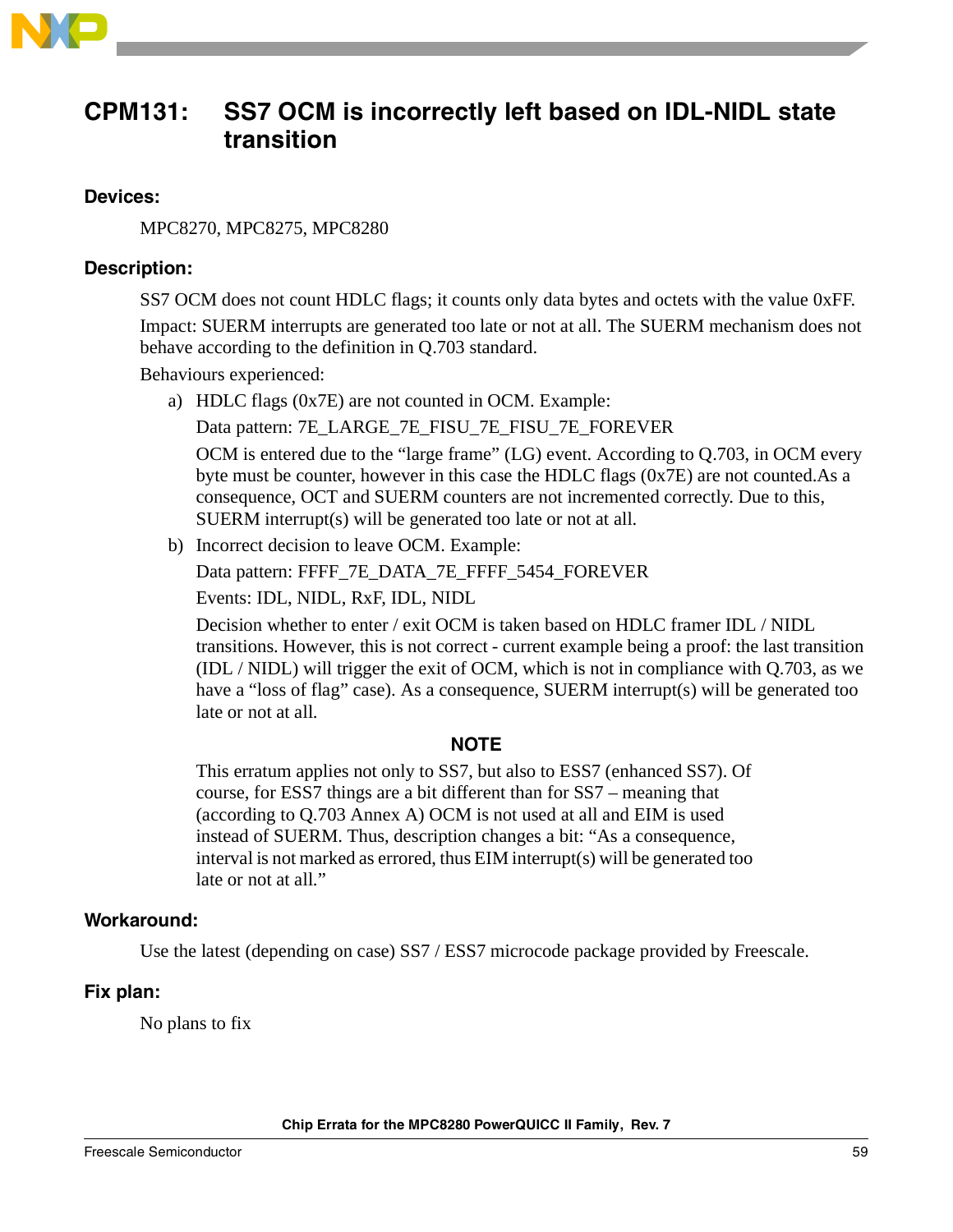

# <span id="page-58-0"></span>**CPM131: SS7 OCM is incorrectly left based on IDL-NIDL state transition**

### **Devices:**

MPC8270, MPC8275, MPC8280

### **Description:**

SS7 OCM does not count HDLC flags; it counts only data bytes and octets with the value 0xFF. Impact: SUERM interrupts are generated too late or not at all. The SUERM mechanism does not behave according to the definition in Q.703 standard.

Behaviours experienced:

a) HDLC flags (0x7E) are not counted in OCM. Example:

Data pattern: 7E\_LARGE\_7E\_FISU\_7E\_FISU\_7E\_FOREVER

OCM is entered due to the "large frame" (LG) event. According to Q.703, in OCM every byte must be counter, however in this case the HDLC flags (0x7E) are not counted.As a consequence, OCT and SUERM counters are not incremented correctly. Due to this, SUERM interrupt(s) will be generated too late or not at all.

b) Incorrect decision to leave OCM. Example:

Data pattern: FFFF\_7E\_DATA\_7E\_FFFF\_5454\_FOREVER

Events: IDL, NIDL, RxF, IDL, NIDL

Decision whether to enter / exit OCM is taken based on HDLC framer IDL / NIDL transitions. However, this is not correct - current example being a proof: the last transition (IDL / NIDL) will trigger the exit of OCM, which is not in compliance with Q.703, as we have a "loss of flag" case). As a consequence, SUERM interrupt(s) will be generated too late or not at all.

### **NOTE**

This erratum applies not only to SS7, but also to ESS7 (enhanced SS7). Of course, for ESS7 things are a bit different than for SS7 – meaning that (according to Q.703 Annex A) OCM is not used at all and EIM is used instead of SUERM. Thus, description changes a bit: "As a consequence, interval is not marked as errored, thus EIM interrupt(s) will be generated too late or not at all."

### **Workaround:**

Use the latest (depending on case) SS7 / ESS7 microcode package provided by Freescale.

### **Fix plan:**

No plans to fix

**Chip Errata for the MPC8280 PowerQUICC II Family, Rev. 7**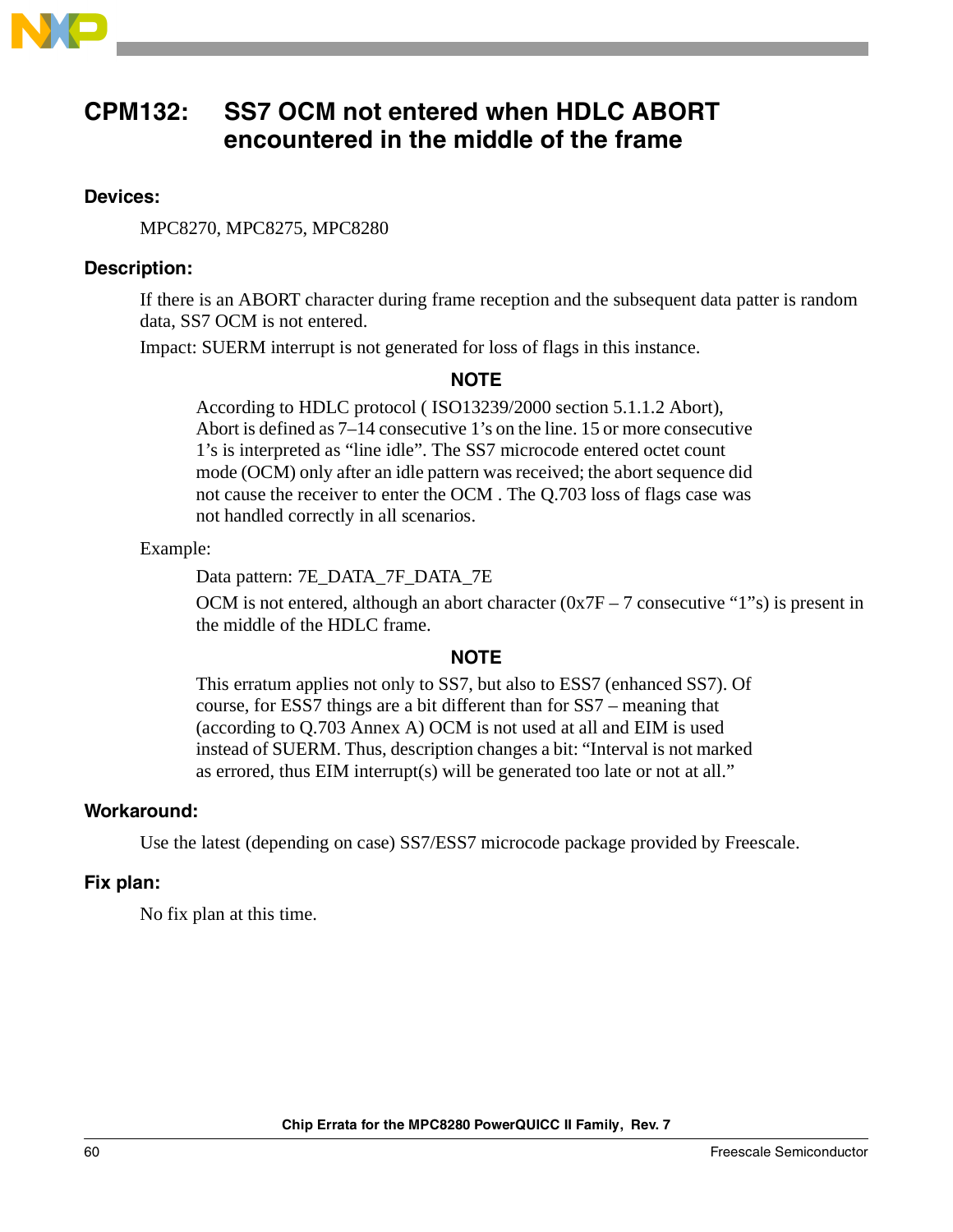

### <span id="page-59-0"></span>**CPM132: SS7 OCM not entered when HDLC ABORT encountered in the middle of the frame**

### **Devices:**

MPC8270, MPC8275, MPC8280

### **Description:**

If there is an ABORT character during frame reception and the subsequent data patter is random data, SS7 OCM is not entered.

Impact: SUERM interrupt is not generated for loss of flags in this instance.

### **NOTE**

According to HDLC protocol ( ISO13239/2000 section 5.1.1.2 Abort), Abort is defined as 7–14 consecutive 1's on the line. 15 or more consecutive 1's is interpreted as "line idle". The SS7 microcode entered octet count mode (OCM) only after an idle pattern was received; the abort sequence did not cause the receiver to enter the OCM . The Q.703 loss of flags case was not handled correctly in all scenarios.

### Example:

Data pattern: 7E\_DATA\_7F\_DATA\_7E

OCM is not entered, although an abort character  $(0x7F - 7$  consecutive "1"s) is present in the middle of the HDLC frame.

### **NOTE**

This erratum applies not only to SS7, but also to ESS7 (enhanced SS7). Of course, for ESS7 things are a bit different than for SS7 – meaning that (according to Q.703 Annex A) OCM is not used at all and EIM is used instead of SUERM. Thus, description changes a bit: "Interval is not marked as errored, thus EIM interrupt(s) will be generated too late or not at all."

### **Workaround:**

Use the latest (depending on case) SS7/ESS7 microcode package provided by Freescale.

### **Fix plan:**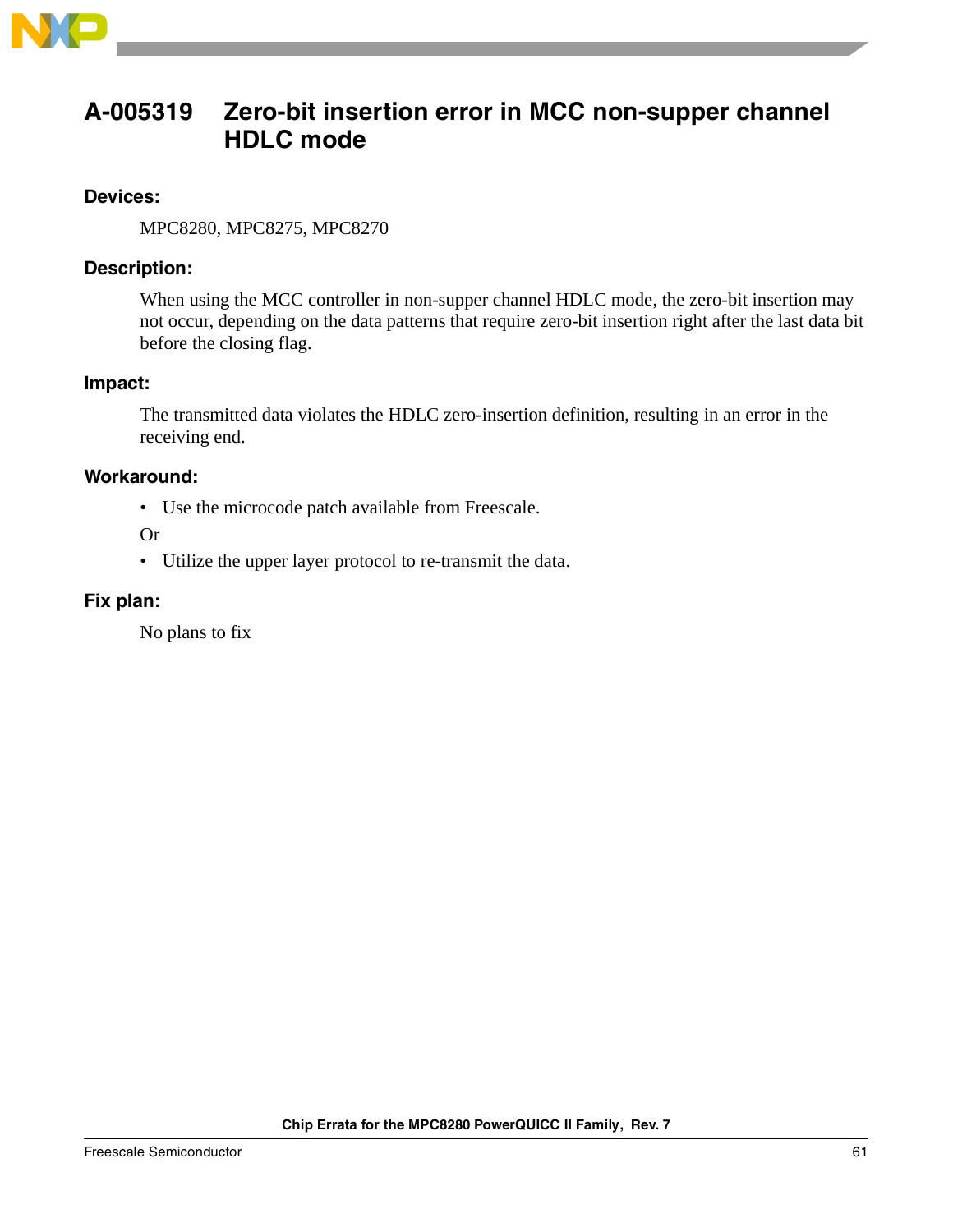

### <span id="page-60-0"></span>**A-005319 Zero-bit insertion error in MCC non-supper channel HDLC mode**

### **Devices:**

MPC8280, MPC8275, MPC8270

### **Description:**

When using the MCC controller in non-supper channel HDLC mode, the zero-bit insertion may not occur, depending on the data patterns that require zero-bit insertion right after the last data bit before the closing flag.

### **Impact:**

The transmitted data violates the HDLC zero-insertion definition, resulting in an error in the receiving end.

### **Workaround:**

• Use the microcode patch available from Freescale.

Or

• Utilize the upper layer protocol to re-transmit the data.

### **Fix plan:**

No plans to fix